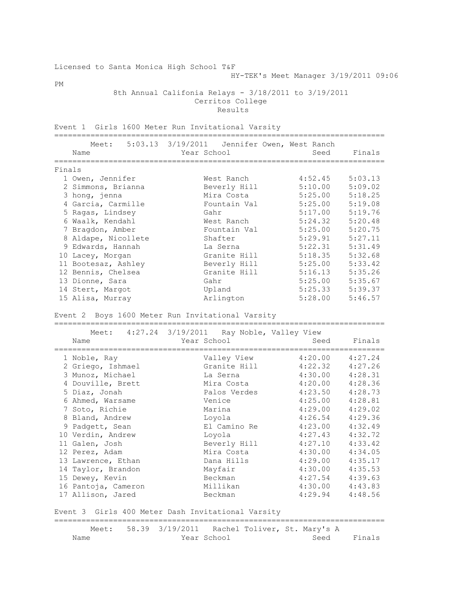| Licensed to Santa Monica High School T&F |  |  |  |  |                                       |  |
|------------------------------------------|--|--|--|--|---------------------------------------|--|
|                                          |  |  |  |  | HY-TEK's Meet Manager 3/19/2011 09:06 |  |
| PМ                                       |  |  |  |  |                                       |  |

## 8th Annual Califonia Relays - 3/18/2011 to 3/19/2011 Cerritos College Results

Event 1 Girls 1600 Meter Run Invitational Varsity

|        | Name                | Year School | Meet: 5:03.13 3/19/2011 Jennifer Owen, West Ranch | Seed    | Finals  |
|--------|---------------------|-------------|---------------------------------------------------|---------|---------|
| Finals |                     |             |                                                   |         |         |
|        | 1 Owen, Jennifer    |             | West Ranch                                        | 4:52.45 | 5:03.13 |
|        | 2 Simmons, Brianna  |             | Beverly Hill                                      | 5:10.00 | 5:09.02 |
|        | 3 hong, jenna       |             | Mira Costa                                        | 5:25.00 | 5:18.25 |
|        | 4 Garcia, Carmille  |             | Fountain Val                                      | 5:25.00 | 5:19.08 |
|        | 5 Ragas, Lindsey    |             | Gahr                                              | 5:17.00 | 5:19.76 |
|        | 6 Waalk, Kendahl    |             | West Ranch                                        | 5:24.32 | 5:20.48 |
|        | 7 Bragdon, Amber    |             | Fountain Val                                      | 5:25.00 | 5:20.75 |
|        | 8 Aldape, Nicollete |             | Shafter                                           | 5:29.91 | 5:27.11 |
|        | 9 Edwards, Hannah   |             | La Serna                                          | 5:22.31 | 5:31.49 |
|        | 10 Lacey, Morgan    |             | Granite Hill                                      | 5:18.35 | 5:32.68 |
|        | 11 Bootesaz, Ashley |             | Beverly Hill                                      | 5:25.00 | 5:33.42 |
|        | 12 Bennis, Chelsea  |             | Granite Hill                                      | 5:16.13 | 5:35.26 |
|        | 13 Dionne, Sara     |             | Gahr                                              | 5:25.00 | 5:35.67 |
|        | 14 Stert, Margot    |             | Upland                                            | 5:25.33 | 5:39.37 |
|        | 15 Alisa, Murray    |             | Arlington                                         | 5:28.00 | 5:46.57 |

Event 2 Boys 1600 Meter Run Invitational Varsity

|                     | Meet: 4:27.24 3/19/2011 Ray Noble, Valley View |         |         |
|---------------------|------------------------------------------------|---------|---------|
| Name                | Year School                                    | Seed    | Finals  |
|                     |                                                |         |         |
| 1 Noble, Ray        | Valley View                                    | 4:20.00 | 4:27.24 |
| 2 Griego, Ishmael   | Granite Hill                                   | 4:22.32 | 4:27.26 |
| 3 Munoz, Michael    | La Serna                                       | 4:30.00 | 4:28.31 |
| 4 Douville, Brett   | Mira Costa                                     | 4:20.00 | 4:28.36 |
| 5 Diaz, Jonah       | Palos Verdes                                   | 4:23.50 | 4:28.73 |
| 6 Ahmed, Warsame    | Venice                                         | 4:25.00 | 4:28.81 |
| 7 Soto, Richie      | Marina                                         | 4:29.00 | 4:29.02 |
| 8 Bland, Andrew     | Loyola                                         | 4:26.54 | 4:29.36 |
| 9 Padgett, Sean     | El Camino Re                                   | 4:23.00 | 4:32.49 |
| 10 Verdin, Andrew   | Loyola                                         | 4:27.43 | 4:32.72 |
| 11 Galen, Josh      | Beverly Hill                                   | 4:27.10 | 4:33.42 |
| 12 Perez, Adam      | Mira Costa                                     | 4:30.00 | 4:34.05 |
| 13 Lawrence, Ethan  | Dana Hills                                     | 4:29.00 | 4:35.17 |
| 14 Taylor, Brandon  | Mayfair                                        | 4:30.00 | 4:35.53 |
| 15 Dewey, Kevin     | Beckman                                        | 4:27.54 | 4:39.63 |
| 16 Pantoja, Cameron | Millikan                                       | 4:30.00 | 4:43.83 |
| 17 Allison, Jared   | Beckman                                        | 4:29.94 | 4:48.56 |
|                     |                                                |         |         |

Event 3 Girls 400 Meter Dash Invitational Varsity

|      | Meet: 58.39 3/19/2011 Rachel Toliver, St. Mary's A |             |  |      |        |
|------|----------------------------------------------------|-------------|--|------|--------|
| Name |                                                    | Year School |  | Seed | Finals |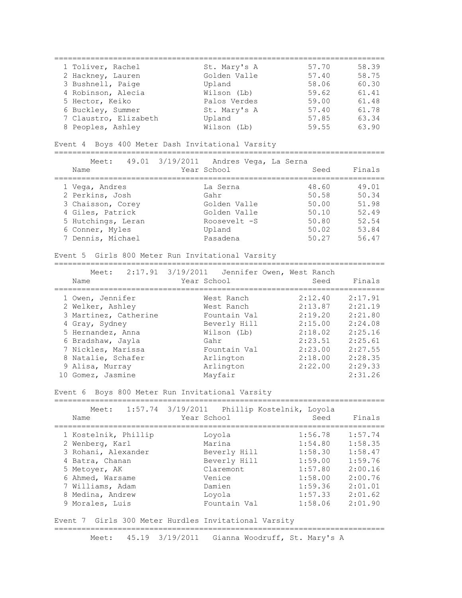| 1 Toliver, Rachel     | St. Mary's A | 57.70 | 58.39 |
|-----------------------|--------------|-------|-------|
| 2 Hackney, Lauren     | Golden Valle | 57.40 | 58.75 |
| 3 Bushnell, Paige     | Upland       | 58.06 | 60.30 |
| 4 Robinson, Alecia    | Wilson (Lb)  | 59.62 | 61.41 |
| 5 Hector, Keiko       | Palos Verdes | 59.00 | 61.48 |
| 6 Buckley, Summer     | St. Mary's A | 57.40 | 61.78 |
| 7 Claustro, Elizabeth | Upland       | 57.85 | 63.34 |
| 8 Peoples, Ashley     | Wilson (Lb)  | 59.55 | 63.90 |

Event 4 Boys 400 Meter Dash Invitational Varsity

=========================================================================

| Meet:<br>Name      | 49.01 3/19/2011 Andres Vega, La Serna<br>Year School | Seed  | Finals |
|--------------------|------------------------------------------------------|-------|--------|
| 1 Vega, Andres     | La Serna                                             | 48.60 | 49.01  |
| 2 Perkins, Josh    | Gahr                                                 | 50.58 | 50.34  |
| 3 Chaisson, Corey  | Golden Valle                                         | 50.00 | 51.98  |
| 4 Giles, Patrick   | Golden Valle                                         | 50.10 | 52.49  |
| 5 Hutchings, Leran | Roosevelt -S                                         | 50.80 | 52.54  |
| 6 Conner, Myles    | Upland                                               | 50.02 | 53.84  |
| 7 Dennis, Michael  | Pasadena                                             | 50.27 | 56.47  |

## Event 5 Girls 800 Meter Run Invitational Varsity

========================================================================= Meet: 2:17.91 3/19/2011 Jennifer Owen, West Ranch

| Meet:<br>Name         | $\angle$ :17.91 3/19/2011 Jennifer Owen, West Ranch<br>Year School | Seed    | Finals  |
|-----------------------|--------------------------------------------------------------------|---------|---------|
| 1 Owen, Jennifer      | West Ranch                                                         | 2:12.40 | 2:17.91 |
| 2 Welker, Ashley      | West Ranch                                                         | 2:13.87 | 2:21.19 |
| 3 Martinez, Catherine | Fountain Val                                                       | 2:19.20 | 2:21.80 |
| 4 Gray, Sydney        | Beverly Hill                                                       | 2:15.00 | 2:24.08 |
| 5 Hernandez, Anna     | Wilson (Lb)                                                        | 2:18.02 | 2:25.16 |
| 6 Bradshaw, Jayla     | Gahr                                                               | 2:23.51 | 2:25.61 |
| 7 Nickles, Marissa    | Fountain Val                                                       | 2:23.00 | 2:27.55 |
| 8 Natalie, Schafer    | Arlington                                                          | 2:18.00 | 2:28.35 |
| 9 Alisa, Murray       | Arlington                                                          | 2:22.00 | 2:29.33 |
| 10 Gomez, Jasmine     | Mayfair                                                            |         | 2:31.26 |

# Event 6 Boys 800 Meter Run Invitational Varsity

========================================================================= Meet: 1:57.74 3/19/2011 Phillip Kostelnik, Loyola

| uutu .<br>Name       | T.J/.17 J/IJ/ZVII – IHIIIIIN KUSUCIHIN, HUYUIQ<br>Year School | Seed    | Finals  |
|----------------------|---------------------------------------------------------------|---------|---------|
| 1 Kostelnik, Phillip | Loyola                                                        | 1:56.78 | 1:57.74 |
| 2 Wenberg, Karl      | Marina                                                        | 1:54.80 | 1:58.35 |
| 3 Rohani, Alexander  | Beverly Hill                                                  | 1:58.30 | 1:58.47 |
| 4 Batra, Chanan      | Beverly Hill                                                  | 1:59.00 | 1:59.76 |
| 5 Metover, AK        | Claremont                                                     | 1:57.80 | 2:00.16 |
| 6 Ahmed, Warsame     | Venice                                                        | 1:58.00 | 2:00.76 |
| 7 Williams, Adam     | Damien                                                        | 1:59.36 | 2:01.01 |
| 8 Medina, Andrew     | Lovola                                                        | 1:57.33 | 2:01.62 |
| 9 Morales, Luis      | Fountain Val                                                  | 1:58.06 | 2:01.90 |

### Event 7 Girls 300 Meter Hurdles Invitational Varsity

=========================================================================

Meet: 45.19 3/19/2011 Gianna Woodruff, St. Mary's A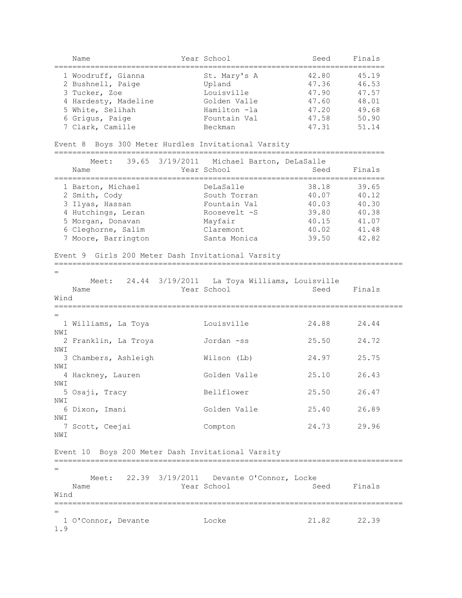|      | Name<br>Year School                                 |                                                    |       |             |  |
|------|-----------------------------------------------------|----------------------------------------------------|-------|-------------|--|
|      |                                                     |                                                    |       |             |  |
|      | 1 Woodruff, Gianna                                  | St. Mary's A                                       | 42.80 | 45.19       |  |
|      | 2 Bushnell, Paige                                   | Upland                                             | 47.36 | 46.53       |  |
|      | 3 Tucker, Zoe                                       | Louisville                                         | 47.90 | 47.57       |  |
|      | 4 Hardesty, Madeline                                | Golden Valle                                       | 47.60 | 48.01       |  |
|      | 5 White, Selihah                                    | Hamilton -la                                       | 47.20 | 49.68       |  |
|      | 6 Grigus, Paige                                     | Fountain Val                                       | 47.58 | 50.90       |  |
|      | 7 Clark, Camille                                    | Beckman                                            | 47.31 | 51.14       |  |
|      | Event 8 Boys 300 Meter Hurdles Invitational Varsity |                                                    |       |             |  |
|      | 39.65<br>3/19/2011<br>Meet:                         | Michael Barton, DeLaSalle                          |       |             |  |
|      | Name                                                | Year School                                        | Seed  | Finals      |  |
|      |                                                     |                                                    |       |             |  |
|      | 1 Barton, Michael                                   | DeLaSalle                                          | 38.18 | 39.65       |  |
|      | 2 Smith, Cody                                       | South Torran                                       | 40.07 | 40.12       |  |
|      | 3 Ilyas, Hassan                                     | Fountain Val                                       | 40.03 | 40.30       |  |
|      | 4 Hutchings, Leran                                  | Roosevelt -S                                       | 39.80 | 40.38       |  |
|      | 5 Morgan, Donavan                                   | Mayfair                                            | 40.15 | 41.07       |  |
|      | 6 Cleghorne, Salim                                  | Claremont                                          | 40.02 | 41.48       |  |
|      | 7 Moore, Barrington                                 | Santa Monica                                       | 39.50 | 42.82       |  |
|      |                                                     |                                                    |       |             |  |
|      | Event 9 Girls 200 Meter Dash Invitational Varsity   |                                                    |       |             |  |
|      |                                                     |                                                    |       |             |  |
|      |                                                     |                                                    |       |             |  |
| $=$  |                                                     |                                                    |       |             |  |
|      |                                                     | Meet: 24.44 3/19/2011 La Toya Williams, Louisville |       |             |  |
|      | Name                                                | Year School                                        | Seed  | Finals      |  |
| Wind |                                                     |                                                    |       |             |  |
|      |                                                     |                                                    |       |             |  |
|      |                                                     |                                                    |       |             |  |
|      | 1 Williams, La Toya                                 | Louisville                                         | 24.88 | 24.44       |  |
| NWI  |                                                     |                                                    |       |             |  |
|      |                                                     | Jordan -ss                                         | 25.50 | 24.72       |  |
| NWI  | 2 Franklin, La Troya                                |                                                    |       |             |  |
|      |                                                     |                                                    | 24.97 | 25.75       |  |
| NWI  | 3 Chambers, Ashleigh                                | Wilson (Lb)                                        |       |             |  |
|      |                                                     | Golden Valle                                       | 25.10 | 26.43       |  |
| NWI  | 4 Hackney, Lauren                                   |                                                    |       |             |  |
|      |                                                     |                                                    |       |             |  |
|      | 5 Osaji, Tracy                                      | Bellflower                                         | 25.50 | 26.47       |  |
| NWI  |                                                     |                                                    |       |             |  |
|      | 6 Dixon, Imani                                      | Golden Valle                                       |       | 25.40 26.89 |  |
| NWI  |                                                     |                                                    |       |             |  |
|      | 7 Scott, Ceejai                                     | Compton                                            |       | 24.73 29.96 |  |
| NWI  |                                                     |                                                    |       |             |  |
|      |                                                     |                                                    |       |             |  |
|      | Event 10 Boys 200 Meter Dash Invitational Varsity   |                                                    |       |             |  |
|      |                                                     |                                                    |       |             |  |
|      |                                                     |                                                    |       |             |  |
|      |                                                     | Meet: 22.39 3/19/2011 Devante O'Connor, Locke      |       |             |  |
|      | Name                                                | Year School                                        |       | Seed Finals |  |
| Wind |                                                     |                                                    |       |             |  |
|      |                                                     |                                                    |       |             |  |
|      |                                                     |                                                    |       |             |  |
| 1.9  | 1 O'Connor, Devante                                 | Locke                                              |       | 21.82 22.39 |  |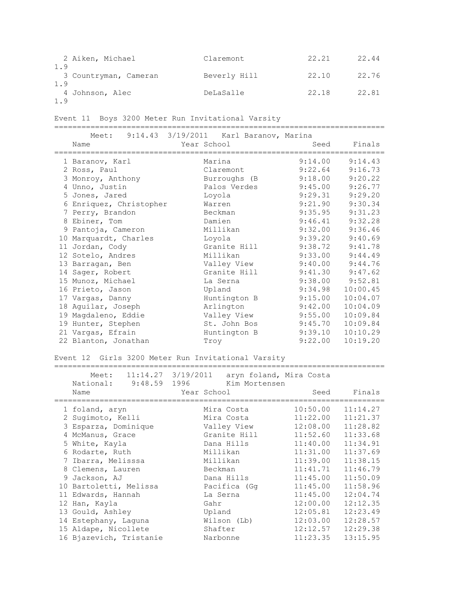| 1.9        | 2 Aiken, Michael      | Claremont    | 22.21 | 22.44 |
|------------|-----------------------|--------------|-------|-------|
|            | 3 Countryman, Cameran | Beverly Hill | 22.10 | 22.76 |
| 1.9<br>1.9 | 4 Johnson, Alec       | DeLaSalle    | 22.18 | 22.81 |

Event 11 Boys 3200 Meter Run Invitational Varsity

| Event II Boys 3200 Meter Run Invitational Varsity |                                                             |         |          |
|---------------------------------------------------|-------------------------------------------------------------|---------|----------|
| Name                                              | Meet: 9:14.43 3/19/2011 Karl Baranov, Marina<br>Year School | Seed    | Finals   |
| 1 Baranov, Karl                                   | Marina                                                      | 9:14.00 | 9:14.43  |
| 2 Ross, Paul                                      | Claremont                                                   | 9:22.64 | 9:16.73  |
| 3 Monroy, Anthony                                 | Burroughs (B                                                | 9:18.00 | 9:20.22  |
| 4 Unno, Justin                                    | Palos Verdes                                                | 9:45.00 | 9:26.77  |
| 5 Jones, Jared                                    | Loyola                                                      | 9:29.31 | 9:29.20  |
| 6 Enriquez, Christopher                           | Warren                                                      | 9:21.90 | 9:30.34  |
| 7 Perry, Brandon                                  | Beckman                                                     | 9:35.95 | 9:31.23  |
| 8 Ebiner, Tom                                     | Damien                                                      | 9:46.41 | 9:32.28  |
| 9 Pantoja, Cameron                                | Millikan                                                    | 9:32.00 | 9:36.46  |
| 10 Marquardt, Charles                             | Loyola                                                      | 9:39.20 | 9:40.69  |
| 11 Jordan, Cody                                   | Granite Hill                                                | 9:38.72 | 9:41.78  |
| 12 Sotelo, Andres                                 | Millikan                                                    | 9:33.00 | 9:44.49  |
| 13 Barragan, Ben                                  | Valley View                                                 | 9:40.00 | 9:44.76  |
| 14 Sager, Robert                                  | Granite Hill                                                | 9:41.30 | 9:47.62  |
| 15 Munoz, Michael                                 | La Serna                                                    | 9:38.00 | 9:52.81  |
| 16 Prieto, Jason                                  | Upland                                                      | 9:34.98 | 10:00.45 |
| 17 Vargas, Danny                                  | Huntington B                                                | 9:15.00 | 10:04.07 |
| 18 Aguilar, Joseph                                | Arlington                                                   | 9:42.00 | 10:04.09 |
| 19 Magdaleno, Eddie                               | Valley View                                                 | 9:55.00 | 10:09.84 |
| 19 Hunter, Stephen                                | St. John Bos                                                | 9:45.70 | 10:09.84 |
| 21 Vargas, Efrain                                 | Huntington B                                                | 9:39.10 | 10:10.29 |
| 22 Blanton, Jonathan                              | Troy                                                        | 9:22.00 | 10:19.20 |

#### Event 12 Girls 3200 Meter Run Invitational Varsity

========================================================================= Meet: 11:14.27 3/19/2011 aryn foland, Mira Costa National: 9:48.59 1996 Kim Mortensen Name Year School Seed Finals ========================================================================= 1 foland, aryn Mira Costa 10:50.00 11:14.27 2 Sugimoto, Kelli Mira Costa 11:22.00 11:21.37 3 Esparza, Dominique Valley View 12:08.00 11:28.82 4 McManus, Grace Granite Hill 11:52.60 11:33.68 5 White, Kayla Dana Hills 11:40.00 11:34.91 6 Rodarte, Ruth Millikan 11:31.00 11:37.69 7 Ibarra, Melisssa Millikan 11:39.00 11:38.15 8 Clemens, Lauren Beckman 11:41.71 11:46.79 9 Jackson, AJ Dana Hills 11:45.00 11:50.09 10 Bartoletti, Melissa Pacifica (Gg 11:45.00 11:58.96 11 Edwards, Hannah La Serna 11:45.00 12:04.74 12 Han, Kayla Gahr 12:00.00 12:12.35 13 Gould, Ashley Upland 12:05.81 12:23.49 14 Estephany, Laguna Wilson (Lb) 12:03.00 12:28.57 15 Aldape, Nicollete Shafter 12:12.57 12:29.38 16 Bjazevich, Tristanie Narbonne 11:23.35 13:15.95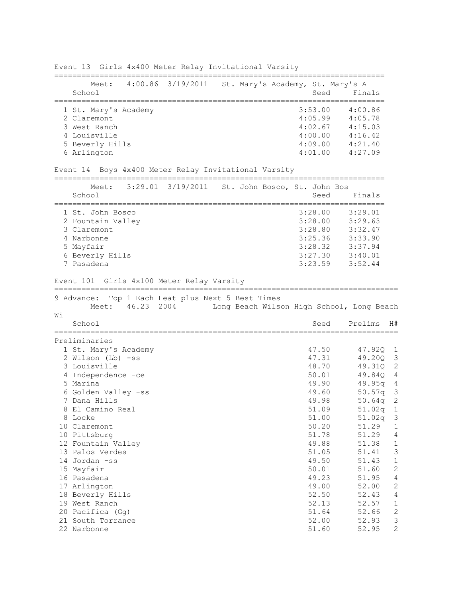| 4:00.86<br>3/19/2011<br>Meet:<br>School                                                     | St. Mary's Academy, St. Mary's A<br>Seed  | Finals                           |
|---------------------------------------------------------------------------------------------|-------------------------------------------|----------------------------------|
| --------------<br>1 St. Mary's Academy                                                      | 3:53.00                                   | 4:00.86                          |
| 2 Claremont                                                                                 | 4:05.99                                   | 4:05.78                          |
| 3 West Ranch                                                                                | 4:02.67                                   | 4:15.03                          |
| 4 Louisville                                                                                | 4:00.00                                   | 4:16.42                          |
| 5 Beverly Hills                                                                             | 4:09.00                                   | 4:21.40                          |
| 6 Arlington                                                                                 | 4:01.00                                   | 4:27.09                          |
| Event 14 Boys 4x400 Meter Relay Invitational Varsity                                        |                                           |                                  |
| 3/19/2011<br>3:29.01<br>Meet:<br>School                                                     | St. John Bosco, St. John Bos<br>Seed      | Finals                           |
| 1 St. John Bosco                                                                            | 3:28.00                                   | 3:29.01                          |
| 2 Fountain Valley                                                                           | 3:28.00                                   | 3:29.63                          |
| 3 Claremont                                                                                 | 3:28.80                                   | 3:32.47                          |
| 4 Narbonne                                                                                  | 3:25.36                                   | 3:33.90                          |
| 5 Mayfair                                                                                   | 3:28.32                                   | 3:37.94                          |
| 6 Beverly Hills                                                                             | 3:27.30                                   | 3:40.01                          |
| 7 Pasadena                                                                                  | 3:23.59                                   | 3:52.44                          |
| Top 1 Each Heat plus Next 5 Best Times<br>9 Advance:<br>46.23 2004<br>Meet:<br>Wi<br>School | Long Beach Wilson High School, Long Beach |                                  |
|                                                                                             | Seed                                      | Prelims<br>H#                    |
|                                                                                             |                                           |                                  |
|                                                                                             |                                           |                                  |
| 1 St. Mary's Academy                                                                        | 47.50                                     | 47.920<br>1                      |
| 2 Wilson (Lb) -ss                                                                           | 47.31                                     | 49.20Q<br>3                      |
| 3 Louisville                                                                                | 48.70                                     | 49.31Q<br>$\mathbf{2}$           |
| 4 Independence -ce                                                                          | 50.01                                     | 49.840<br>4                      |
| 5 Marina                                                                                    | 49.90<br>49.60                            | $\overline{4}$<br>49.95q         |
| 6 Golden Valley -ss<br>7 Dana Hills                                                         |                                           | 50.57q<br>$\mathcal{S}$<br>2     |
|                                                                                             | 49.98                                     | 50.64q                           |
| 8 El Camino Real<br>8 Locke                                                                 | 51.09<br>51.00                            | 51.02q<br>$\mathbf{1}$           |
| 10 Claremont                                                                                | 50.20                                     | 51.02q<br>3<br>51.29             |
|                                                                                             | 51.78                                     | $\mathbf 1$                      |
| 10 Pittsburg                                                                                |                                           | 51.29<br>4<br>51.38              |
| 12 Fountain Valley<br>13 Palos Verdes                                                       | 49.88<br>51.05                            | $1\,$<br>$\mathfrak{Z}$<br>51.41 |
| 14 Jordan -ss                                                                               | 49.50                                     | $\,1\,$<br>51.43                 |
| 15 Mayfair                                                                                  | 50.01                                     | $\sqrt{2}$<br>51.60              |
| 16 Pasadena                                                                                 | 49.23                                     | 51.95<br>$\overline{4}$          |
| 17 Arlington                                                                                | 49.00                                     | 52.00<br>$\sqrt{2}$              |
| 18 Beverly Hills                                                                            | 52.50                                     | 52.43<br>4                       |
| Preliminaries<br>19 West Ranch                                                              | 52.13                                     | $\mathbf 1$<br>52.57             |
| 20 Pacifica (Gg)                                                                            | 51.64                                     | $\sqrt{2}$<br>52.66              |
| 21 South Torrance                                                                           | 52.00                                     | $\mathsf 3$<br>52.93             |

Event 13 Girls 4x400 Meter Relay Invitational Varsity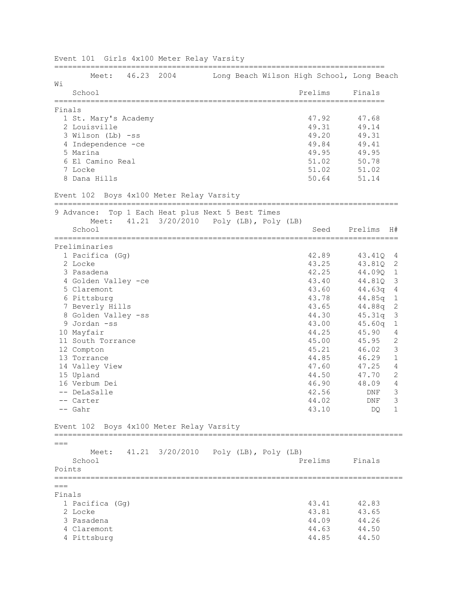| 46.23 2004<br>Long Beach Wilson High School, Long Beach<br>Meet:<br>Wi<br>School<br>Prelims<br>Finals<br>-----------<br>Finals<br>47.92<br>1 St. Mary's Academy<br>47.68<br>2 Louisville<br>49.31<br>49.14<br>3 Wilson (Lb) -ss<br>49.20<br>49.31<br>49.84<br>49.41<br>4 Independence -ce<br>5 Marina<br>49.95<br>49.95<br>6 El Camino Real<br>51.02<br>50.78<br>7 Locke<br>51.02<br>51.02<br>8 Dana Hills<br>50.64<br>51.14<br>Event 102 Boys 4x100 Meter Relay Varsity<br>Top 1 Each Heat plus Next 5 Best Times<br>9 Advance:<br>41.21 3/20/2010 Poly (LB), Poly (LB)<br>Meet:<br>School<br>Seed<br>Prelims<br>H#<br>==========================<br>Preliminaries<br>42.89<br>1 Pacifica (Gg)<br>43.41Q<br>4<br>2 Locke<br>43.25<br>43.81Q<br>2<br>42.25<br>3 Pasadena<br>44.090<br>1<br>3<br>4 Golden Valley -ce<br>43.40<br>44.81Q<br>5 Claremont<br>43.60<br>4<br>44.63q<br>$\,1\,$<br>43.78<br>6 Pittsburg<br>44.85q<br>$\mathbf{2}$<br>7 Beverly Hills<br>43.65<br>44.88q<br>$\mathfrak{Z}$<br>44.30<br>8 Golden Valley -ss<br>45.31q<br>9 Jordan -ss<br>43.00<br>45.60q<br>$\mathbf{1}$<br>44.25<br>45.90<br>10 Mayfair<br>4<br>11 South Torrance<br>45.00<br>45.95<br>2<br>3<br>45.21<br>12 Compton<br>46.02<br>$\mathbf{1}$<br>44.85<br>46.29<br>13 Torrance<br>14 Valley View<br>47.25<br>4<br>47.60<br>15 Upland<br>44.50<br>2<br>47.70<br>16 Verbum Dei<br>46.90<br>48.09<br>4<br>3<br>-- DeLaSalle<br>42.56<br>DNF<br>44.02<br>-- Carter<br>DNF<br>3<br>-- Gahr<br>43.10<br>1<br>DQ.<br>Boys 4x100 Meter Relay Varsity<br>Event 102<br>41.21 3/20/2010 Poly (LB), Poly (LB)<br>Meet:<br>Prelims<br>School<br>Finals<br>Points<br>$===$<br>Finals<br>43.41<br>1 Pacifica (Gg)<br>42.83<br>43.81<br>2 Locke<br>43.65<br>3 Pasadena<br>44.09<br>44.26<br>44.63<br>4 Claremont<br>44.50<br>4 Pittsburg<br>44.85<br>44.50 | LAGUL TAT |  | GILLS 4XIOO MELEL REIdy ValSILY |  |  |  |
|------------------------------------------------------------------------------------------------------------------------------------------------------------------------------------------------------------------------------------------------------------------------------------------------------------------------------------------------------------------------------------------------------------------------------------------------------------------------------------------------------------------------------------------------------------------------------------------------------------------------------------------------------------------------------------------------------------------------------------------------------------------------------------------------------------------------------------------------------------------------------------------------------------------------------------------------------------------------------------------------------------------------------------------------------------------------------------------------------------------------------------------------------------------------------------------------------------------------------------------------------------------------------------------------------------------------------------------------------------------------------------------------------------------------------------------------------------------------------------------------------------------------------------------------------------------------------------------------------------------------------------------------------------------------------------------------------------------------------------------------------------------------------------------------------------------------------------|-----------|--|---------------------------------|--|--|--|
|                                                                                                                                                                                                                                                                                                                                                                                                                                                                                                                                                                                                                                                                                                                                                                                                                                                                                                                                                                                                                                                                                                                                                                                                                                                                                                                                                                                                                                                                                                                                                                                                                                                                                                                                                                                                                                    |           |  |                                 |  |  |  |
|                                                                                                                                                                                                                                                                                                                                                                                                                                                                                                                                                                                                                                                                                                                                                                                                                                                                                                                                                                                                                                                                                                                                                                                                                                                                                                                                                                                                                                                                                                                                                                                                                                                                                                                                                                                                                                    |           |  |                                 |  |  |  |
|                                                                                                                                                                                                                                                                                                                                                                                                                                                                                                                                                                                                                                                                                                                                                                                                                                                                                                                                                                                                                                                                                                                                                                                                                                                                                                                                                                                                                                                                                                                                                                                                                                                                                                                                                                                                                                    |           |  |                                 |  |  |  |
|                                                                                                                                                                                                                                                                                                                                                                                                                                                                                                                                                                                                                                                                                                                                                                                                                                                                                                                                                                                                                                                                                                                                                                                                                                                                                                                                                                                                                                                                                                                                                                                                                                                                                                                                                                                                                                    |           |  |                                 |  |  |  |
|                                                                                                                                                                                                                                                                                                                                                                                                                                                                                                                                                                                                                                                                                                                                                                                                                                                                                                                                                                                                                                                                                                                                                                                                                                                                                                                                                                                                                                                                                                                                                                                                                                                                                                                                                                                                                                    |           |  |                                 |  |  |  |
|                                                                                                                                                                                                                                                                                                                                                                                                                                                                                                                                                                                                                                                                                                                                                                                                                                                                                                                                                                                                                                                                                                                                                                                                                                                                                                                                                                                                                                                                                                                                                                                                                                                                                                                                                                                                                                    |           |  |                                 |  |  |  |
|                                                                                                                                                                                                                                                                                                                                                                                                                                                                                                                                                                                                                                                                                                                                                                                                                                                                                                                                                                                                                                                                                                                                                                                                                                                                                                                                                                                                                                                                                                                                                                                                                                                                                                                                                                                                                                    |           |  |                                 |  |  |  |
|                                                                                                                                                                                                                                                                                                                                                                                                                                                                                                                                                                                                                                                                                                                                                                                                                                                                                                                                                                                                                                                                                                                                                                                                                                                                                                                                                                                                                                                                                                                                                                                                                                                                                                                                                                                                                                    |           |  |                                 |  |  |  |
|                                                                                                                                                                                                                                                                                                                                                                                                                                                                                                                                                                                                                                                                                                                                                                                                                                                                                                                                                                                                                                                                                                                                                                                                                                                                                                                                                                                                                                                                                                                                                                                                                                                                                                                                                                                                                                    |           |  |                                 |  |  |  |
|                                                                                                                                                                                                                                                                                                                                                                                                                                                                                                                                                                                                                                                                                                                                                                                                                                                                                                                                                                                                                                                                                                                                                                                                                                                                                                                                                                                                                                                                                                                                                                                                                                                                                                                                                                                                                                    |           |  |                                 |  |  |  |
|                                                                                                                                                                                                                                                                                                                                                                                                                                                                                                                                                                                                                                                                                                                                                                                                                                                                                                                                                                                                                                                                                                                                                                                                                                                                                                                                                                                                                                                                                                                                                                                                                                                                                                                                                                                                                                    |           |  |                                 |  |  |  |
|                                                                                                                                                                                                                                                                                                                                                                                                                                                                                                                                                                                                                                                                                                                                                                                                                                                                                                                                                                                                                                                                                                                                                                                                                                                                                                                                                                                                                                                                                                                                                                                                                                                                                                                                                                                                                                    |           |  |                                 |  |  |  |
|                                                                                                                                                                                                                                                                                                                                                                                                                                                                                                                                                                                                                                                                                                                                                                                                                                                                                                                                                                                                                                                                                                                                                                                                                                                                                                                                                                                                                                                                                                                                                                                                                                                                                                                                                                                                                                    |           |  |                                 |  |  |  |
|                                                                                                                                                                                                                                                                                                                                                                                                                                                                                                                                                                                                                                                                                                                                                                                                                                                                                                                                                                                                                                                                                                                                                                                                                                                                                                                                                                                                                                                                                                                                                                                                                                                                                                                                                                                                                                    |           |  |                                 |  |  |  |
|                                                                                                                                                                                                                                                                                                                                                                                                                                                                                                                                                                                                                                                                                                                                                                                                                                                                                                                                                                                                                                                                                                                                                                                                                                                                                                                                                                                                                                                                                                                                                                                                                                                                                                                                                                                                                                    |           |  |                                 |  |  |  |
|                                                                                                                                                                                                                                                                                                                                                                                                                                                                                                                                                                                                                                                                                                                                                                                                                                                                                                                                                                                                                                                                                                                                                                                                                                                                                                                                                                                                                                                                                                                                                                                                                                                                                                                                                                                                                                    |           |  |                                 |  |  |  |
|                                                                                                                                                                                                                                                                                                                                                                                                                                                                                                                                                                                                                                                                                                                                                                                                                                                                                                                                                                                                                                                                                                                                                                                                                                                                                                                                                                                                                                                                                                                                                                                                                                                                                                                                                                                                                                    |           |  |                                 |  |  |  |
|                                                                                                                                                                                                                                                                                                                                                                                                                                                                                                                                                                                                                                                                                                                                                                                                                                                                                                                                                                                                                                                                                                                                                                                                                                                                                                                                                                                                                                                                                                                                                                                                                                                                                                                                                                                                                                    |           |  |                                 |  |  |  |
|                                                                                                                                                                                                                                                                                                                                                                                                                                                                                                                                                                                                                                                                                                                                                                                                                                                                                                                                                                                                                                                                                                                                                                                                                                                                                                                                                                                                                                                                                                                                                                                                                                                                                                                                                                                                                                    |           |  |                                 |  |  |  |
|                                                                                                                                                                                                                                                                                                                                                                                                                                                                                                                                                                                                                                                                                                                                                                                                                                                                                                                                                                                                                                                                                                                                                                                                                                                                                                                                                                                                                                                                                                                                                                                                                                                                                                                                                                                                                                    |           |  |                                 |  |  |  |
|                                                                                                                                                                                                                                                                                                                                                                                                                                                                                                                                                                                                                                                                                                                                                                                                                                                                                                                                                                                                                                                                                                                                                                                                                                                                                                                                                                                                                                                                                                                                                                                                                                                                                                                                                                                                                                    |           |  |                                 |  |  |  |
|                                                                                                                                                                                                                                                                                                                                                                                                                                                                                                                                                                                                                                                                                                                                                                                                                                                                                                                                                                                                                                                                                                                                                                                                                                                                                                                                                                                                                                                                                                                                                                                                                                                                                                                                                                                                                                    |           |  |                                 |  |  |  |
|                                                                                                                                                                                                                                                                                                                                                                                                                                                                                                                                                                                                                                                                                                                                                                                                                                                                                                                                                                                                                                                                                                                                                                                                                                                                                                                                                                                                                                                                                                                                                                                                                                                                                                                                                                                                                                    |           |  |                                 |  |  |  |
|                                                                                                                                                                                                                                                                                                                                                                                                                                                                                                                                                                                                                                                                                                                                                                                                                                                                                                                                                                                                                                                                                                                                                                                                                                                                                                                                                                                                                                                                                                                                                                                                                                                                                                                                                                                                                                    |           |  |                                 |  |  |  |
|                                                                                                                                                                                                                                                                                                                                                                                                                                                                                                                                                                                                                                                                                                                                                                                                                                                                                                                                                                                                                                                                                                                                                                                                                                                                                                                                                                                                                                                                                                                                                                                                                                                                                                                                                                                                                                    |           |  |                                 |  |  |  |
|                                                                                                                                                                                                                                                                                                                                                                                                                                                                                                                                                                                                                                                                                                                                                                                                                                                                                                                                                                                                                                                                                                                                                                                                                                                                                                                                                                                                                                                                                                                                                                                                                                                                                                                                                                                                                                    |           |  |                                 |  |  |  |
|                                                                                                                                                                                                                                                                                                                                                                                                                                                                                                                                                                                                                                                                                                                                                                                                                                                                                                                                                                                                                                                                                                                                                                                                                                                                                                                                                                                                                                                                                                                                                                                                                                                                                                                                                                                                                                    |           |  |                                 |  |  |  |
|                                                                                                                                                                                                                                                                                                                                                                                                                                                                                                                                                                                                                                                                                                                                                                                                                                                                                                                                                                                                                                                                                                                                                                                                                                                                                                                                                                                                                                                                                                                                                                                                                                                                                                                                                                                                                                    |           |  |                                 |  |  |  |
|                                                                                                                                                                                                                                                                                                                                                                                                                                                                                                                                                                                                                                                                                                                                                                                                                                                                                                                                                                                                                                                                                                                                                                                                                                                                                                                                                                                                                                                                                                                                                                                                                                                                                                                                                                                                                                    |           |  |                                 |  |  |  |
|                                                                                                                                                                                                                                                                                                                                                                                                                                                                                                                                                                                                                                                                                                                                                                                                                                                                                                                                                                                                                                                                                                                                                                                                                                                                                                                                                                                                                                                                                                                                                                                                                                                                                                                                                                                                                                    |           |  |                                 |  |  |  |
|                                                                                                                                                                                                                                                                                                                                                                                                                                                                                                                                                                                                                                                                                                                                                                                                                                                                                                                                                                                                                                                                                                                                                                                                                                                                                                                                                                                                                                                                                                                                                                                                                                                                                                                                                                                                                                    |           |  |                                 |  |  |  |
|                                                                                                                                                                                                                                                                                                                                                                                                                                                                                                                                                                                                                                                                                                                                                                                                                                                                                                                                                                                                                                                                                                                                                                                                                                                                                                                                                                                                                                                                                                                                                                                                                                                                                                                                                                                                                                    |           |  |                                 |  |  |  |
|                                                                                                                                                                                                                                                                                                                                                                                                                                                                                                                                                                                                                                                                                                                                                                                                                                                                                                                                                                                                                                                                                                                                                                                                                                                                                                                                                                                                                                                                                                                                                                                                                                                                                                                                                                                                                                    |           |  |                                 |  |  |  |
|                                                                                                                                                                                                                                                                                                                                                                                                                                                                                                                                                                                                                                                                                                                                                                                                                                                                                                                                                                                                                                                                                                                                                                                                                                                                                                                                                                                                                                                                                                                                                                                                                                                                                                                                                                                                                                    |           |  |                                 |  |  |  |
|                                                                                                                                                                                                                                                                                                                                                                                                                                                                                                                                                                                                                                                                                                                                                                                                                                                                                                                                                                                                                                                                                                                                                                                                                                                                                                                                                                                                                                                                                                                                                                                                                                                                                                                                                                                                                                    |           |  |                                 |  |  |  |
|                                                                                                                                                                                                                                                                                                                                                                                                                                                                                                                                                                                                                                                                                                                                                                                                                                                                                                                                                                                                                                                                                                                                                                                                                                                                                                                                                                                                                                                                                                                                                                                                                                                                                                                                                                                                                                    |           |  |                                 |  |  |  |
|                                                                                                                                                                                                                                                                                                                                                                                                                                                                                                                                                                                                                                                                                                                                                                                                                                                                                                                                                                                                                                                                                                                                                                                                                                                                                                                                                                                                                                                                                                                                                                                                                                                                                                                                                                                                                                    |           |  |                                 |  |  |  |
|                                                                                                                                                                                                                                                                                                                                                                                                                                                                                                                                                                                                                                                                                                                                                                                                                                                                                                                                                                                                                                                                                                                                                                                                                                                                                                                                                                                                                                                                                                                                                                                                                                                                                                                                                                                                                                    |           |  |                                 |  |  |  |
|                                                                                                                                                                                                                                                                                                                                                                                                                                                                                                                                                                                                                                                                                                                                                                                                                                                                                                                                                                                                                                                                                                                                                                                                                                                                                                                                                                                                                                                                                                                                                                                                                                                                                                                                                                                                                                    |           |  |                                 |  |  |  |
|                                                                                                                                                                                                                                                                                                                                                                                                                                                                                                                                                                                                                                                                                                                                                                                                                                                                                                                                                                                                                                                                                                                                                                                                                                                                                                                                                                                                                                                                                                                                                                                                                                                                                                                                                                                                                                    |           |  |                                 |  |  |  |
|                                                                                                                                                                                                                                                                                                                                                                                                                                                                                                                                                                                                                                                                                                                                                                                                                                                                                                                                                                                                                                                                                                                                                                                                                                                                                                                                                                                                                                                                                                                                                                                                                                                                                                                                                                                                                                    |           |  |                                 |  |  |  |
|                                                                                                                                                                                                                                                                                                                                                                                                                                                                                                                                                                                                                                                                                                                                                                                                                                                                                                                                                                                                                                                                                                                                                                                                                                                                                                                                                                                                                                                                                                                                                                                                                                                                                                                                                                                                                                    |           |  |                                 |  |  |  |
|                                                                                                                                                                                                                                                                                                                                                                                                                                                                                                                                                                                                                                                                                                                                                                                                                                                                                                                                                                                                                                                                                                                                                                                                                                                                                                                                                                                                                                                                                                                                                                                                                                                                                                                                                                                                                                    |           |  |                                 |  |  |  |
|                                                                                                                                                                                                                                                                                                                                                                                                                                                                                                                                                                                                                                                                                                                                                                                                                                                                                                                                                                                                                                                                                                                                                                                                                                                                                                                                                                                                                                                                                                                                                                                                                                                                                                                                                                                                                                    |           |  |                                 |  |  |  |
|                                                                                                                                                                                                                                                                                                                                                                                                                                                                                                                                                                                                                                                                                                                                                                                                                                                                                                                                                                                                                                                                                                                                                                                                                                                                                                                                                                                                                                                                                                                                                                                                                                                                                                                                                                                                                                    |           |  |                                 |  |  |  |
|                                                                                                                                                                                                                                                                                                                                                                                                                                                                                                                                                                                                                                                                                                                                                                                                                                                                                                                                                                                                                                                                                                                                                                                                                                                                                                                                                                                                                                                                                                                                                                                                                                                                                                                                                                                                                                    |           |  |                                 |  |  |  |

Event 101 Girls 4x100 Meter Relay Varsity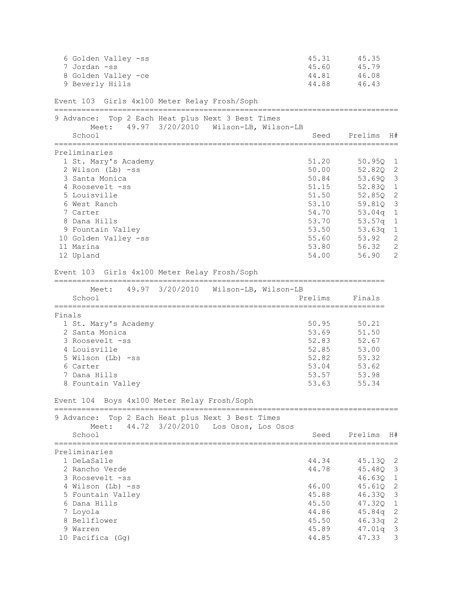| 6 Golden Valley -ss<br>7 Jordan -ss<br>8 Golden Valley -ce<br>9 Beverly Hills                                                                                                                                                                                                      | 45.31<br>45.60<br>44.81<br>44.88                                                                         | 45.35<br>45.79<br>46.08<br>46.43                                                                                  |                                                                                                                                       |
|------------------------------------------------------------------------------------------------------------------------------------------------------------------------------------------------------------------------------------------------------------------------------------|----------------------------------------------------------------------------------------------------------|-------------------------------------------------------------------------------------------------------------------|---------------------------------------------------------------------------------------------------------------------------------------|
| Girls 4x100 Meter Relay Frosh/Soph<br>Event 103                                                                                                                                                                                                                                    |                                                                                                          |                                                                                                                   |                                                                                                                                       |
| 9 Advance: Top 2 Each Heat plus Next 3 Best Times<br>49.97 3/20/2010<br>Wilson-LB, Wilson-LB<br>Meet:<br>School                                                                                                                                                                    | Seed                                                                                                     | Prelims                                                                                                           | H#                                                                                                                                    |
| Preliminaries<br>1 St. Mary's Academy<br>2 Wilson (Lb) -ss<br>3 Santa Monica<br>4 Roosevelt -ss<br>5 Louisville<br>6 West Ranch<br>7 Carter<br>8 Dana Hills<br>9 Fountain Valley<br>10 Golden Valley -ss<br>11 Marina<br>12 Upland<br>Event 103 Girls 4x100 Meter Relay Frosh/Soph | 51.20<br>50.00<br>50.84<br>51.15<br>51.50<br>53.10<br>54.70<br>53.70<br>53.50<br>55.60<br>53.80<br>54.00 | 50.95Q<br>52.820<br>53.69Q<br>52.83Q<br>52.85Q<br>59.81Q<br>53.04q<br>53.57q<br>53.63q<br>53.92<br>56.32<br>56.90 | 1<br>$\mathbf{2}$<br>3<br>$\mathbf{1}$<br>$\mathbf{2}$<br>3<br>$\mathbf{1}$<br>$\mathbf{1}$<br>$\mathbf{1}$<br>2<br>$\mathbf{2}$<br>2 |
| ============<br>49.97<br>3/20/2010<br>Wilson-LB, Wilson-LB<br>Meet:<br>School                                                                                                                                                                                                      | Prelims                                                                                                  | Finals                                                                                                            |                                                                                                                                       |
| Finals<br>1 St. Mary's Academy<br>2 Santa Monica<br>3 Roosevelt -ss<br>4 Louisville<br>5 Wilson (Lb) -ss<br>6 Carter<br>7 Dana Hills<br>8 Fountain Valley                                                                                                                          | 50.95<br>53.69<br>52.83<br>52.85<br>52.82<br>53.04<br>53.57<br>53.63                                     | 50.21<br>51.50<br>52.67<br>53.00<br>53.32<br>53.62<br>53.98<br>55.34                                              |                                                                                                                                       |
| Boys 4x100 Meter Relay Frosh/Soph<br>Event 104                                                                                                                                                                                                                                     |                                                                                                          |                                                                                                                   |                                                                                                                                       |
| Top 2 Each Heat plus Next 3 Best Times<br>9 Advance:<br>Meet:<br>44.72<br>3/20/2010<br>Los Osos, Los Osos<br>School<br>====================                                                                                                                                        | Seed                                                                                                     | Prelims<br>-----------------------                                                                                | H#                                                                                                                                    |
| Preliminaries<br>1 DeLaSalle<br>2 Rancho Verde<br>3 Roosevelt -ss<br>4 Wilson (Lb) -ss<br>5 Fountain Valley<br>6 Dana Hills<br>7 Loyola<br>8 Bellflower<br>9 Warren<br>10 Pacifica (Gg)                                                                                            | 44.34<br>44.78<br>46.00<br>45.88<br>45.50<br>44.86<br>45.50<br>45.89<br>44.85                            | 45.13Q<br>45.480<br>46.630<br>45.610<br>46.33Q<br>47.320<br>45.84q<br>46.33q<br>47.01q<br>47.33                   | 2<br>3<br>$\mathbf{1}$<br>2<br>$\mathfrak{Z}$<br>$1\,$<br>$\mathbf{2}$<br>$\mathbf{2}$<br>3<br>3                                      |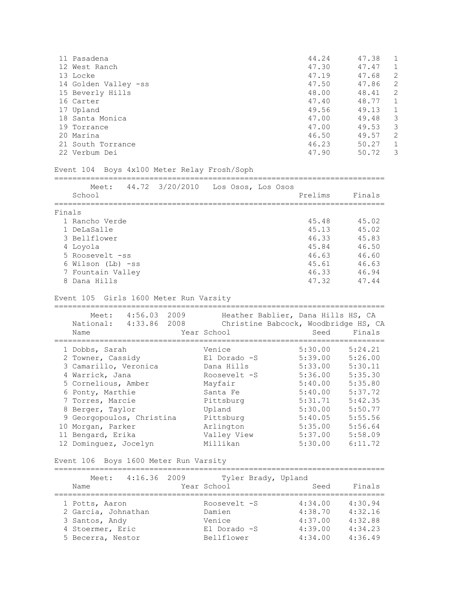| 11 Pasadena          | 44.24 | 47.38 |   |
|----------------------|-------|-------|---|
| 12 West Ranch        | 47.30 | 47.47 |   |
| 13 Locke             | 47.19 | 47.68 | 2 |
| 14 Golden Valley -ss | 47.50 | 47.86 | 2 |
| 15 Beverly Hills     | 48.00 | 48.41 | 2 |
| 16 Carter            | 47.40 | 48.77 |   |
| 17 Upland            | 49.56 | 49.13 |   |
| 18 Santa Monica      | 47.00 | 49.48 | 3 |
| 19 Torrance          | 47.00 | 49.53 | 3 |
| 20 Marina            | 46.50 | 49.57 | 2 |
| 21 South Torrance    | 46.23 | 50.27 |   |
| 22 Verbum Dei        | 47.90 | 50.72 | 3 |

Event 104 Boys 4x100 Meter Relay Frosh/Soph

=========================================================================

|        | Meet:<br>School   | 44.72 3/20/2010 | Los Osos, Los Osos |  | Prelims | Finals |
|--------|-------------------|-----------------|--------------------|--|---------|--------|
|        |                   |                 |                    |  |         |        |
| Finals |                   |                 |                    |  |         |        |
|        | 1 Rancho Verde    |                 |                    |  | 45.48   | 45.02  |
|        | 1 DeLaSalle       |                 |                    |  | 45.13   | 45.02  |
|        | 3 Bellflower      |                 |                    |  | 46.33   | 45.83  |
|        | 4 Loyola          |                 |                    |  | 45.84   | 46.50  |
|        | 5 Roosevelt -ss   |                 |                    |  | 46.63   | 46.60  |
|        | 6 Wilson (Lb) -ss |                 |                    |  | 45.61   | 46.63  |
|        | 7 Fountain Valley |                 |                    |  | 46.33   | 46.94  |
|        | 8 Dana Hills      |                 |                    |  | 47.32   | 47.44  |

Event 105 Girls 1600 Meter Run Varsity

| 4:56.03<br>Meet:<br>4:33.86 2008<br>National:<br>Name | 2009 | Year School  | Heather Bablier, Dana Hills HS, CA<br>Christine Babcock, Woodbridge HS, CA<br>Seed | Finals  |
|-------------------------------------------------------|------|--------------|------------------------------------------------------------------------------------|---------|
| 1 Dobbs, Sarah                                        |      | Venice       | 5:30.00                                                                            | 5:24.21 |
| 2 Towner, Cassidy                                     |      | El Dorado -S | 5:39.00                                                                            | 5:26.00 |
| 3 Camarillo, Veronica                                 |      | Dana Hills   | 5:33.00                                                                            | 5:30.11 |
| 4 Warrick, Jana                                       |      | Roosevelt -S | 5:36.00                                                                            | 5:35.30 |
| 5 Cornelious, Amber                                   |      | Mayfair      | 5:40.00                                                                            | 5:35.80 |
| 6 Ponty, Marthie                                      |      | Santa Fe     | 5:40.00                                                                            | 5:37.72 |
| 7 Torres, Marcie                                      |      | Pittsburg    | 5:31.71                                                                            | 5:42.35 |
| 8 Berger, Taylor                                      |      | Upland       | 5:30.00                                                                            | 5:50.77 |
| 9 Georgopoulos, Christina                             |      | Pittsburg    | 5:40.05                                                                            | 5:55.56 |
| 10 Morgan, Parker                                     |      | Arlington    | 5:35.00                                                                            | 5:56.64 |
| 11 Bengard, Erika                                     |      | Valley View  | 5:37.00                                                                            | 5:58.09 |
| 12 Dominquez, Jocelyn                                 |      | Millikan     | 5:30.00                                                                            | 6:11.72 |

Event 106 Boys 1600 Meter Run Varsity

| Meet:<br>Name                         | 4:16.36 2009 | Year School              | Tyler Brady, Upland |                    | Seed | Finals             |
|---------------------------------------|--------------|--------------------------|---------------------|--------------------|------|--------------------|
| 1 Potts, Aaron<br>2 Garcia, Johnathan |              | Roosevelt $-S$<br>Damien |                     | 4:34.00<br>4:38.70 |      | 4:30.94<br>4:32.16 |
| 3 Santos, Andy                        |              | Venice                   |                     | 4:37.00            |      | 4:32.88            |
| 4 Stoermer, Eric                      |              | El Dorado -S             |                     | 4:39.00            |      | 4:34.23            |
| 5 Becerra, Nestor                     |              | Bellflower               |                     | 4:34.00            |      | 4:36.49            |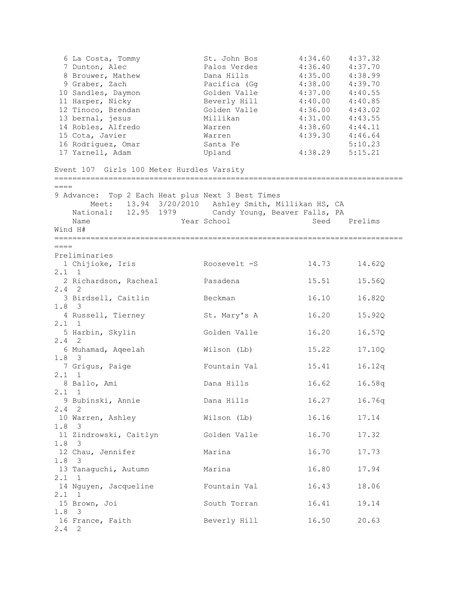|                                                                                                                                                                 | 6 La Costa, Tommy                                                                                        | St. John Bos                 | 4:34.60                        | 4:37.32 |
|-----------------------------------------------------------------------------------------------------------------------------------------------------------------|----------------------------------------------------------------------------------------------------------|------------------------------|--------------------------------|---------|
|                                                                                                                                                                 | 7 Dunton, Alec                                                                                           | Palos Verdes                 | 4:36.40                        | 4:37.70 |
|                                                                                                                                                                 | 8 Brouwer, Mathew                                                                                        | Dana Hills                   | 4:35.00                        | 4:38.99 |
|                                                                                                                                                                 | 9 Graber, Zach                                                                                           | Pacifica (Gg                 | 4:38.00                        | 4:39.70 |
|                                                                                                                                                                 | 10 Sandles, Daymon                                                                                       | Golden Valle                 | 4:37.00<br>$4:40.00$ $4:40.85$ | 4:40.55 |
|                                                                                                                                                                 | 11 Harper, Nicky<br>12 Tinoco, Brendan                                                                   | Beverly Hill<br>Golden Valle | $4:36.00$ $4:43.02$            |         |
|                                                                                                                                                                 | 13 bernal, jesus                                                                                         | Millikan                     | $4:31.00$ $4:43.55$            |         |
|                                                                                                                                                                 | 14 Robles, Alfredo                                                                                       | Warren                       | $4:38.60$ $4:44.11$            |         |
|                                                                                                                                                                 | 15 Cota, Javier                                                                                          | Warren                       | $4:39.30$ $4:46.64$            |         |
|                                                                                                                                                                 | 16 Rodriguez, Omar                                                                                       | Santa Fe                     |                                | 5:10.23 |
|                                                                                                                                                                 | 17 Yarnell, Adam                                                                                         | Upland                       | 4:38.29 5:15.21                |         |
|                                                                                                                                                                 |                                                                                                          |                              |                                |         |
|                                                                                                                                                                 | Event 107 Girls 100 Meter Hurdles Varsity                                                                |                              |                                |         |
| $====$                                                                                                                                                          |                                                                                                          |                              |                                |         |
|                                                                                                                                                                 | 9 Advance: Top 2 Each Heat plus Next 3 Best Times<br>Meet: 13.94 3/20/2010 Ashley Smith, Millikan HS, CA |                              |                                |         |
|                                                                                                                                                                 | National: 12.95 1979 Candy Young, Beaver Falls, PA                                                       |                              |                                |         |
|                                                                                                                                                                 | Name                                                                                                     | Year School                  | Seed                           | Prelims |
| Wind H#                                                                                                                                                         |                                                                                                          |                              |                                |         |
| $====$                                                                                                                                                          |                                                                                                          |                              |                                |         |
|                                                                                                                                                                 | Preliminaries                                                                                            |                              |                                |         |
|                                                                                                                                                                 | 1 Chijioke, Iris                                                                                         | Roosevelt -S                 | 14.73                          | 14.620  |
| $2.1 \quad 1$                                                                                                                                                   |                                                                                                          |                              |                                |         |
|                                                                                                                                                                 | 2 Richardson, Racheal                                                                                    | Pasadena                     | 15.51                          | 15.56Q  |
| $2.4 \quad 2$                                                                                                                                                   |                                                                                                          |                              |                                |         |
|                                                                                                                                                                 | 3 Birdsell, Caitlin                                                                                      | Beckman                      | 16.10                          | 16.82Q  |
| $1.8 \quad 3$                                                                                                                                                   |                                                                                                          |                              |                                |         |
| $2.1 \quad 1$                                                                                                                                                   | 4 Russell, Tierney                                                                                       | St. Mary's A                 | 16.20                          | 15.92Q  |
|                                                                                                                                                                 |                                                                                                          |                              |                                |         |
|                                                                                                                                                                 |                                                                                                          |                              |                                |         |
|                                                                                                                                                                 | 5 Harbin, Skylin                                                                                         | Golden Valle                 | 16.20                          | 16.57Q  |
|                                                                                                                                                                 | 6 Muhamad, Aqeelah                                                                                       | Wilson (Lb)                  | 15.22                          | 17.10Q  |
|                                                                                                                                                                 |                                                                                                          |                              |                                |         |
|                                                                                                                                                                 | 7 Grigus, Paige                                                                                          | Fountain Val                 | 15.41                          | 16.12q  |
|                                                                                                                                                                 |                                                                                                          |                              |                                |         |
|                                                                                                                                                                 | 8 Ballo, Ami                                                                                             | Dana Hills                   | 16.62                          | 16.58q  |
|                                                                                                                                                                 |                                                                                                          |                              |                                |         |
|                                                                                                                                                                 | 9 Bubinski, Annie                                                                                        | Dana Hills                   | 16.27                          | 16.76q  |
|                                                                                                                                                                 |                                                                                                          |                              |                                |         |
|                                                                                                                                                                 | 10 Warren, Ashley                                                                                        | Wilson (Lb)                  | 16.16                          | 17.14   |
|                                                                                                                                                                 |                                                                                                          |                              |                                |         |
|                                                                                                                                                                 | 11 Zindrowski, Caitlyn                                                                                   | Golden Valle                 | 16.70                          | 17.32   |
|                                                                                                                                                                 | 12 Chau, Jennifer                                                                                        | Marina                       | 16.70                          | 17.73   |
|                                                                                                                                                                 |                                                                                                          |                              |                                |         |
|                                                                                                                                                                 | 13 Tanaguchi, Autumn                                                                                     | Marina                       | 16.80                          | 17.94   |
|                                                                                                                                                                 |                                                                                                          |                              |                                |         |
|                                                                                                                                                                 | 14 Nguyen, Jacqueline                                                                                    | Fountain Val                 | 16.43                          | 18.06   |
|                                                                                                                                                                 |                                                                                                          |                              |                                |         |
|                                                                                                                                                                 | 15 Brown, Joi                                                                                            | South Torran                 | 16.41                          | 19.14   |
| $2.4$ 2<br>$1.8-3$<br>$2.1 \quad 1$<br>$2.1 \quad 1$<br>$2.4$ 2<br>$1.8-3$<br>1.8 <sup>3</sup><br>$1.8-3$<br>$2.1 \quad 1$<br>$2.1 \quad 1$<br>1.8 <sup>3</sup> | 16 France, Faith                                                                                         | Beverly Hill                 | 16.50                          | 20.63   |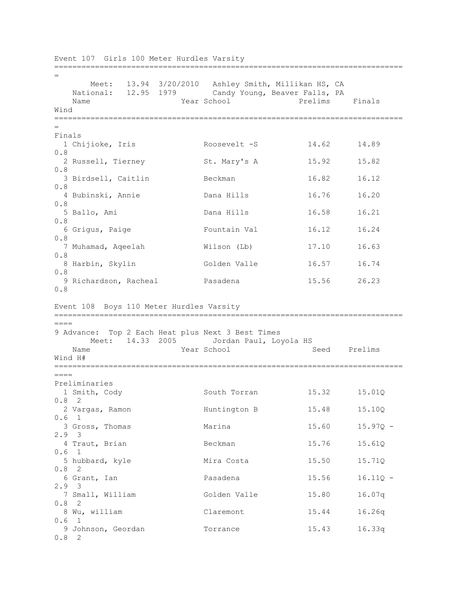| Event 107 Girls 100 Meter Hurdles Varsity                                                                                                      |                                       |                |              |
|------------------------------------------------------------------------------------------------------------------------------------------------|---------------------------------------|----------------|--------------|
| Meet: 13.94 3/20/2010 Ashley Smith, Millikan HS, CA<br>National: 12.95 1979 Candy Young, Beaver Falls, PA<br>Name<br>Wind                      | Year School                           | Prelims Finals |              |
|                                                                                                                                                |                                       |                |              |
| Finals<br>1 Chijioke, Iris<br>0.8                                                                                                              | Roosevelt $-S$                        | 14.62          | 14.89        |
| 2 Russell, Tierney                                                                                                                             | St. Mary's A                          | 15.92          | 15.82        |
| 0.8<br>3 Birdsell, Caitlin<br>0.8                                                                                                              | Beckman                               | 16.82          | 16.12        |
| 4 Bubinski, Annie                                                                                                                              | Dana Hills                            | 16.76          | 16.20        |
| 0.8<br>5 Ballo, Ami<br>0.8                                                                                                                     | Dana Hills                            | 16.58          | 16.21        |
| 6 Grigus, Paige                                                                                                                                | Fountain Val                          | 16.12          | 16.24        |
| 0.8<br>7 Muhamad, Aqeelah<br>0.8                                                                                                               | Wilson (Lb)                           | 17.10          | 16.63        |
| 8 Harbin, Skylin                                                                                                                               | Golden Valle                          |                | 16.57 16.74  |
| 0.8<br>9 Richardson, Racheal<br>0.8                                                                                                            | Pasadena                              |                | 15.56 26.23  |
| Event 108 Boys 110 Meter Hurdles Varsity<br>$====$<br>9 Advance: Top 2 Each Heat plus Next 3 Best Times<br>Meet: 14.33 2005<br>Name<br>Wind H# | Jordan Paul, Loyola HS<br>Year School |                | Seed Prelims |
|                                                                                                                                                |                                       |                |              |
| $====$<br>Preliminaries<br>1 Smith, Cody                                                                                                       | South Torran                          | 15.32          | 15.01Q       |
| $0.8$ 2<br>2 Vargas, Ramon                                                                                                                     | Huntington B                          | 15.48          | 15.10Q       |
| 0.6 1<br>3 Gross, Thomas                                                                                                                       | Marina                                | 15.60          | $15.97Q -$   |
| 2.9<br>$\overline{\mathbf{3}}$<br>4 Traut, Brian                                                                                               | Beckman                               | 15.76          | 15.61Q       |
| 0.6 1<br>5 hubbard, kyle                                                                                                                       | Mira Costa                            | 15.50          | 15.71Q       |
| 0.8<br>2<br>6 Grant, Ian                                                                                                                       | Pasadena                              | 15.56          | $16.11Q -$   |
| $2.9$ 3<br>7 Small, William                                                                                                                    | Golden Valle                          | 15.80          | 16.07q       |
| $0.8$ 2<br>8 Wu, william<br>0.6<br>$\overline{1}$                                                                                              | Claremont                             | 15.44          | 16.26q       |
| 9 Johnson, Geordan<br>$0.8$ 2                                                                                                                  | Torrance                              | 15.43          | 16.33q       |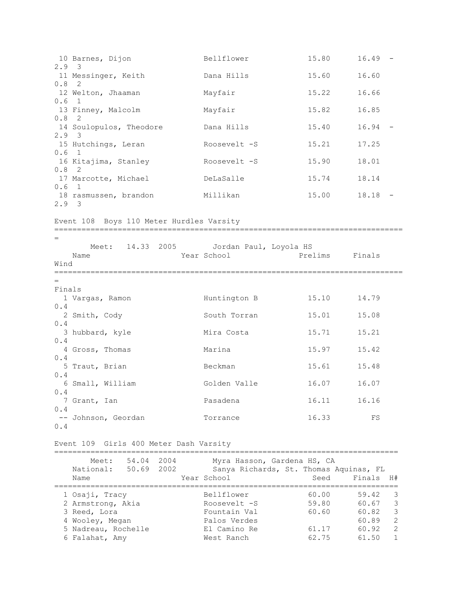10 Barnes, Dijon Bellflower 15.80 16.49 -2.9 3 11 Messinger, Keith Dana Hills 15.60 16.60 0.8 2 12 Welton, Jhaaman Mayfair 15.22 16.66 0.6 1 13 Finney, Malcolm Mayfair 15.82 16.85 0.8 2 14 Soulopulos, Theodore Dana Hills 15.40 16.94 - 2.9 3 15 Hutchings, Leran Roosevelt -S 15.21 17.25 0.6 1 16 Kitajima, Stanley Roosevelt -S 15.90 18.01 0.8 2 17 Marcotte, Michael DeLaSalle 15.74 18.14 0.6 1 18 rasmussen, brandon Millikan 15.00 18.18 - 2.9 3 Event 108 Boys 110 Meter Hurdles Varsity ============================================================================= = Meet: 14.33 2005 Jordan Paul, Loyola HS Name Year School Prelims Finals Wind =============================================================================  $=$ Finals 1 Vargas, Ramon Huntington B 15.10 14.79 0.4 2 Smith, Cody 6 South Torran 15.01 15.08 0.4 3 hubbard, kyle Mira Costa 15.71 15.21 0.4 4 Gross, Thomas Marina 15.97 15.42 0.4 5 Traut, Brian Beckman 15.61 15.48 0.4 6 Small, William Golden Valle 16.07 16.07 0.4 7 Grant, Ian Pasadena 16.11 16.16 0.4 -- Johnson, Geordan Torrance 16.33 FS 0.4 Event 109 Girls 400 Meter Dash Varsity ============================================================================ Meet: 54.04 2004 Myra Hasson, Gardena HS, CA National: 50.69 2002 Sanya Richards, St. Thomas Aquinas, FL Name The Year School Seed Finals H# ============================================================================ 1 Osaji, Tracy Bellflower 60.00 59.42 3 2 Armstrong, Akia Roosevelt -S 3 Reed, Lora Fountain Val 60.60 60.82 3 4 Wooley, Megan Palos Verdes 60.89 2 5 Nadreau, Rochelle El Camino Re 61.17 60.92 2 6 Falahat, Amy West Ranch 62.75 61.50 1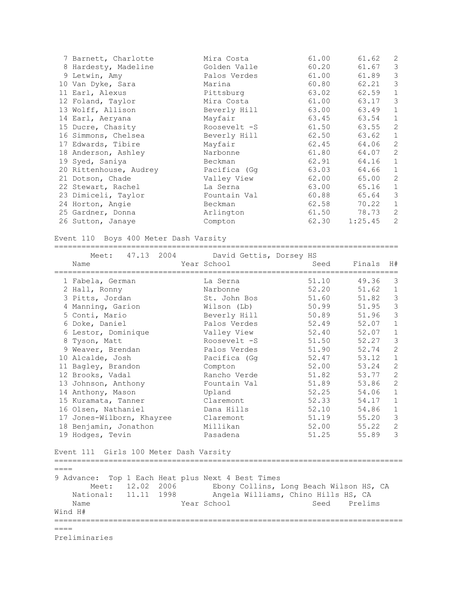| 7 Barnett, Charlotte   | Mira Costa   | 61.00 | 61.62   | 2              |
|------------------------|--------------|-------|---------|----------------|
| 8 Hardesty, Madeline   | Golden Valle | 60.20 | 61.67   | 3              |
| 9 Letwin, Amy          | Palos Verdes | 61.00 | 61.89   | 3              |
| 10 Van Dyke, Sara      | Marina       | 60.80 | 62.21   | 3              |
| 11 Earl, Alexus        | Pittsburg    | 63.02 | 62.59   | $\mathbf{1}$   |
| 12 Foland, Taylor      | Mira Costa   | 61.00 | 63.17   | 3              |
| 13 Wolff, Allison      | Beverly Hill | 63.00 | 63.49   | $\mathbf{1}$   |
| 14 Earl, Aeryana       | Mayfair      | 63.45 | 63.54   | $\mathbf{1}$   |
| 15 Ducre, Chasity      | Roosevelt -S | 61.50 | 63.55   | 2              |
| 16 Simmons, Chelsea    | Beverly Hill | 62.50 | 63.62   | $\mathbf{1}$   |
| 17 Edwards, Tibire     | Mayfair      | 62.45 | 64.06   | $\overline{2}$ |
| 18 Anderson, Ashley    | Narbonne     | 61.80 | 64.07   | 2              |
| 19 Syed, Saniya        | Beckman      | 62.91 | 64.16   | $\mathbf{1}$   |
| 20 Rittenhouse, Audrey | Pacifica (Gq | 63.03 | 64.66   | $\mathbf{1}$   |
| 21 Dotson, Chade       | Valley View  | 62.00 | 65.00   | $\overline{2}$ |
| 22 Stewart, Rachel     | La Serna     | 63.00 | 65.16   | $\mathbf{1}$   |
| 23 Dimiceli, Taylor    | Fountain Val | 60.88 | 65.64   | 3              |
| 24 Horton, Angie       | Beckman      | 62.58 | 70.22   | $\mathbf{1}$   |
| 25 Gardner, Donna      | Arlington    | 61.50 | 78.73   | $\overline{2}$ |
| 26 Sutton, Janaye      | Compton      | 62.30 | 1:25.45 | 2              |

Event 110 Boys 400 Meter Dash Varsity

============================================================================

|         | 47.13<br>2004<br>Meet:                 | David Gettis, Dorsey HS                |                                         |         |                |
|---------|----------------------------------------|----------------------------------------|-----------------------------------------|---------|----------------|
|         | Name                                   | Year School                            | Seed                                    | Finals  | H#             |
|         | 1 Fabela, German                       | La Serna                               | 51.10                                   | 49.36   | 3              |
|         | 2 Hall, Ronny                          | Narbonne                               | 52.20                                   | 51.62   | $\mathbf{1}$   |
|         | 3 Pitts, Jordan                        | St. John Bos                           | 51.60                                   | 51.82   | 3              |
|         | 4 Manning, Garion                      | Wilson (Lb)                            | 50.99                                   | 51.95   | $\mathfrak{Z}$ |
|         | 5 Conti, Mario                         | Beverly Hill                           | 50.89                                   | 51.96   | $\mathfrak{Z}$ |
|         | 6 Doke, Daniel                         | Palos Verdes                           | 52.49                                   | 52.07   | $\,1\,$        |
|         | 6 Lestor, Dominique                    | Valley View                            | 52.40                                   | 52.07   | $1\,$          |
|         | 8 Tyson, Matt                          | Roosevelt -S                           | 51.50                                   | 52.27   | 3              |
|         | 9 Weaver, Brendan                      | Palos Verdes                           | 51.90                                   | 52.74   | $\overline{c}$ |
|         | 10 Alcalde, Josh                       | Pacifica (Gg                           | 52.47                                   | 53.12   | $\mathbf{1}$   |
|         | 11 Bagley, Brandon                     | Compton                                | 52.00                                   | 53.24   | 2              |
|         | 12 Brooks, Vadal                       | Rancho Verde                           | 51.82                                   | 53.77   | $\overline{2}$ |
|         | 13 Johnson, Anthony                    | Fountain Val                           | 51.89                                   | 53.86   | 2              |
|         | 14 Anthony, Mason                      | Upland                                 | 52.25                                   | 54.06   | $\mathbf{1}$   |
|         | 15 Kuramata, Tanner                    | Claremont                              | 52.33                                   | 54.17   | $\mathbf{1}$   |
|         | 16 Olsen, Nathaniel                    | Dana Hills                             | 52.10                                   | 54.86   | $1\,$          |
|         | 17 Jones-Wilborn, Khayree              | Claremont                              | 51.19                                   | 55.20   | $\mathfrak{Z}$ |
|         | 18 Benjamin, Jonathon                  | Millikan                               | 52.00                                   | 55.22   | $\overline{c}$ |
|         | 19 Hodges, Tevin                       | Pasadena                               | 51.25                                   | 55.89   | $\mathfrak{Z}$ |
|         |                                        |                                        |                                         |         |                |
|         | Event 111 Girls 100 Meter Dash Varsity |                                        |                                         |         |                |
| $=====$ |                                        |                                        |                                         |         |                |
|         | 9 Advance:                             | Top 1 Each Heat plus Next 4 Best Times |                                         |         |                |
|         | 12.02 2006<br>Meet:                    |                                        | Ebony Collins, Long Beach Wilson HS, CA |         |                |
|         | National:<br>11.11<br>1998             |                                        | Angela Williams, Chino Hills HS, CA     |         |                |
|         | Name                                   | Year School                            | Seed                                    | Prelims |                |
|         | Wind H#                                |                                        |                                         |         |                |
|         |                                        |                                        |                                         |         |                |
| $=====$ |                                        |                                        |                                         |         |                |
|         | Preliminaries                          |                                        |                                         |         |                |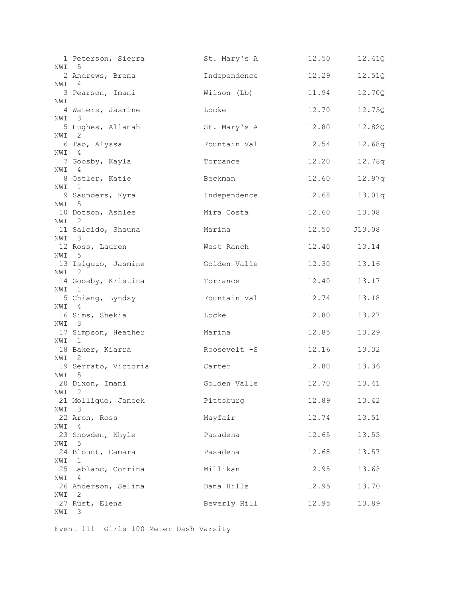| NWI   | 1 Peterson, Sierra<br>- 5                      | St. Mary's A         | 12.50          | 12.41Q         |
|-------|------------------------------------------------|----------------------|----------------|----------------|
| NWI   | 2 Andrews, Brena<br>$\overline{4}$             | Independence         | 12.29          | 12.51Q         |
| NWI 1 | 3 Pearson, Imani                               | Wilson (Lb)          | 11.94          | 12.70Q         |
| NWI 3 | 4 Waters, Jasmine                              | Locke                | 12.70          | 12.75Q         |
| NWI 2 | 5 Hughes, Allanah                              | St. Mary's A         | 12.80          | 12.82Q         |
| NWI 4 | 6 Tao, Alyssa                                  | Fountain Val         | 12.54          | 12.68q         |
| NWI 4 | 7 Goosby, Kayla                                | Torrance             | 12.20          | 12.78q         |
| NWI 1 | 8 Ostler, Katie                                | Beckman              | 12.60          | 12.97q         |
| NWI   | 9 Saunders, Kyra<br>- 5                        | Independence         | 12.68          | 13.01q         |
| NWI   | 10 Dotson, Ashlee<br>$\overline{2}$            | Mira Costa           | 12.60          | 13.08          |
| NWI   | 11 Salcido, Shauna<br>$\overline{\mathbf{3}}$  | Marina               | 12.50          | J13.08         |
| NWI 5 | 12 Ross, Lauren                                | West Ranch           | 12.40          | 13.14          |
| NWI 2 | 13 Isiguzo, Jasmine                            | Golden Valle         | 12.30          | 13.16          |
| NWI 1 | 14 Goosby, Kristina                            | Torrance             | 12.40          | 13.17          |
| NWI 4 | 15 Chiang, Lyndsy                              | Fountain Val         | 12.74          | 13.18          |
| NWI 3 | 16 Sims, Shekia                                | Locke                | 12.80          | 13.27          |
| NWI 1 | 17 Simpson, Heather                            | Marina               | 12.85          | 13.29          |
| NWI 2 | 18 Baker, Kiarra                               | Roosevelt -S         | 12.16          | 13.32          |
| NWI   | 19 Serrato, Victoria<br>- 5                    | Carter               | 12.80          | 13.36          |
|       | 20 Dixon, Imani<br>NWI 2                       | Golden Valle         | 12.70          | 13.41          |
| NWI   | 21 Mollique, Janeek<br>$\overline{\mathbf{3}}$ | Pittsburg            | 12.89          | 13.42          |
| NWI   | 22 Aron, Ross<br>$\overline{4}$                | Mayfair              | 12.74          | 13.51          |
| NWI   | 23 Snowden, Khyle<br>- 5                       | Pasadena             | 12.65<br>12.68 | 13.55          |
| NWI 1 | 24 Blount, Camara<br>25 Lablanc, Corrina       | Pasadena<br>Millikan | 12.95          | 13.57<br>13.63 |
| NWI   | $\overline{4}$<br>26 Anderson, Selina          | Dana Hills           | 12.95          | 13.70          |
| NWI 2 | 27 Rust, Elena                                 |                      | 12.95          | 13.89          |
| NWI   | 3                                              | Beverly Hill         |                |                |

Event 111 Girls 100 Meter Dash Varsity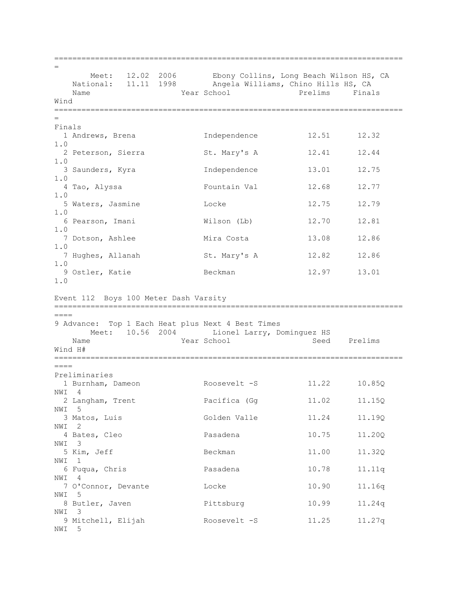|            | =======================                                                                                  |                                                                                               |         |              |
|------------|----------------------------------------------------------------------------------------------------------|-----------------------------------------------------------------------------------------------|---------|--------------|
| Wind       | Meet: 12.02 2006<br>National: 11.11 1998<br>Name                                                         | Ebony Collins, Long Beach Wilson HS, CA<br>Angela Williams, Chino Hills HS, CA<br>Year School | Prelims | Finals       |
|            |                                                                                                          |                                                                                               |         |              |
|            |                                                                                                          |                                                                                               |         |              |
| Finals     | 1 Andrews, Brena                                                                                         | Independence                                                                                  | 12.51   | 12.32        |
| 1.0<br>1.0 | 2 Peterson, Sierra                                                                                       | St. Mary's A                                                                                  | 12.41   | 12.44        |
| 1.0        | 3 Saunders, Kyra                                                                                         | Independence                                                                                  | 13.01   | 12.75        |
| $1.0$      | 4 Tao, Alyssa                                                                                            | Fountain Val                                                                                  | 12.68   | 12.77        |
| 1.0        | 5 Waters, Jasmine                                                                                        | Locke                                                                                         | 12.75   | 12.79        |
| 1.0        | 6 Pearson, Imani                                                                                         | Wilson (Lb)                                                                                   | 12.70   | 12.81        |
| 1.0        | 7 Dotson, Ashlee                                                                                         | Mira Costa                                                                                    | 13.08   | 12.86        |
| 1.0        | 7 Hughes, Allanah                                                                                        | St. Mary's A                                                                                  | 12.82   | 12.86        |
| 1.0        | 9 Ostler, Katie                                                                                          | Beckman                                                                                       | 12.97   | 13.01        |
|            |                                                                                                          |                                                                                               |         |              |
|            | Event 112 Boys 100 Meter Dash Varsity                                                                    |                                                                                               |         |              |
|            |                                                                                                          |                                                                                               |         |              |
| $====$     | 9 Advance: Top 1 Each Heat plus Next 4 Best Times<br>Meet: 10.56 2004 Lionel Larry, Dominguez HS<br>Name | Year School                                                                                   |         | Seed Prelims |
|            | Wind H#                                                                                                  |                                                                                               |         |              |
| $---$      |                                                                                                          |                                                                                               |         |              |
|            | Preliminaries<br>1 Burnham, Dameon                                                                       | Roosevelt -S                                                                                  | 11.22   | 10.85Q       |
|            | NWI 4<br>2 Langham, Trent                                                                                | Pacifica (Gg                                                                                  | 11.02   | 11.15Q       |
| NWI        | - 5<br>3 Matos, Luis                                                                                     | Golden Valle                                                                                  | 11.24   | 11.19Q       |
| NWI 2      | 4 Bates, Cleo                                                                                            | Pasadena                                                                                      | 10.75   | 11.20Q       |
| NWI 3      | 5 Kim, Jeff                                                                                              | Beckman                                                                                       | 11.00   | 11.32Q       |
| NWI 1      | 6 Fuqua, Chris                                                                                           | Pasadena                                                                                      | 10.78   | 11.11q       |
| NWI 4      | 7 O'Connor, Devante                                                                                      | Locke                                                                                         | 10.90   | 11.16q       |
| NWI<br>NWI | - 5<br>8 Butler, Javen<br>$\overline{\phantom{a}}$                                                       | Pittsburg                                                                                     | 10.99   | 11.24q       |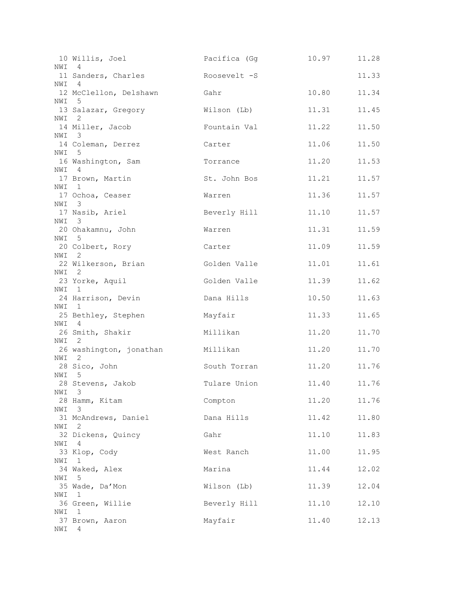| NWI   | 10 Willis, Joel<br>4                                  | Pacifica (Gq | 10.97 | 11.28 |
|-------|-------------------------------------------------------|--------------|-------|-------|
| NWI   | 11 Sanders, Charles<br>- 4                            | Roosevelt -S |       | 11.33 |
| NWI   | 12 McClellon, Delshawn<br>$-5$                        | Gahr         | 10.80 | 11.34 |
| NWI 2 | 13 Salazar, Gregory                                   | Wilson (Lb)  | 11.31 | 11.45 |
| NWI 3 | 14 Miller, Jacob                                      | Fountain Val | 11.22 | 11.50 |
| NWI 5 | 14 Coleman, Derrez                                    | Carter       | 11.06 | 11.50 |
| NWI 4 | 16 Washington, Sam                                    | Torrance     | 11.20 | 11.53 |
| NWI 1 | 17 Brown, Martin                                      | St. John Bos | 11.21 | 11.57 |
| NWI   | 17 Ochoa, Ceaser<br>$\overline{\phantom{a}}$ 3        | Warren       | 11.36 | 11.57 |
| NWI   | 17 Nasib, Ariel<br>- 3                                | Beverly Hill | 11.10 | 11.57 |
| NWI   | 20 Ohakamnu, John<br>$-5$                             | Warren       | 11.31 | 11.59 |
| NWI 2 | 20 Colbert, Rory                                      | Carter       | 11.09 | 11.59 |
| NWI 2 | 22 Wilkerson, Brian                                   | Golden Valle | 11.01 | 11.61 |
| NWI 1 | 23 Yorke, Aquil                                       | Golden Valle | 11.39 | 11.62 |
| NWI 1 | 24 Harrison, Devin                                    | Dana Hills   | 10.50 | 11.63 |
| NWI 4 | 25 Bethley, Stephen                                   | Mayfair      | 11.33 | 11.65 |
| NWI   | 26 Smith, Shakir<br>$\overline{2}$                    | Millikan     | 11.20 | 11.70 |
| NWI   | 26 washington, jonathan<br>$\overline{\phantom{0}}^2$ | Millikan     | 11.20 | 11.70 |
| NWI 5 | 28 Sico, John                                         | South Torran | 11.20 | 11.76 |
| NWI 3 | 28 Stevens, Jakob                                     | Tulare Union | 11.40 | 11.76 |
| NWI   | 28 Hamm, Kitam<br>$\overline{\mathbf{3}}$             | Compton      | 11.20 | 11.76 |
| NWI 2 | 31 McAndrews, Daniel                                  | Dana Hills   | 11.42 | 11.80 |
| NWI 4 | 32 Dickens, Quincy                                    | Gahr         | 11.10 | 11.83 |
| NWI 1 | 33 Klop, Cody                                         | West Ranch   | 11.00 | 11.95 |
| NWI 5 | 34 Waked, Alex                                        | Marina       | 11.44 | 12.02 |
| NWI 1 | 35 Wade, Da'Mon                                       | Wilson (Lb)  | 11.39 | 12.04 |
| NWI   | 36 Green, Willie<br>$\overline{1}$                    | Beverly Hill | 11.10 | 12.10 |
| NWI   | 37 Brown, Aaron<br>4                                  | Mayfair      | 11.40 | 12.13 |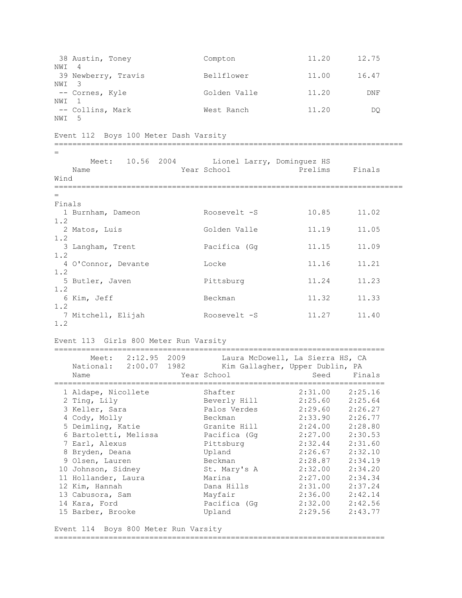38 Austin, Toney Compton 11.20 12.75 NWI 4 39 Newberry, Travis **Bellflower** 11.00 16.47 NWI 3 -- Cornes, Kyle Golden Valle 11.20 DNF NWI 1 -- Collins, Mark West Ranch 11.20 DO NWI 5 Event 112 Boys 100 Meter Dash Varsity ============================================================================= = Meet: 10.56 2004 Lionel Larry, Dominguez HS Name The Year School Prelims Finals Wind ============================================================================= = Finals 1 Burnham, Dameon Roosevelt -S 10.85 11.02 1.2 2 Matos, Luis Golden Valle 11.19 11.05 1.2 3 Langham, Trent Pacifica (Gg 11.15 11.09 1.2 4 O'Connor, Devante Locke 11.16 11.21 1.2 5 Butler, Javen **Pittsburg** 11.24 11.23 1.2 6 Kim, Jeff **Beckman** Beckman 11.32 11.33 1.2 7 Mitchell, Elijah Roosevelt -S 11.27 11.40 1.2 Event 113 Girls 800 Meter Run Varsity ========================================================================= Meet: 2:12.95 2009 Laura McDowell, La Sierra HS, CA National: 2:00.07 1982 Kim Gallagher, Upper Dublin, PA Name The Year School Contracts Seed Finals ========================================================================= 1 Aldape, Nicollete Shafter 2:31.00 2:25.16 2 Ting, Lily Beverly Hill 2:25.60 2:25.64 3 Keller, Sara Palos Verdes 2:29.60 2:26.27 4 Cody, Molly Beckman 2:33.90 2:26.77 5 Deimling, Katie Granite Hill 2:24.00 2:28.80 6 Bartoletti, Melissa Pacifica (Gg 2:27.00 2:30.53 7 Earl, Alexus Pittsburg 2:32.44 2:31.60 8 Bryden, Deana Upland 2:26.67 2:32.10 9 Olsen, Deana Upland 2:26.67 2:32.10<br>
9 Olsen, Lauren Beckman 2:28.87 2:34.19<br>
10 Johnson, Sidney St. Mary's A 2:32.00 2:34.20<br>
11 Hollander, Laura Marina 2:27.00 2:34.34 10 Johnson, Sidney St. Mary's A 2:32.00 2:34.20 11 Hollander, Laura Marina 2:27.00 2:34.34 12 Kim, Hannah Dana Hills 2:31.00 2:37.24 13 Cabusora, Sam Mayfair 2:36.00 2:42.14 14 Kara, Ford Pacifica (Gg 2:32.00 2:42.56 15 Barber, Brooke Upland 2:29.56 2:43.77

Event 114 Boys 800 Meter Run Varsity

=========================================================================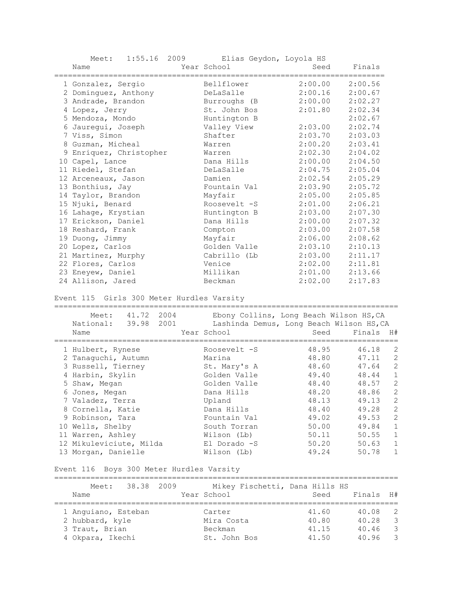| 2009<br>Meet:<br>1:55.16                                                                          | Elias Geydon, Loyola HS                                                             |                                |                   |              |
|---------------------------------------------------------------------------------------------------|-------------------------------------------------------------------------------------|--------------------------------|-------------------|--------------|
| Name                                                                                              | Year School                                                                         | Seed                           | Finals            |              |
| ====================================<br>1 Gonzalez, Sergio                                        | Bellflower                                                                          | ————-<br>2:00.00               | ——————<br>2:00.56 |              |
| 2 Dominguez, Anthony                                                                              | DeLaSalle                                                                           | 2:00.16                        | 2:00.67           |              |
| 3 Andrade, Brandon                                                                                | Burroughs (B                                                                        | 2:00.00                        | 2:02.27           |              |
| 4 Lopez, Jerry                                                                                    | St. John Bos                                                                        | 2:01.80                        | 2:02.34           |              |
| 5 Mendoza, Mondo                                                                                  | Huntington B                                                                        |                                | 2:02.67           |              |
| 6 Jauregui, Joseph                                                                                | Valley View                                                                         | 2:03.00                        | 2:02.74           |              |
| 7 Viss, Simon                                                                                     | Shafter                                                                             | 2:03.70                        | 2:03.03           |              |
| 8 Guzman, Micheal                                                                                 | Warren                                                                              | 2:00.20                        | 2:03.41           |              |
| 9 Enriquez, Christopher                                                                           | Warren                                                                              | 2:02.30                        | 2:04.02           |              |
| 10 Capel, Lance                                                                                   | Dana Hills                                                                          | 2:00.00                        | 2:04.50           |              |
| 11 Riedel, Stefan                                                                                 | DeLaSalle                                                                           | 2:04.75                        | 2:05.04           |              |
| 12 Arceneaux, Jason                                                                               | Damien                                                                              | 2:02.54                        | 2:05.29           |              |
| 13 Bonthius, Jay                                                                                  | Fountain Val                                                                        | 2:03.90                        | 2:05.72           |              |
| 14 Taylor, Brandon                                                                                | Mayfair                                                                             | 2:05.00                        | 2:05.85           |              |
| 15 Njuki, Benard                                                                                  | Roosevelt -S                                                                        | 2:01.00                        | 2:06.21           |              |
| 16 Lahage, Krystian                                                                               | Huntington B                                                                        | 2:03.00                        | 2:07.30           |              |
| 17 Erickson, Daniel                                                                               | Dana Hills                                                                          | 2:00.00                        | 2:07.32           |              |
| 18 Reshard, Frank                                                                                 | Compton                                                                             | 2:03.00                        | 2:07.58           |              |
| 19 Duong, Jimmy                                                                                   | Mayfair                                                                             | 2:06.00                        | 2:08.62           |              |
| 20 Lopez, Carlos                                                                                  | Golden Valle                                                                        | 2:03.10                        | 2:10.13           |              |
| 21 Martinez, Murphy                                                                               | Cabrillo (Lb                                                                        | 2:03.00                        | 2:11.17           |              |
| 22 Flores, Carlos                                                                                 | Venice                                                                              | 2:02.00                        | 2:11.81           |              |
| 23 Eneyew, Daniel                                                                                 | Millikan                                                                            | 2:01.00                        | 2:13.66           |              |
| 24 Allison, Jared                                                                                 | Beckman                                                                             | 2:02.00                        | 2:17.83           |              |
| Event 115 Girls 300 Meter Hurdles Varsity<br>41.72<br>2004<br>Meet:<br>2001<br>National:<br>39.98 | Ebony Collins, Long Beach Wilson HS, CA<br>Lashinda Demus, Long Beach Wilson HS, CA |                                |                   |              |
| Name                                                                                              | Year School                                                                         | Seed                           | Finals            | H#           |
|                                                                                                   |                                                                                     |                                |                   |              |
| 1 Hulbert, Rynese                                                                                 | Roosevelt -S                                                                        | 48.95                          | 46.18             | 2            |
| 2 Tanaguchi, Autumn                                                                               | Marina                                                                              | 48.80                          | 47.11             | 2            |
| 3 Russell, Tierney                                                                                | St. Mary's A                                                                        | 48.60                          | 47.64             | 2            |
| 4 Harbin, Skylin                                                                                  | Golden Valle                                                                        | 49.40                          | 48.44             | $\mathbf{1}$ |
| 5 Shaw, Megan                                                                                     | Golden Valle                                                                        | 48.40                          | 48.57             | $\mathbf{2}$ |
| 6 Jones, Megan                                                                                    | Dana Hills                                                                          | 48.20                          | 48.86             | $\mathbf{2}$ |
| 7 Valadez, Terra                                                                                  | Upland                                                                              | 48.13                          | 49.13             | 2            |
| 8 Cornella, Katie                                                                                 | Dana Hills                                                                          | 48.40                          | 49.28             | 2            |
| 9 Robinson, Tara                                                                                  | Fountain Val                                                                        | 49.02                          | 49.53             | $\sqrt{2}$   |
| 10 Wells, Shelby                                                                                  | South Torran                                                                        | 50.00                          | 49.84             | $\mathbf 1$  |
| 11 Warren, Ashley                                                                                 | Wilson (Lb)                                                                         | 50.11                          | 50.55             | $\mathbf{1}$ |
| 12 Mikuleviciute, Milda                                                                           | El Dorado -S                                                                        | 50.20                          | 50.63             | $\mathbf{1}$ |
| 13 Morgan, Danielle                                                                               | Wilson (Lb)                                                                         | 49.24                          | 50.78             | 1            |
| Event 116 Boys 300 Meter Hurdles Varsity                                                          |                                                                                     |                                |                   |              |
| =====================================                                                             |                                                                                     | Mikey Fischetti, Dana Hills HS |                   |              |

| uutu u<br>Name      | JU.JU ZUUJ | MIXEY PLOURCLL, Dana hills no<br>Year School | Seed  | Finals H# |   |
|---------------------|------------|----------------------------------------------|-------|-----------|---|
| 1 Anguiano, Esteban |            | Carter                                       | 41.60 | 40.08     |   |
| 2 hubbard, kyle     |            | Mira Costa                                   | 40.80 | 40.28     | 3 |
| 3 Traut, Brian      |            | Beckman                                      | 41.15 | 40.46     |   |
| 4 Okpara, Ikechi    |            | St. John Bos                                 | 41.50 | 40.96     |   |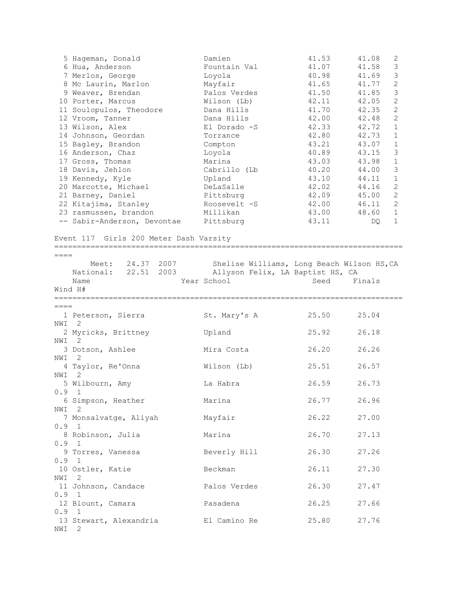|                            | 5 Hageman, Donald<br>6 Hua, Anderson<br>7 Merlos, George<br>8 Mc Laurin, Marlon<br>9 Weaver, Brendan | Damien<br>Fountain Val<br>Loyola<br>Mayfair<br>Palos Verdes                                   | 41.53<br>41.07<br>40.98<br>41.65<br>41.50 | 41.08<br>41.58<br>41.69<br>41.77<br>41.85 | 2<br>$\mathfrak{Z}$<br>$\mathfrak{Z}$<br>$\sqrt{2}$<br>$\mathfrak{Z}$ |
|----------------------------|------------------------------------------------------------------------------------------------------|-----------------------------------------------------------------------------------------------|-------------------------------------------|-------------------------------------------|-----------------------------------------------------------------------|
|                            | 10 Porter, Marcus<br>11 Soulopulos, Theodore<br>12 Vroom, Tanner                                     | Wilson (Lb)<br>Dana Hills<br>Dana Hills                                                       | 42.11<br>41.70<br>42.00                   | 42.05<br>42.35<br>42.48                   | $\sqrt{2}$<br>$\sqrt{2}$<br>$\overline{c}$                            |
|                            | 13 Wilson, Alex<br>14 Johnson, Geordan<br>15 Bagley, Brandon                                         | El Dorado -S<br>Torrance<br>Compton                                                           | 42.33<br>42.80<br>43.21                   | 42.72<br>42.73<br>43.07                   | $\,1\,$<br>$\,1\,$<br>$\,1\,$                                         |
|                            | 16 Anderson, Chaz<br>17 Gross, Thomas<br>18 Davis, Jehlon                                            | Loyola<br>Marina<br>Cabrillo (Lb                                                              | 40.89<br>43.03<br>40.20                   | 43.15<br>43.98<br>44.00                   | $\mathfrak{Z}$<br>$\,1\,$<br>$\mathfrak{Z}$                           |
|                            | 19 Kennedy, Kyle<br>20 Marcotte, Michael<br>21 Barney, Daniel                                        | Upland<br>DeLaSalle<br>Pittsburg                                                              | 43.10<br>42.02<br>42.09                   | 44.11<br>44.16<br>45.00                   | $1\,$<br>$\sqrt{2}$<br>$\sqrt{2}$                                     |
|                            | 22 Kitajima, Stanley<br>23 rasmussen, brandon<br>-- Sabir-Anderson, Devontae                         | Roosevelt -S<br>Millikan<br>Pittsburg                                                         | 42.00<br>43.00<br>43.11                   | 46.11<br>48.60<br>DQ.                     | $\mathbf{2}$<br>$\mathbf{1}$<br>$\mathbf{1}$                          |
|                            | Event 117 Girls 200 Meter Dash Varsity                                                               |                                                                                               |                                           |                                           |                                                                       |
| $====$                     | 24.37 2007<br>Meet:<br>National:<br>22.51<br>2003<br>Name<br>Wind H#                                 | Shelise Williams, Long Beach Wilson HS, CA<br>Allyson Felix, LA Baptist HS, CA<br>Year School | Seed                                      | Finals                                    |                                                                       |
|                            |                                                                                                      |                                                                                               |                                           |                                           |                                                                       |
| $====$<br>NWI <sub>2</sub> | 1 Peterson, Sierra                                                                                   | St. Mary's A                                                                                  | 25.50                                     | 25.04                                     |                                                                       |
| NWI                        | 2 Myricks, Brittney<br>2                                                                             | Upland                                                                                        | 25.92                                     | 26.18                                     |                                                                       |
| NWI                        | 3 Dotson, Ashlee<br>$\overline{2}$                                                                   | Mira Costa                                                                                    | 26.20                                     | 26.26                                     |                                                                       |
| NWI 2                      | 4 Taylor, Re'Onna                                                                                    | Wilson (Lb)                                                                                   | 25.51                                     | 26.57                                     |                                                                       |
| $0.9 \quad 1$              | 5 Wilbourn, Amy                                                                                      | La Habra                                                                                      | 26.59                                     | 26.73                                     |                                                                       |
| NWI 2                      | 6 Simpson, Heather                                                                                   | Marina                                                                                        | 26.77                                     | 26.96                                     |                                                                       |
| 0.9 1                      | 7 Monsalvatge, Aliyah                                                                                | Mayfair                                                                                       | 26.22                                     | 27.00                                     |                                                                       |
| 0.9 1                      | 8 Robinson, Julia<br>9 Torres, Vanessa                                                               | Marina<br>Beverly Hill                                                                        | 26.70<br>26.30                            | 27.13<br>27.26                            |                                                                       |
| 0.9 1<br>NWI <sub>2</sub>  | 10 Ostler, Katie                                                                                     | Beckman                                                                                       | 26.11                                     | 27.30                                     |                                                                       |
| 0.9 1                      | 11 Johnson, Candace                                                                                  | Palos Verdes                                                                                  | 26.30                                     | 27.47                                     |                                                                       |
| 0.9 1                      | 12 Blount, Camara<br>13 Stewart, Alexandria Bancamino Re                                             | Pasadena                                                                                      | 26.25<br>25.80                            | 27.66<br>27.76                            |                                                                       |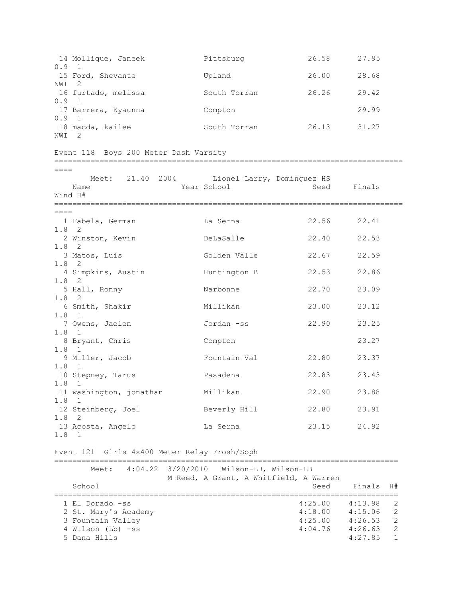14 Mollique, Janeek Pittsburg 26.58 27.95 0.9 1 15 Ford, Shevante Upland 26.00 28.68 NWI 2 16 furtado, melissa South Torran 26.26 29.42 0.9 1 17 Barrera, Kyaunna Compton 29.99 0.9 1 18 macda, kailee  $\sim$  South Torran  $\sim$  26.13 31.27 NWI 2 Event 118 Boys 200 Meter Dash Varsity =============================================================================  $====$ Meet: 21.40 2004 Lionel Larry, Dominguez HS Name The Year School Seed Finals Wind H# =============================================================================  $=$  1 Fabela, German La Serna 22.56 22.41 1.8 2 2 Winston, Kevin DeLaSalle 22.40 22.53 1.8 2 3 Matos, Luis Golden Valle 22.67 22.59 1.8 2 4 Simpkins, Austin Huntington B 22.53 22.86 1.8 2 5 Hall, Ronny Narbonne 22.70 23.09 1.8 2 6 Smith, Shakir Millikan 23.00 23.12 1.8 1 7 Owens, Jaelen Jordan -ss 22.90 23.25 1.8 1 8 Bryant, Chris Compton 23.27 1.8 1 9 Miller, Jacob Fountain Val 22.80 23.37 1.8 1 10 Stepney, Tarus Pasadena 22.83 23.43 1.8 1 11 washington, jonathan Millikan 22.90 23.88 1.8 1 12 Steinberg, Joel Beverly Hill 22.80 23.91 1.8 2 13 Acosta, Angelo La Serna 23.15 24.92 1.8 1 Event 121 Girls 4x400 Meter Relay Frosh/Soph ============================================================================ Meet: 4:04.22 3/20/2010 Wilson-LB, Wilson-LB M Reed, A Grant, A Whitfield, A Warren School School Seed Finals H# ============================================================================ 1 El Dorado -ss 4:25.00 4:13.98 2 2 St. Mary's Academy 4:18.00 4:15.06 2 3 Fountain Valley 4:25.00 4:26.53 2 4 Wilson (Lb) -ss 4:04.76 4:26.63 2 5 Dana Hills 4:27.85 1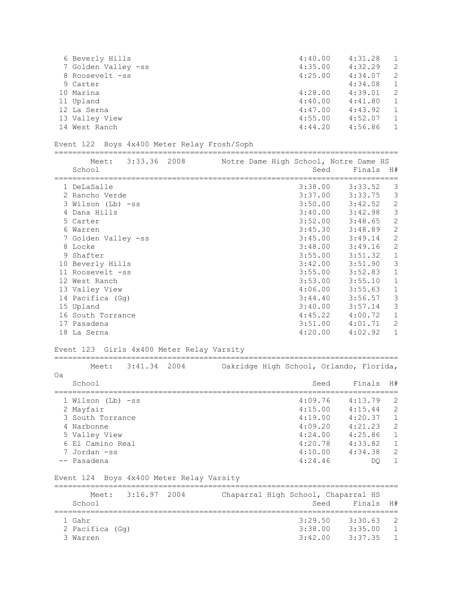| 6 Beverly Hills     | 4:40.00 | 4:31.28      |
|---------------------|---------|--------------|
| 7 Golden Valley -ss | 4:35.00 | 4:32.29<br>2 |
| 8 Roosevelt -ss     | 4:25.00 | 4:34.07<br>2 |
| 9 Carter            |         | 4:34.08      |
| 10 Marina           | 4:28.00 | 4:39.01<br>2 |
| 11 Upland           | 4:40.00 | 4:41.80      |
| 12 La Serna         | 4:47.00 | 4:43.92      |
| 13 Valley View      | 4:55.00 | 4:52.07      |
| 14 West Ranch       | 4:44.20 | 4:56.86      |

Event 122 Boys 4x400 Meter Relay Frosh/Soph

|    | Meet:               | 3:33.36 2008 |  |  | Notre Dame High School, Notre Dame HS |         |                |
|----|---------------------|--------------|--|--|---------------------------------------|---------|----------------|
|    | School              |              |  |  | Seed                                  | Finals  | H#             |
|    |                     |              |  |  |                                       |         |                |
|    | 1 DeLaSalle         |              |  |  | 3:38.00                               | 3:33.52 | 3              |
|    | 2 Rancho Verde      |              |  |  | 3:37.00                               | 3:33.75 | 3              |
|    | 3 Wilson (Lb) -ss   |              |  |  | 3:50.00                               | 3:42.52 | $\overline{2}$ |
| 4  | Dana Hills          |              |  |  | 3:40.00                               | 3:42.98 | 3              |
|    | 5 Carter            |              |  |  | 3:52.00                               | 3:48.65 | $\overline{2}$ |
| 6  | Warren              |              |  |  | 3:45.30                               | 3:48.89 | $\overline{c}$ |
|    | 7 Golden Valley -ss |              |  |  | 3:45.00                               | 3:49.14 | $\overline{2}$ |
|    | 8 Locke             |              |  |  | 3:48.00                               | 3:49.16 | $\overline{c}$ |
| 9  | Shafter             |              |  |  | 3:55.00                               | 3:51.32 | $\mathbf{1}$   |
|    | 10 Beverly Hills    |              |  |  | 3:42.00                               | 3:51.90 | 3              |
|    | 11 Roosevelt -ss    |              |  |  | 3:55.00                               | 3:52.83 | $\mathbf{1}$   |
|    | 12 West Ranch       |              |  |  | 3:53.00                               | 3:55.10 | $\mathbf{1}$   |
|    | 13 Valley View      |              |  |  | 4:06.00                               | 3:55.63 | $\mathbf{1}$   |
|    | 14 Pacifica (Gq)    |              |  |  | 3:44.40                               | 3:56.57 | 3              |
|    | 15 Upland           |              |  |  | 3:40.00                               | 3:57.14 | 3              |
|    | 16 South Torrance   |              |  |  | 4:45.22                               | 4:00.72 | $\mathbf{1}$   |
|    | 17 Pasadena         |              |  |  | 3:51.00                               | 4:01.71 | $\overline{2}$ |
| 18 | La Serna            |              |  |  | 4:20.00                               | 4:02.92 | 1              |

Event 123 Girls 4x400 Meter Relay Varsity

|    | Meet:             | 3:41.34 2004 | Oakridge High School, Orlando, Florida, |         |      |         |               |
|----|-------------------|--------------|-----------------------------------------|---------|------|---------|---------------|
| 0a | School            |              |                                         |         | Seed | Finals  | H#            |
|    | 1 Wilson (Lb) -ss |              |                                         | 4:09.76 |      | 4:13.79 | 2             |
|    | 2 Mayfair         |              |                                         | 4:15.00 |      | 4:15.44 | $\mathcal{L}$ |
|    | 3 South Torrance  |              |                                         | 4:19.00 |      | 4:20.37 |               |
|    | 4 Narbonne        |              |                                         | 4:09.20 |      | 4:21.23 | $\mathcal{P}$ |
|    | 5 Valley View     |              |                                         | 4:24.00 |      | 4:25.86 |               |
|    | 6 El Camino Real  |              |                                         | 4:20.78 |      | 4:33.82 |               |
|    | 7 Jordan -ss      |              |                                         | 4:10.00 |      | 4:34.38 | 2             |
|    | -- Pasadena       |              |                                         | 4:24.46 |      | DO      |               |

Event 124 Boys 4x400 Meter Relay Varsity

| Meet:           | 3:16.97 2004 | Chaparral High School, Chaparral HS |         |         |           |
|-----------------|--------------|-------------------------------------|---------|---------|-----------|
| School          |              |                                     | Seed    | Finals  | <b>H#</b> |
|                 |              |                                     |         |         |           |
| 1 Gahr          |              |                                     | 3:29.50 | 3:30.63 |           |
| 2 Pacifica (Gq) |              |                                     | 3:38.00 | 3:35.00 |           |
| 3 Warren        |              |                                     | 3:42.00 | 3:37.35 |           |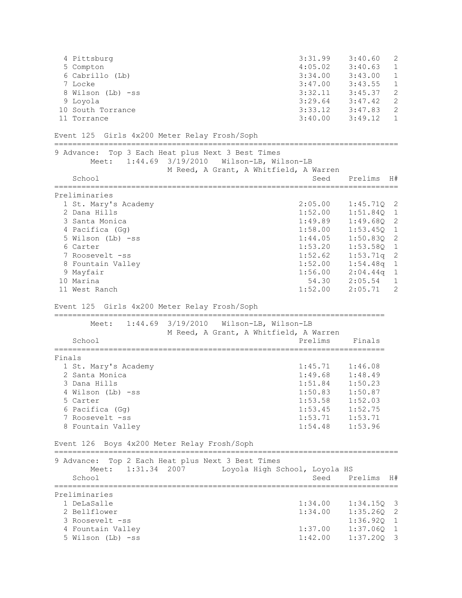| 4 Pittsburg                                          | 3:31.99                               | 3:40.60<br>2                              |  |
|------------------------------------------------------|---------------------------------------|-------------------------------------------|--|
| 5 Compton                                            | 4:05.02                               | 3:40.63<br>1                              |  |
| 6 Cabrillo (Lb)                                      | 3:34.00                               | 3:43.00<br>$\mathbf{1}$                   |  |
| 7 Locke                                              | 3:47.00                               | $\mathbf{1}$<br>3:43.55                   |  |
| 8 Wilson (Lb) -ss                                    | 3:32.11                               | $\sqrt{2}$<br>3:45.37                     |  |
| 9 Loyola                                             | 3:29.64                               | $\mathbf{2}$<br>3:47.42                   |  |
| 10 South Torrance                                    | 3:33.12                               | $\mathbf{2}$<br>3:47.83                   |  |
| 11 Torrance                                          | 3:40.00                               | 1<br>3:49.12                              |  |
|                                                      |                                       |                                           |  |
| Event 125 Girls 4x200 Meter Relay Frosh/Soph         |                                       |                                           |  |
| Top 3 Each Heat plus Next 3 Best Times<br>9 Advance: |                                       |                                           |  |
| Meet: 1:44.69 3/19/2010 Wilson-LB, Wilson-LB         |                                       |                                           |  |
| M Reed, A Grant, A Whitfield, A Warren               |                                       |                                           |  |
| School                                               | Seed                                  | Prelims<br>H#                             |  |
|                                                      |                                       |                                           |  |
| Preliminaries                                        |                                       |                                           |  |
| 1 St. Mary's Academy                                 | 2:05.00                               | 1:45.71Q<br>2                             |  |
| 2 Dana Hills                                         | 1:52.00                               | 1:51.84Q<br>$\mathbf{1}$                  |  |
| 3 Santa Monica                                       | 1:49.89                               | 1:49.68Q<br>2                             |  |
| 4 Pacifica (Gg)                                      | 1:58.00                               | 1:53.45Q<br>$\mathbf 1$                   |  |
| 5 Wilson (Lb) -ss                                    | 1:44.05                               | $\mathbf{2}$<br>1:50.83Q                  |  |
| 6 Carter                                             | 1:53.20                               | 1:53.58Q<br>$\mathbf{1}$                  |  |
| 7 Roosevelt -ss                                      | 1:52.62                               | 1:53.71q<br>$\mathbf{2}$                  |  |
| 8 Fountain Valley                                    | 1:52.00                               | 1:54.48q<br>$\mathbf 1$                   |  |
| 9 Mayfair                                            | 1:56.00                               | 2:04.44q<br>$\mathbf{1}$                  |  |
| 10 Marina                                            | 54.30                                 | 2:05.54<br>$\mathbf{1}$                   |  |
| 11 West Ranch                                        | 1:52.00                               | 2:05.71<br>2                              |  |
| Event 125 Girls 4x200 Meter Relay Frosh/Soph         |                                       |                                           |  |
|                                                      |                                       |                                           |  |
| 1:44.69<br>3/19/2010<br>Meet:                        | Wilson-LB, Wilson-LB                  |                                           |  |
|                                                      |                                       |                                           |  |
| M Reed, A Grant, A Whitfield, A Warren               |                                       |                                           |  |
| School                                               | Prelims                               | Finals                                    |  |
| Finals                                               |                                       |                                           |  |
|                                                      | 1:45.71                               | 1:46.08                                   |  |
| 1 St. Mary's Academy                                 |                                       |                                           |  |
| 2 Santa Monica                                       | 1:49.68                               | 1:48.49                                   |  |
| 3 Dana Hills                                         | 1:51.84                               | 1:50.23                                   |  |
| 4 Wilson (Lb) -ss                                    | 1:50.83                               | 1:50.87                                   |  |
| 5 Carter                                             | 1:53.58                               | 1:52.03                                   |  |
| 6 Pacifica (Gq)                                      | 1:53.45                               | 1:52.75                                   |  |
| 7 Roosevelt -ss                                      | 1:53.71                               | 1:53.71                                   |  |
| 8 Fountain Valley                                    | 1:54.48                               | 1:53.96                                   |  |
| Event 126 Boys 4x200 Meter Relay Frosh/Soph          |                                       |                                           |  |
|                                                      |                                       | ===============                           |  |
| Top 2 Each Heat plus Next 3 Best Times<br>9 Advance: |                                       |                                           |  |
| 1:31.34 2007<br>Meet:<br>School                      | Loyola High School, Loyola HS<br>Seed | Prelims<br>H#                             |  |
| =============                                        |                                       |                                           |  |
| Preliminaries                                        |                                       |                                           |  |
| 1 DeLaSalle                                          | 1:34.00                               | 1:34.15Q<br>3                             |  |
| 2 Bellflower                                         | 1:34.00                               | 1:35.26Q<br>2                             |  |
| 3 Roosevelt -ss                                      |                                       | 1:36.92Q<br>1                             |  |
| 4 Fountain Valley<br>5 Wilson (Lb) -ss               | 1:37.00<br>1:42.00                    | 1:37.06Q<br>$\mathbf{1}$<br>1:37.20Q<br>3 |  |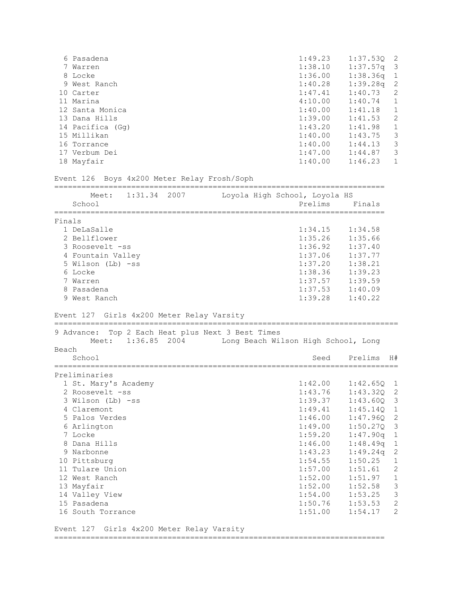| 6 Pasadena<br>7 Warren<br>8 Locke<br>9 West Ranch<br>10 Carter<br>11 Marina<br>12 Santa Monica<br>13 Dana Hills<br>14 Pacifica (Gg)<br>15 Millikan<br>16 Torrance<br>17 Verbum Dei<br>18 Mayfair |         |      |                                     | 1:49.23<br>1:38.10<br>1:36.00<br>1:40.28<br>1:47.41<br>4:10.00<br>1:40.00<br>1:39.00<br>1:43.20<br>1:40.00<br>1:40.00<br>1:47.00<br>1:40.00 | 1:37.53Q<br>1:37.57q<br>1:38.36q<br>1:39.28q<br>1:40.73<br>1:40.74<br>1:41.18<br>1:41.53<br>1:41.98<br>1:43.75<br>1:44.13<br>1:44.87<br>1:46.23 | 2<br>3<br>$\mathbf{1}$<br>2<br>2<br>$\mathbf{1}$<br>$\mathbf{1}$<br>2<br>$\mathbf{1}$<br>3<br>3<br>3<br>$\mathbf{1}$ |
|--------------------------------------------------------------------------------------------------------------------------------------------------------------------------------------------------|---------|------|-------------------------------------|---------------------------------------------------------------------------------------------------------------------------------------------|-------------------------------------------------------------------------------------------------------------------------------------------------|----------------------------------------------------------------------------------------------------------------------|
| Event 126 Boys 4x200 Meter Relay Frosh/Soph                                                                                                                                                      |         |      |                                     |                                                                                                                                             |                                                                                                                                                 |                                                                                                                      |
| Meet:                                                                                                                                                                                            | 1:31.34 | 2007 | Loyola High School, Loyola HS       |                                                                                                                                             |                                                                                                                                                 |                                                                                                                      |
| School                                                                                                                                                                                           |         |      |                                     | Prelims                                                                                                                                     | Finals                                                                                                                                          |                                                                                                                      |
| Finals                                                                                                                                                                                           |         |      |                                     |                                                                                                                                             |                                                                                                                                                 |                                                                                                                      |
| 1 DeLaSalle                                                                                                                                                                                      |         |      |                                     | 1:34.15                                                                                                                                     | 1:34.58                                                                                                                                         |                                                                                                                      |
| 2 Bellflower                                                                                                                                                                                     |         |      |                                     | 1:35.26                                                                                                                                     | 1:35.66                                                                                                                                         |                                                                                                                      |
| 3 Roosevelt -ss                                                                                                                                                                                  |         |      |                                     | 1:36.92                                                                                                                                     | 1:37.40                                                                                                                                         |                                                                                                                      |
| 4 Fountain Valley                                                                                                                                                                                |         |      |                                     | 1:37.06                                                                                                                                     | 1:37.77                                                                                                                                         |                                                                                                                      |
| 5 Wilson (Lb) -ss                                                                                                                                                                                |         |      |                                     | 1:37.20                                                                                                                                     | 1:38.21                                                                                                                                         |                                                                                                                      |
| 6 Locke                                                                                                                                                                                          |         |      |                                     | 1:38.36                                                                                                                                     | 1:39.23                                                                                                                                         |                                                                                                                      |
| 7 Warren                                                                                                                                                                                         |         |      |                                     | 1:37.57                                                                                                                                     | 1:39.59                                                                                                                                         |                                                                                                                      |
| 8 Pasadena                                                                                                                                                                                       |         |      |                                     | 1:37.53                                                                                                                                     | 1:40.09                                                                                                                                         |                                                                                                                      |
| 9 West Ranch                                                                                                                                                                                     |         |      |                                     | 1:39.28                                                                                                                                     | 1:40.22                                                                                                                                         |                                                                                                                      |
| Event 127 Girls 4x200 Meter Relay Varsity                                                                                                                                                        |         |      |                                     |                                                                                                                                             |                                                                                                                                                 |                                                                                                                      |
|                                                                                                                                                                                                  |         |      |                                     |                                                                                                                                             |                                                                                                                                                 |                                                                                                                      |
| 9 Advance: Top 2 Each Heat plus Next 3 Best Times                                                                                                                                                |         |      |                                     |                                                                                                                                             |                                                                                                                                                 |                                                                                                                      |
| Meet: 1:36.85 2004<br>Beach                                                                                                                                                                      |         |      | Long Beach Wilson High School, Long |                                                                                                                                             |                                                                                                                                                 |                                                                                                                      |
| School                                                                                                                                                                                           |         |      |                                     | Seed                                                                                                                                        | Prelims                                                                                                                                         | H#                                                                                                                   |
|                                                                                                                                                                                                  |         |      |                                     |                                                                                                                                             |                                                                                                                                                 |                                                                                                                      |
| Preliminaries                                                                                                                                                                                    |         |      |                                     |                                                                                                                                             |                                                                                                                                                 |                                                                                                                      |
| 1 St. Mary's Academy                                                                                                                                                                             |         |      |                                     | 1:42.00                                                                                                                                     | 1:42.65Q                                                                                                                                        | 1                                                                                                                    |
| 2 Roosevelt -ss                                                                                                                                                                                  |         |      |                                     | 1:43.76                                                                                                                                     | $1:43.32Q$ 2                                                                                                                                    |                                                                                                                      |
| 3 Wilson (Lb) -ss                                                                                                                                                                                |         |      |                                     | 1:39.37                                                                                                                                     | 1:43.60Q                                                                                                                                        | 3                                                                                                                    |
| 4 Claremont                                                                                                                                                                                      |         |      |                                     | 1:49.41                                                                                                                                     | 1:45.14Q                                                                                                                                        | $\mathbf{1}$                                                                                                         |
| 5 Palos Verdes                                                                                                                                                                                   |         |      |                                     | 1:46.00                                                                                                                                     | 1:47.96Q                                                                                                                                        | $\mathbf{2}$                                                                                                         |
| 6 Arlington                                                                                                                                                                                      |         |      |                                     | 1:49.00                                                                                                                                     | 1:50.270                                                                                                                                        | $\mathfrak{Z}$                                                                                                       |
| 7 Locke                                                                                                                                                                                          |         |      |                                     | 1:59.20                                                                                                                                     | 1:47.90q                                                                                                                                        | $1\,$                                                                                                                |
| 8 Dana Hills                                                                                                                                                                                     |         |      |                                     | 1:46.00                                                                                                                                     | 1:48.49q                                                                                                                                        | $\mathbf{1}$                                                                                                         |
| 9 Narbonne                                                                                                                                                                                       |         |      |                                     | 1:43.23                                                                                                                                     | 1:49.24q                                                                                                                                        | $\mathbf{2}$                                                                                                         |
| 10 Pittsburg                                                                                                                                                                                     |         |      |                                     | 1:54.55                                                                                                                                     | 1:50.25                                                                                                                                         | 1                                                                                                                    |
| 11 Tulare Union                                                                                                                                                                                  |         |      |                                     | 1:57.00                                                                                                                                     | 1:51.61                                                                                                                                         | $\sqrt{2}$                                                                                                           |
| 12 West Ranch                                                                                                                                                                                    |         |      |                                     | 1:52.00                                                                                                                                     | 1:51.97                                                                                                                                         | $\,1\,$                                                                                                              |
| 13 Mayfair<br>14 Valley View                                                                                                                                                                     |         |      |                                     | 1:52.00<br>1:54.00                                                                                                                          | 1:52.58<br>1:53.25                                                                                                                              | $\mathfrak{Z}$<br>$\mathfrak{Z}$                                                                                     |
| 15 Pasadena                                                                                                                                                                                      |         |      |                                     | 1:50.76                                                                                                                                     | 1:53.53                                                                                                                                         | $\sqrt{2}$                                                                                                           |
| 16 South Torrance                                                                                                                                                                                |         |      |                                     | 1:51.00                                                                                                                                     | 1:54.17                                                                                                                                         | 2                                                                                                                    |
|                                                                                                                                                                                                  |         |      |                                     |                                                                                                                                             |                                                                                                                                                 |                                                                                                                      |

Event 127 Girls 4x200 Meter Relay Varsity

=========================================================================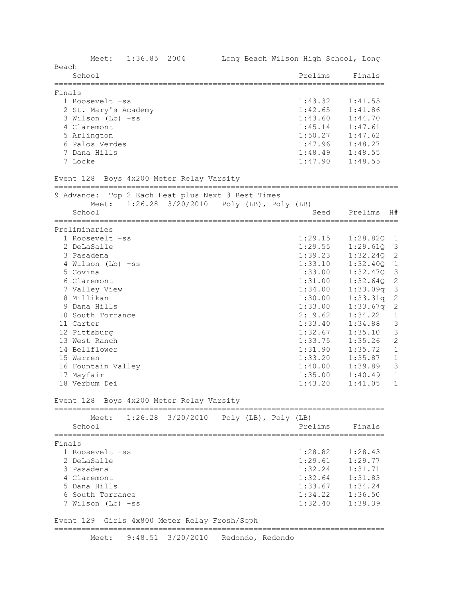|        | Meet:                | 1:36.85 | 2004                                         |                      |         | Long Beach Wilson High School, Long |              |
|--------|----------------------|---------|----------------------------------------------|----------------------|---------|-------------------------------------|--------------|
| Beach  | School               |         |                                              |                      | Prelims | Finals                              |              |
| Finals |                      |         |                                              |                      |         |                                     |              |
|        | 1 Roosevelt -ss      |         |                                              |                      | 1:43.32 | 1:41.55                             |              |
|        | 2 St. Mary's Academy |         |                                              |                      | 1:42.65 | 1:41.86                             |              |
|        | 3 Wilson (Lb) -ss    |         |                                              |                      | 1:43.60 | 1:44.70                             |              |
|        | 4 Claremont          |         |                                              |                      | 1:45.14 | 1:47.61                             |              |
|        | 5 Arlington          |         |                                              |                      | 1:50.27 | 1:47.62                             |              |
|        | 6 Palos Verdes       |         |                                              |                      | 1:47.96 | 1:48.27                             |              |
|        | 7 Dana Hills         |         |                                              |                      | 1:48.49 | 1:48.55                             |              |
|        | 7 Locke              |         |                                              |                      | 1:47.90 | 1:48.55                             |              |
|        |                      |         | Event 128 Boys 4x200 Meter Relay Varsity     |                      |         |                                     |              |
|        | 9 Advance:           |         | Top 2 Each Heat plus Next 3 Best Times       |                      |         |                                     |              |
|        | Meet:                |         | $1:26.28$ $3/20/2010$ Poly (LB), Poly (LB)   |                      |         |                                     |              |
|        | School               |         |                                              |                      | Seed    | Prelims                             | H#           |
|        | Preliminaries        |         |                                              |                      |         |                                     |              |
|        | 1 Roosevelt -ss      |         |                                              |                      | 1:29.15 | 1:28.82Q                            | 1            |
|        | 2 DeLaSalle          |         |                                              |                      | 1:29.55 | 1:29.61Q                            | 3            |
|        | 3 Pasadena           |         |                                              |                      | 1:39.23 | 1:32.24Q                            | 2            |
|        | 4 Wilson (Lb) -ss    |         |                                              |                      | 1:33.10 | 1:32.40Q                            | $\mathbf 1$  |
|        | 5 Covina             |         |                                              |                      | 1:33.00 | 1:32.470                            | 3            |
|        | 6 Claremont          |         |                                              |                      | 1:31.00 | 1:32.64Q                            | 2            |
|        | 7 Valley View        |         |                                              |                      | 1:34.00 | 1:33.09q                            | 3            |
|        | 8 Millikan           |         |                                              |                      | 1:30.00 | 1:33.31q                            | $\mathbf{2}$ |
|        | 9 Dana Hills         |         |                                              |                      | 1:33.00 | 1:33.67q                            | $\mathbf{2}$ |
|        | 10 South Torrance    |         |                                              |                      | 2:19.62 | 1:34.22                             | $1\,$        |
|        | 11 Carter            |         |                                              |                      | 1:33.40 | 1:34.88                             | 3            |
|        | 12 Pittsburg         |         |                                              |                      | 1:32.67 | 1:35.10                             | 3            |
|        | 13 West Ranch        |         |                                              |                      | 1:33.75 | 1:35.26                             | 2            |
|        | 14 Bellflower        |         |                                              |                      | 1:31.90 | 1:35.72                             | $1\,$        |
|        | 15 Warren            |         |                                              |                      | 1:33.20 | 1:35.87                             | $\mathbf{1}$ |
|        | 16 Fountain Valley   |         |                                              |                      | 1:40.00 | 1:39.89                             | 3            |
|        | 17 Mayfair           |         |                                              |                      | 1:35.00 | 1:40.49                             | $\mathbf{1}$ |
|        | 18 Verbum Dei        |         |                                              |                      | 1:43.20 | 1:41.05                             | $\mathbf{1}$ |
|        |                      |         | Event 128 Boys 4x200 Meter Relay Varsity     |                      |         |                                     |              |
|        | Meet:                | 1:26.28 | 3/20/2010                                    | Poly (LB), Poly (LB) |         | =================================== |              |
|        | School               |         |                                              |                      | Prelims | Finals                              |              |
| Finals |                      |         |                                              |                      |         |                                     |              |
|        | 1 Roosevelt -ss      |         |                                              |                      | 1:28.82 | 1:28.43                             |              |
|        | 2 DeLaSalle          |         |                                              |                      | 1:29.61 | 1:29.77                             |              |
|        | 3 Pasadena           |         |                                              |                      | 1:32.24 | 1:31.71                             |              |
|        | 4 Claremont          |         |                                              |                      | 1:32.64 | 1:31.83                             |              |
|        | 5 Dana Hills         |         |                                              |                      | 1:33.67 | 1:34.24                             |              |
|        | 6 South Torrance     |         |                                              |                      | 1:34.22 | 1:36.50                             |              |
|        | 7 Wilson (Lb) -ss    |         |                                              |                      | 1:32.40 | 1:38.39                             |              |
|        |                      |         | Event 129 Girls 4x800 Meter Relay Frosh/Soph |                      |         |                                     |              |
|        |                      |         | :================================            |                      |         |                                     |              |

Meet: 9:48.51 3/20/2010 Redondo, Redondo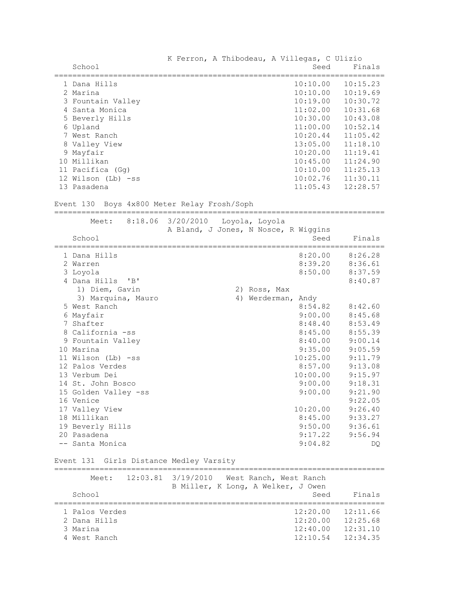|                                             | K Ferron, A Thibodeau, A Villegas, C Ulizio |          |                |
|---------------------------------------------|---------------------------------------------|----------|----------------|
| School<br>----------------                  |                                             | Seed     | Finals         |
| 1 Dana Hills                                |                                             | 10:10.00 | 10:15.23       |
| 2 Marina                                    |                                             | 10:10.00 | 10:19.69       |
| 3 Fountain Valley                           |                                             | 10:19.00 | 10:30.72       |
| 4 Santa Monica                              |                                             | 11:02.00 | 10:31.68       |
| 5 Beverly Hills                             |                                             | 10:30.00 | 10:43.08       |
| 6 Upland                                    |                                             | 11:00.00 | 10:52.14       |
| 7 West Ranch                                |                                             | 10:20.44 | 11:05.42       |
| 8 Valley View                               |                                             | 13:05.00 | 11:18.10       |
| 9 Mayfair                                   |                                             | 10:20.00 | 11:19.41       |
| 10 Millikan                                 |                                             | 10:45.00 | 11:24.90       |
| 11 Pacifica (Gg)                            |                                             | 10:10.00 | 11:25.13       |
| 12 Wilson (Lb) -ss                          |                                             | 10:02.76 | 11:30.11       |
| 13 Pasadena                                 |                                             | 11:05.43 | 12:28.57       |
| Event 130 Boys 4x800 Meter Relay Frosh/Soph |                                             |          |                |
| 8:18.06<br>Meet:                            | 3/20/2010<br>Loyola, Loyola                 |          |                |
|                                             | A Bland, J Jones, N Nosce, R Wiggins        |          |                |
| School                                      |                                             | Seed     | Finals         |
| ================                            |                                             |          | -------------- |
| 1 Dana Hills                                |                                             | 8:20.00  | 8:26.28        |
| 2 Warren                                    |                                             | 8:39.20  | 8:36.61        |
| 3 Loyola                                    |                                             | 8:50.00  | 8:37.59        |
| 4 Dana Hills<br>"B"                         |                                             |          | 8:40.87        |
| 1) Diem, Gavin                              | 2) Ross, Max                                |          |                |
| 3) Marquina, Mauro                          | 4) Werderman, Andy                          |          |                |
| 5 West Ranch                                |                                             | 8:54.82  | 8:42.60        |
| 6 Mayfair                                   |                                             | 9:00.00  | 8:45.68        |
| 7 Shafter                                   |                                             | 8:48.40  | 8:53.49        |
| 8 California -ss                            |                                             | 8:45.00  | 8:55.39        |
| 9 Fountain Valley                           |                                             | 8:40.00  | 9:00.14        |
| 10 Marina                                   |                                             | 9:35.00  | 9:05.59        |
| 11 Wilson (Lb) -ss                          |                                             | 10:25.00 | 9:11.79        |
| 12 Palos Verdes                             |                                             | 8:57.00  | 9:13.08        |
| 13 Verbum Dei                               |                                             | 10:00.00 | 9:15.97        |
| 14 St. John Bosco                           |                                             | 9:00.00  | 9:18.31        |
| 15 Golden Valley -ss                        |                                             | 9:00.00  | 9:21.90        |
| 16 Venice                                   |                                             |          | 9:22.05        |
| 17 Valley View                              |                                             | 10:20.00 | 9:26.40        |
| 18 Millikan                                 |                                             | 8:45.00  | 9:33.27        |
| 19 Beverly Hills                            |                                             | 9:50.00  | 9:36.61        |
| 20 Pasadena                                 |                                             | 9:17.22  | 9:56.94        |
| -- Santa Monica                             |                                             | 9:04.82  | DQ.            |
| Event 131 Girls Distance Medley Varsity     |                                             |          |                |
| 12:03.81<br>Meet:                           | 3/19/2010<br>West Ranch, West Ranch         |          |                |
|                                             | B Miller, K Long, A Welker, J Owen          |          |                |
| School                                      |                                             | Seed     | Finals         |
|                                             |                                             |          |                |
| 1 Palos Verdes                              |                                             | 12:20.00 | 12:11.66       |
| 2 Dana Hills                                |                                             | 12:20.00 | 12:25.68       |
| 3 Marina                                    |                                             | 12:40.00 | 12:31.10       |
| 4 West Ranch                                |                                             | 12:10.54 | 12:34.35       |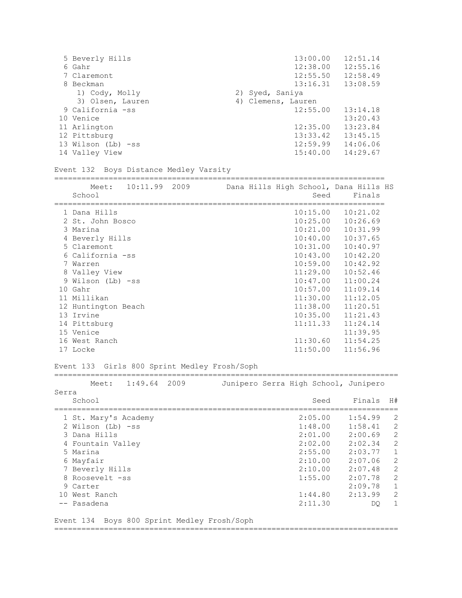|       | 5 Beverly Hills                              | 13:00.00<br>12:51.14                                         |              |
|-------|----------------------------------------------|--------------------------------------------------------------|--------------|
|       | 6 Gahr                                       | 12:38.00<br>12:55.16                                         |              |
|       | 7 Claremont                                  | 12:55.50<br>12:58.49                                         |              |
|       | 8 Beckman                                    | 13:16.31<br>13:08.59                                         |              |
|       | 1) Cody, Molly                               | 2) Syed, Saniya                                              |              |
|       | 3) Olsen, Lauren                             | 4) Clemens, Lauren                                           |              |
|       | 9 California -ss                             | 12:55.00<br>13:14.18                                         |              |
|       | 10 Venice                                    | 13:20.43                                                     |              |
|       | 11 Arlington                                 | 12:35.00<br>13:23.84                                         |              |
|       | 12 Pittsburg                                 | 13:33.42<br>13:45.15                                         |              |
|       | 13 Wilson (Lb) -ss                           | 12:59.99<br>14:06.06                                         |              |
|       | 14 Valley View                               | 15:40.00<br>14:29.67                                         |              |
|       | Event 132 Boys Distance Medley Varsity       |                                                              |              |
|       | 10:11.99 2009<br>Meet:                       | ===================<br>Dana Hills High School, Dana Hills HS |              |
|       | School                                       | Finals<br>Seed<br>-------------                              |              |
|       | 1 Dana Hills                                 | 10:21.02<br>10:15.00                                         |              |
|       | 2 St. John Bosco                             | 10:25.00<br>10:26.69                                         |              |
|       | 3 Marina                                     | 10:21.00<br>10:31.99                                         |              |
|       | 4 Beverly Hills                              | 10:40.00<br>10:37.65                                         |              |
|       | 5 Claremont                                  | 10:31.00<br>10:40.97                                         |              |
|       | 6 California -ss                             | 10:43.00<br>10:42.20                                         |              |
|       | 7 Warren                                     | 10:59.00<br>10:42.92                                         |              |
|       | 8 Valley View                                | 11:29.00<br>10:52.46                                         |              |
|       | 9 Wilson (Lb) -ss                            | 10:47.00<br>11:00.24                                         |              |
|       | 10 Gahr                                      | 10:57.00<br>11:09.14                                         |              |
|       | 11 Millikan                                  | 11:12.05<br>11:30.00                                         |              |
|       | 12 Huntington Beach                          | 11:38.00<br>11:20.51                                         |              |
|       | 13 Irvine                                    | 10:35.00<br>11:21.43                                         |              |
|       | 14 Pittsburg                                 | 11:11.33<br>11:24.14                                         |              |
|       | 15 Venice                                    |                                                              |              |
|       | 16 West Ranch                                | 11:39.95                                                     |              |
|       | 17 Locke                                     | 11:30.60<br>11:54.25<br>11:50.00<br>11:56.96                 |              |
|       | Event 133 Girls 800 Sprint Medley Frosh/Soph |                                                              |              |
|       | $1:49.64$ 2009<br>Meet:                      | Junipero Serra High School, Junipero                         |              |
| Serra | School                                       | Seed<br>Finals                                               | H#           |
|       | 1 St. Mary's Academy                         | 2:05.00<br>1:54.99                                           | 2            |
|       | 2 Wilson (Lb) -ss                            | 1:48.00<br>1:58.41                                           | 2            |
|       | 3 Dana Hills                                 | 2:01.00<br>2:00.69                                           | $\mathbf{2}$ |
|       | 4 Fountain Valley                            | 2:02.00<br>2:02.34                                           | $\sqrt{2}$   |
|       | 5 Marina                                     | 2:55.00<br>2:03.77                                           | $\mathbf{1}$ |
|       |                                              |                                                              |              |

10 West Ranch 1:44.80 2:13.99 2<br>
-- Pasadena 2:11.30 DQ 1 -- Pasadena 2:11.30 DQ 1 Event 134 Boys 800 Sprint Medley Frosh/Soph

============================================================================

 6 Mayfair 2:10.00 2:07.06 2 7 Beverly Hills 2:10.00 2:07.48 2 8 Roosevelt -ss 1:55.00 2:07.78 2 9 Carter 2:09.78 1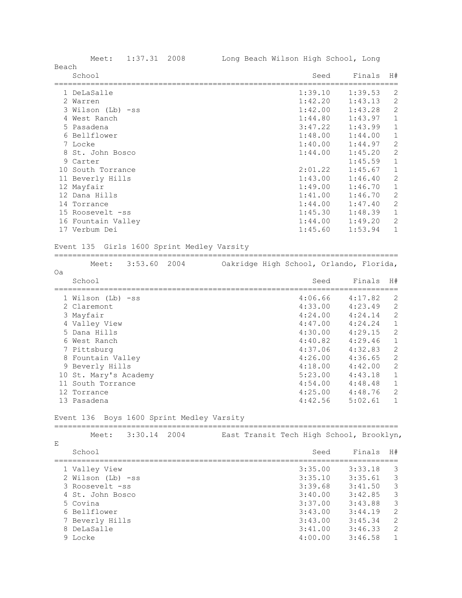|       | Meet:                      | 1:37.31 | 2008                                       | Long Beach Wilson High School, Long      |                   |                |
|-------|----------------------------|---------|--------------------------------------------|------------------------------------------|-------------------|----------------|
| Beach |                            |         |                                            |                                          |                   |                |
|       | School                     |         |                                            | Seed                                     | Finals            | H#             |
|       | _______________            |         |                                            |                                          | ================  |                |
|       | 1 DeLaSalle                |         |                                            | 1:39.10                                  | 1:39.53           | 2              |
|       | 2 Warren                   |         |                                            | 1:42.20                                  | 1:43.13           | 2              |
|       | 3 Wilson (Lb) -ss          |         |                                            | 1:42.00                                  | 1:43.28           | 2              |
|       | 4 West Ranch               |         |                                            | 1:44.80                                  | 1:43.97           | $\mathbf 1$    |
|       | 5 Pasadena                 |         |                                            | 3:47.22                                  | 1:43.99           | $1\,$          |
|       | 6 Bellflower               |         |                                            | 1:48.00                                  | 1:44.00           | $\mathbf 1$    |
|       | 7 Locke                    |         |                                            | 1:40.00                                  | 1:44.97           | $\mathbf{2}$   |
|       | 8 St. John Bosco           |         |                                            | 1:44.00                                  | 1:45.20           | 2              |
|       | 9 Carter                   |         |                                            |                                          | 1:45.59           | 1              |
|       | 10 South Torrance          |         |                                            | 2:01.22                                  | 1:45.67           | 1              |
|       | 11 Beverly Hills           |         |                                            | 1:43.00                                  | 1:46.40           | 2              |
|       | 12 Mayfair                 |         |                                            | 1:49.00                                  | 1:46.70           | $\mathbf 1$    |
|       | 12 Dana Hills              |         |                                            | 1:41.00                                  | 1:46.70           | $\mathbf{2}$   |
|       | 14 Torrance                |         |                                            | 1:44.00                                  | 1:47.40           | 2              |
|       | 15 Roosevelt -ss           |         |                                            | 1:45.30                                  | 1:48.39           | $\mathbf{1}$   |
|       | 16 Fountain Valley         |         |                                            | 1:44.00                                  | 1:49.20           | $\mathbf{2}$   |
|       | 17 Verbum Dei              |         |                                            | 1:45.60                                  | 1:53.94           | 1              |
|       |                            |         |                                            |                                          |                   |                |
|       |                            |         | Event 135 Girls 1600 Sprint Medley Varsity |                                          |                   |                |
|       |                            |         |                                            |                                          |                   |                |
|       | Meet:                      | 3:53.60 | 2004                                       | Oakridge High School, Orlando, Florida,  |                   |                |
| 0a    |                            |         |                                            |                                          |                   |                |
|       | School                     |         |                                            | Seed                                     | Finals            | H#             |
|       | ========================== |         |                                            |                                          | ================= |                |
|       | 1 Wilson (Lb) -ss          |         |                                            | 4:06.66                                  | 4:17.82           | 2              |
|       | 2 Claremont                |         |                                            | 4:33.00                                  | 4:23.49           | 2              |
|       | 3 Mayfair                  |         |                                            | 4:24.00                                  | 4:24.14           | 2              |
|       | 4 Valley View              |         |                                            | 4:47.00                                  | 4:24.24           | 1              |
|       | 5 Dana Hills               |         |                                            | 4:30.00                                  | 4:29.15           | $\mathbf{2}$   |
|       | 6 West Ranch               |         |                                            | 4:40.82                                  | 4:29.46           | $1\,$          |
|       | 7 Pittsburg                |         |                                            | 4:37.06                                  | 4:32.83           | $\mathbf{2}$   |
|       | 8 Fountain Valley          |         |                                            |                                          |                   | $\mathbf{2}$   |
|       |                            |         |                                            | 4:26.00                                  | 4:36.65           |                |
|       | 9 Beverly Hills            |         |                                            | 4:18.00                                  | 4:42.00           | $\mathbf{2}$   |
|       | 10 St. Mary's Academy      |         |                                            | 5:23.00                                  | 4:43.18           | $\mathbf{1}$   |
|       | 11 South Torrance          |         |                                            | 4:54.00                                  | 4:48.48           | 1              |
|       | 12 Torrance                |         |                                            | 4:25.00                                  | 4:48.76           | 2              |
|       | 13 Pasadena                |         |                                            | 4:42.56                                  | 5:02.61           | 1              |
|       |                            |         |                                            |                                          |                   |                |
|       |                            |         | Event 136 Boys 1600 Sprint Medley Varsity  |                                          |                   |                |
|       |                            |         |                                            |                                          |                   |                |
|       | Meet:                      | 3:30.14 | 2004                                       | East Transit Tech High School, Brooklyn, |                   |                |
| Ε     |                            |         |                                            |                                          |                   |                |
|       | School                     |         |                                            | Seed                                     | Finals            | H#             |
|       | ============               |         |                                            |                                          |                   |                |
|       | 1 Valley View              |         |                                            | 3:35.00                                  | 3:33.18           | 3              |
|       | 2 Wilson (Lb) -ss          |         |                                            | 3:35.10                                  | 3:35.61           | 3              |
|       | 3 Roosevelt -ss            |         |                                            | 3:39.68                                  | 3:41.50           | $\mathsf 3$    |
|       | 4 St. John Bosco           |         |                                            | 3:40.00                                  | 3:42.85           | $\mathfrak{Z}$ |
|       | 5 Covina                   |         |                                            | 3:37.00                                  | 3:43.88           | 3              |

 6 Bellflower 3:43.00 3:44.19 2 7 Beverly Hills 3:43.00 3:45.34 2 8 DeLaSalle 3:41.00 3:46.33 2 9 Locke 4:00.00 3:46.58 1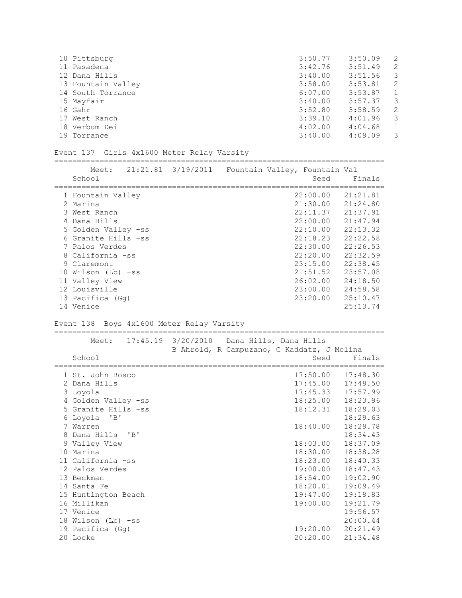| 10 Pittsburg                               | 3:50.77 | 3:50.09 | 2            |
|--------------------------------------------|---------|---------|--------------|
| 11 Pasadena                                | 3:42.76 | 3:51.49 | 2            |
| 12 Dana Hills                              | 3:40.00 | 3:51.56 | 3            |
| 13 Fountain Valley                         | 3:58.00 | 3:53.81 | 2            |
| 14 South Torrance                          | 6:07.00 | 3:53.87 | $\mathbf{1}$ |
| 15 Mayfair                                 | 3:40.00 | 3:57.37 | 3            |
| 16 Gahr                                    | 3:52.80 | 3:58.59 | 2            |
| 17 West Ranch                              | 3:39.10 | 4:01.96 | 3            |
| 18 Verbum Dei                              | 4:02.00 | 4:04.68 |              |
| 19 Torrance                                | 3:40.00 | 4:09.09 | 3            |
|                                            |         |         |              |
| Event 137 Girls 4x1600 Meter Relay Varsity |         |         |              |

| Meet:<br>School     | 21:21.81 3/19/2011 | Fountain Valley, Fountain Val<br>Seed | Finals   |
|---------------------|--------------------|---------------------------------------|----------|
| 1 Fountain Valley   |                    | 22:00.00                              | 21:21.81 |
| 2 Marina            |                    | 21:30.00                              | 21:24.80 |
| 3 West Ranch        |                    | 22:11.37                              | 21:37.91 |
| 4 Dana Hills        |                    | 22:00.00                              | 21:47.94 |
| 5 Golden Valley -ss |                    | 22:10.00                              | 22:13.32 |
| 6 Granite Hills -ss |                    | 22:18.23                              | 22:22.58 |
| 7 Palos Verdes      |                    | 22:30.00                              | 22:26.53 |
| 8 California -ss    |                    | 22:20.00                              | 22:32.59 |
| 9 Claremont         |                    | 23:15.00                              | 22:38.45 |
| 10 Wilson (Lb) -ss  |                    | 21:51.52                              | 23:57.08 |
| 11 Valley View      |                    | 26:02.00                              | 24:18.50 |
| 12 Louisville       |                    | 23:00.00                              | 24:58.58 |
| 13 Pacifica (Gg)    |                    | 23:20.00                              | 25:10.47 |
| 14 Venice           |                    |                                       | 25:13.74 |

Event 138 Boys 4x1600 Meter Relay Varsity

| Meet:<br>School     | 17:45.19 3/20/2010 | Dana Hills, Dana Hills | B Ahrold, R Campuzano, C Kaddatz, J Molina<br>Seed | Finals            |
|---------------------|--------------------|------------------------|----------------------------------------------------|-------------------|
|                     |                    |                        |                                                    |                   |
| 1 St. John Bosco    |                    |                        | 17:50.00                                           | 17:48.30          |
| 2 Dana Hills        |                    |                        |                                                    | 17:45.00 17:48.50 |
| 3 Loyola            |                    |                        | 17:45.33                                           | 17:57.99          |
| 4 Golden Valley -ss |                    |                        |                                                    | 18:25.00 18:23.96 |
| 5 Granite Hills -ss |                    |                        | 18:12.31                                           | 18:29.03          |
| 6 Loyola<br>"B"     |                    |                        |                                                    | 18:29.63          |
| 7 Warren            |                    |                        | 18:40.00                                           | 18:29.78          |
| 8 Dana Hills 'B'    |                    |                        |                                                    | 18:34.43          |
| 9 Valley View       |                    |                        | 18:03.00                                           | 18:37.09          |
| 10 Marina           |                    |                        | 18:30.00                                           | 18:38.28          |
| 11 California -ss   |                    |                        | 18:23.00                                           | 18:40.33          |
| 12 Palos Verdes     |                    |                        | 19:00.00                                           | 18:47.43          |
| 13 Beckman          |                    |                        | 18:54.00                                           | 19:02.90          |
| 14 Santa Fe         |                    |                        | 18:20.01                                           | 19:09.49          |
| 15 Huntington Beach |                    |                        | 19:47.00                                           | 19:18.83          |
| 16 Millikan         |                    |                        | 19:00.00                                           | 19:21.79          |
| 17 Venice           |                    |                        |                                                    | 19:56.57          |
| 18 Wilson (Lb) -ss  |                    |                        |                                                    | 20:00.44          |
| 19 Pacifica (Gg)    |                    |                        | 19:20.00                                           | 20:21.49          |
|                     |                    |                        |                                                    |                   |
| 20 Locke            |                    |                        | 20:20.00                                           | 21:34.48          |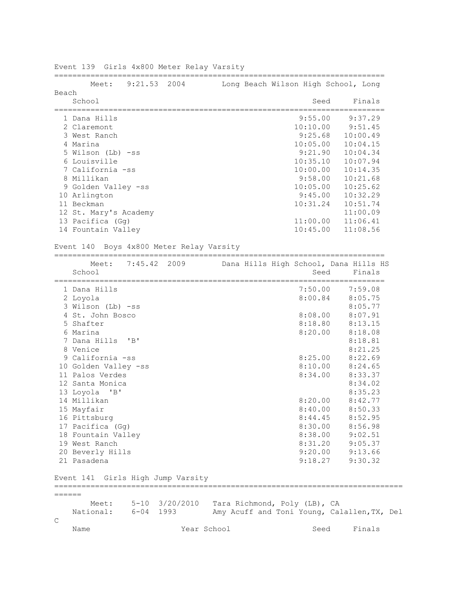|        | =========<br>Meet:                       | 9:21.53  | 2004        |  | ===========================<br>Long Beach Wilson High School, Long |          |
|--------|------------------------------------------|----------|-------------|--|--------------------------------------------------------------------|----------|
| Beach  |                                          |          |             |  |                                                                    |          |
|        | School                                   |          |             |  | Seed                                                               | Finals   |
|        | 1 Dana Hills                             |          |             |  | 9:55.00                                                            | 9:37.29  |
|        | 2 Claremont                              |          |             |  | 10:10.00                                                           | 9:51.45  |
|        | 3 West Ranch                             |          |             |  | 9:25.68                                                            | 10:00.49 |
|        | 4 Marina                                 |          |             |  | 10:05.00                                                           | 10:04.15 |
|        | 5 Wilson (Lb) -ss                        |          |             |  | 9:21.90                                                            | 10:04.34 |
|        | 6 Louisville                             |          |             |  | 10:35.10                                                           | 10:07.94 |
|        | 7 California -ss                         |          |             |  | 10:00.00                                                           | 10:14.35 |
|        | 8 Millikan                               |          |             |  | 9:58.00                                                            | 10:21.68 |
|        | 9 Golden Valley -ss                      |          |             |  | 10:05.00                                                           | 10:25.62 |
|        | 10 Arlington                             |          |             |  | 9:45.00                                                            | 10:32.29 |
|        | 11 Beckman                               |          |             |  | 10:31.24                                                           | 10:51.74 |
|        | 12 St. Mary's Academy                    |          |             |  |                                                                    | 11:00.09 |
|        | 13 Pacifica (Gg)                         |          |             |  | 11:00.00                                                           | 11:06.41 |
|        | 14 Fountain Valley                       |          |             |  | 10:45.00                                                           | 11:08.56 |
|        |                                          |          |             |  |                                                                    |          |
|        | Event 140 Boys 4x800 Meter Relay Varsity |          |             |  |                                                                    |          |
|        | Meet:                                    | 7:45.42  | 2009        |  | Dana Hills High School, Dana Hills HS                              |          |
|        | School                                   |          |             |  | Seed                                                               | Finals   |
|        | 1 Dana Hills                             |          |             |  | 7:50.00                                                            | 7:59.08  |
|        | 2 Loyola                                 |          |             |  | 8:00.84                                                            | 8:05.75  |
|        | 3 Wilson (Lb) -ss                        |          |             |  |                                                                    | 8:05.77  |
|        | 4 St. John Bosco                         |          |             |  | 8:08.00                                                            | 8:07.91  |
|        | 5 Shafter                                |          |             |  | 8:18.80                                                            | 8:13.15  |
|        | 6 Marina                                 |          |             |  | 8:20.00                                                            | 8:18.08  |
|        | 7 Dana Hills                             | "B"      |             |  |                                                                    | 8:18.81  |
|        | 8 Venice                                 |          |             |  |                                                                    | 8:21.25  |
|        | 9 California -ss                         |          |             |  | 8:25.00                                                            | 8:22.69  |
|        | 10 Golden Valley -ss                     |          |             |  | 8:10.00                                                            | 8:24.65  |
|        | 11 Palos Verdes                          |          |             |  | 8:34.00                                                            | 8:33.37  |
|        | 12 Santa Monica                          |          |             |  |                                                                    | 8:34.02  |
|        | 13 Loyola<br>"B"                         |          |             |  |                                                                    | 8:35.23  |
|        | 14 Millikan                              |          |             |  | 8:20.00                                                            | 8:42.77  |
|        | 15 Mayfair                               |          |             |  | 8:40.00                                                            | 8:50.33  |
|        | 16 Pittsburg                             |          |             |  | 8:44.45                                                            | 8:52.95  |
|        | 17 Pacifica (Gg)                         |          |             |  | 8:30.00                                                            | 8:56.98  |
|        | 18 Fountain Valley                       |          |             |  | 8:38.00                                                            | 9:02.51  |
|        | 19 West Ranch                            |          |             |  | 8:31.20                                                            | 9:05.37  |
|        | 20 Beverly Hills                         |          |             |  | 9:20.00                                                            | 9:13.66  |
|        | 21 Pasadena                              |          |             |  | 9:18.27                                                            | 9:30.32  |
|        |                                          |          |             |  |                                                                    |          |
|        | Event 141 Girls High Jump Varsity        |          |             |  |                                                                    |          |
| ====== |                                          |          |             |  |                                                                    |          |
|        | Meet:                                    | $5 - 10$ | 3/20/2010   |  | Tara Richmond, Poly (LB), CA                                       |          |
|        | National:                                | $6 - 04$ | 1993        |  | Amy Acuff and Toni Young, Calallen, TX, Del                        |          |
| C      |                                          |          |             |  |                                                                    |          |
|        | Name                                     |          | Year School |  | Seed                                                               | Finals   |

Event 139 Girls 4x800 Meter Relay Varsity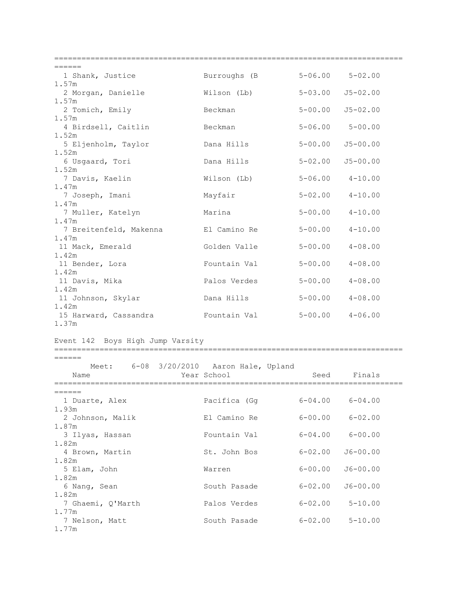| 1 Shank, Justice                        | Burroughs (B 5-06.00 5-02.00 |             |                         |
|-----------------------------------------|------------------------------|-------------|-------------------------|
| 1.57m                                   |                              |             |                         |
| 2 Morgan, Danielle                      | Wilson (Lb)                  | $5 - 03.00$ | $J5 - 02.00$            |
| 1.57m                                   |                              |             |                         |
| 2 Tomich, Emily                         | Beckman                      | $5 - 00.00$ | $J5 - 02.00$            |
| 1.57m                                   |                              |             |                         |
| 4 Birdsell, Caitlin                     | Beckman                      |             | $5 - 06.00$ $5 - 00.00$ |
| 1.52m                                   |                              |             |                         |
| 5 Eljenholm, Taylor                     | Dana Hills                   | $5 - 00.00$ | $J5 - 00.00$            |
| 1.52m                                   |                              |             |                         |
| 6 Usgaard, Tori                         | Dana Hills                   | $5 - 02.00$ | $J5 - 00.00$            |
| 1.52m                                   |                              |             |                         |
| 7 Davis, Kaelin                         | Wilson (Lb)                  |             | $5 - 06.00$ $4 - 10.00$ |
| 1.47m                                   |                              |             |                         |
| 7 Joseph, Imani                         | Mayfair                      | $5 - 02.00$ | $4 - 10.00$             |
| 1.47m                                   |                              |             |                         |
| 7 Muller, Katelyn                       | Marina                       |             | $5 - 00.00$ $4 - 10.00$ |
| 1.47m                                   |                              |             |                         |
| 7 Breitenfeld, Makenna                  | El Camino Re                 |             | $5 - 00.00$ $4 - 10.00$ |
| 1.47m                                   |                              |             |                         |
| 11 Mack, Emerald                        | Golden Valle                 | $5 - 00.00$ | $4 - 08.00$             |
| 1.42m                                   |                              |             |                         |
| 11 Bender, Lora                         | Fountain Val                 | $5 - 00.00$ | $4 - 08.00$             |
| 1.42m                                   |                              |             |                         |
| 11 Davis, Mika                          | Palos Verdes                 | $5 - 00.00$ | $4 - 08.00$             |
| 1.42m                                   |                              |             |                         |
| 11 Johnson, Skylar                      | Dana Hills                   | $5 - 00.00$ | $4 - 08.00$             |
| 1.42m                                   |                              |             |                         |
| 15 Harward, Cassandra                   | Fountain Val                 |             | $5 - 00.00$ $4 - 06.00$ |
| 1.37m                                   |                              |             |                         |
|                                         |                              |             |                         |
| Event 142 Boys High Jump Varsity        |                              |             |                         |
|                                         |                              |             |                         |
| ======                                  |                              |             |                         |
| Meet: 6-08 3/20/2010 Aaron Hale, Upland |                              |             |                         |
| Name                                    | Year School                  | Seed        | Finals                  |
|                                         |                              |             |                         |
| ======                                  |                              |             |                         |
| 1 Duarte, Alex                          | Pacifica (Gg                 |             | $6 - 04.00$ $6 - 04.00$ |
| 1.93m                                   |                              |             |                         |
| 2 Johnson, Malik                        | El Camino Re                 | $6 - 00.00$ | $6 - 02.00$             |
| 1.87m                                   |                              |             |                         |
| 3 Ilyas, Hassan                         | Fountain Val                 | $6 - 04.00$ | $6 - 00.00$             |
| 1.82m                                   |                              |             |                         |
| 4 Brown, Martin                         | St. John Bos                 | $6 - 02.00$ | $J6 - 00.00$            |
| 1.82m                                   |                              |             |                         |
|                                         |                              |             |                         |
| 5 Elam, John                            | Warren                       | $6 - 00.00$ | $J6 - 00.00$            |
| 1.82m                                   |                              |             |                         |
| 6 Nang, Sean<br>1.82m                   | South Pasade                 | $6 - 02.00$ | $J6 - 00.00$            |
|                                         |                              |             |                         |

7 Ghaemi, Q'Marth Palos Verdes 6-02.00 5-10.00 7 Nelson, Matt South Pasade 6-02.00 5-10.00

1.77m

1.77m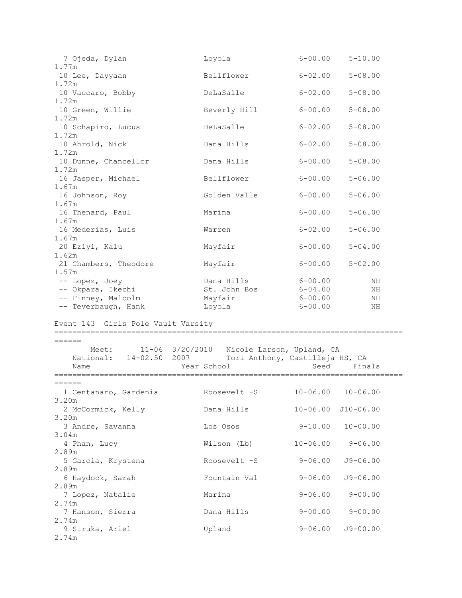| 7 Ojeda, Dylan                                                                                                                            | Loyola                                          |                                                          | $6 - 00.00$ $5 - 10.00$ |  |
|-------------------------------------------------------------------------------------------------------------------------------------------|-------------------------------------------------|----------------------------------------------------------|-------------------------|--|
| 1.77m<br>10 Lee, Dayyaan                                                                                                                  | Bellflower                                      | $6 - 02.00$                                              | $5 - 08.00$             |  |
| 1.72m<br>10 Vaccaro, Bobby                                                                                                                | DeLaSalle                                       | $6 - 02.00$                                              | $5 - 08.00$             |  |
| 1.72m<br>10 Green, Willie                                                                                                                 | Beverly Hill                                    | $6 - 00.00$                                              | $5 - 08.00$             |  |
| 1.72m<br>10 Schapiro, Lucus                                                                                                               | DeLaSalle                                       | $6 - 02.00$                                              | $5 - 08.00$             |  |
| 1.72m<br>10 Ahrold, Nick                                                                                                                  | Dana Hills                                      | $6 - 02.00$                                              | $5 - 08.00$             |  |
| 1.72m<br>10 Dunne, Chancellor                                                                                                             | Dana Hills                                      | $6 - 00.00$                                              | $5 - 08.00$             |  |
| 1.72m<br>16 Jasper, Michael                                                                                                               | Bellflower                                      | $6 - 00.00$                                              | $5 - 06.00$             |  |
| 1.67m<br>16 Johnson, Roy                                                                                                                  | Golden Valle                                    | $6 - 00.00$                                              | $5 - 06.00$             |  |
| 1.67m<br>16 Thenard, Paul                                                                                                                 | Marina                                          | $6 - 00.00$                                              | $5 - 06.00$             |  |
| 1.67m<br>16 Mederias, Luis                                                                                                                | Warren                                          | $6 - 02.00$                                              | $5 - 06.00$             |  |
| 1.67m<br>20 Eziyi, Kalu                                                                                                                   | Mayfair                                         | $6 - 00.00$                                              | $5 - 04.00$             |  |
| 1.62m<br>21 Chambers, Theodore                                                                                                            | Mayfair                                         | $6 - 00.00$                                              | $5 - 02.00$             |  |
| 1.57m<br>-- Lopez, Joey<br>-- Okpara, Ikechi<br>-- Finney, Malcolm<br>-- Teverbaugh, Hank                                                 | Dana Hills<br>St. John Bos<br>Mayfair<br>Loyola | $6 - 00.00$<br>$6 - 04.00$<br>$6 - 00.00$<br>$6 - 00.00$ | ΝH<br>ΝH<br>ΝH<br>ΝH    |  |
| Event 143 Girls Pole Vault Varsity                                                                                                        |                                                 |                                                          |                         |  |
|                                                                                                                                           |                                                 |                                                          |                         |  |
| $=$ $=$ $=$ $=$ $=$<br>Meet: 11-06 3/20/2010 Nicole Larson, Upland, CA<br>National: 14-02.50 2007 Tori Anthony, Castilleja HS, CA<br>Name | Year School                                     | Seed                                                     | Finals                  |  |
| ======                                                                                                                                    |                                                 |                                                          |                         |  |
| 1 Centanaro, Gardenia                                                                                                                     |                                                 |                                                          |                         |  |
| 3.20m<br>2 McCormick, Kelly                                                                                                               | Dana Hills                                      |                                                          | 10-06.00 J10-06.00      |  |
| 3.20m<br>3 Andre, Savanna                                                                                                                 | Los Osos                                        | $9 - 10.00$ $10 - 00.00$                                 |                         |  |
| 3.04m<br>4 Phan, Lucy                                                                                                                     | Wilson (Lb)                                     |                                                          | $10 - 06.00$ 9-06.00    |  |
| 2.89m<br>5 Garcia, Krystena                                                                                                               | Roosevelt -S                                    | $9 - 06.00$                                              | $J9 - 06.00$            |  |
| 2.89m<br>6 Haydock, Sarah                                                                                                                 | Fountain Val                                    | $9 - 06.00$                                              | J9-06.00                |  |
| 2.89m<br>7 Lopez, Natalie                                                                                                                 | Marina                                          |                                                          | $9 - 06.00$ $9 - 00.00$ |  |
| 2.74m<br>7 Hanson, Sierra<br>2.74m                                                                                                        | Dana Hills                                      |                                                          | $9 - 00.00$ $9 - 00.00$ |  |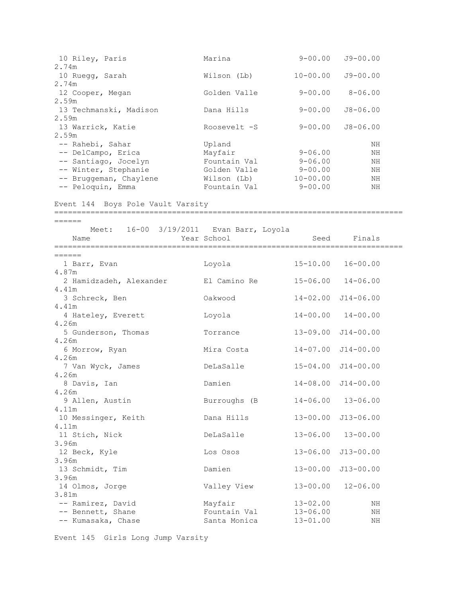| 10 Riley, Paris<br>2.74m                                                                                                              | Marina                                                                           |                                                                      | $9 - 00.00$ $J9 - 00.00$         |
|---------------------------------------------------------------------------------------------------------------------------------------|----------------------------------------------------------------------------------|----------------------------------------------------------------------|----------------------------------|
| 10 Ruegg, Sarah<br>2.74m                                                                                                              | Wilson (Lb)                                                                      | $10 - 00.00$                                                         | $J9 - 00.00$                     |
| 12 Cooper, Megan<br>2.59m                                                                                                             | Golden Valle                                                                     | $9 - 00.00$                                                          | $8 - 06.00$                      |
| 13 Techmanski, Madison                                                                                                                | Dana Hills                                                                       | $9 - 00.00$                                                          | $J8 - 06.00$                     |
| 2.59m<br>13 Warrick, Katie<br>2.59m                                                                                                   | Roosevelt -S                                                                     | $9 - 00.00$                                                          | $J8 - 06.00$                     |
| -- Rahebi, Sahar<br>-- DelCampo, Erica<br>-- Santiago, Jocelyn<br>-- Winter, Stephanie<br>-- Bruggeman, Chaylene<br>-- Peloquin, Emma | Upland<br>Mayfair<br>Fountain Val<br>Golden Valle<br>Wilson (Lb)<br>Fountain Val | $9 - 06.00$<br>$9 - 06.00$<br>9-00.00<br>$10 - 00.00$<br>$9 - 00.00$ | ΝH<br>ΝH<br>ΝH<br>ΝH<br>ΝH<br>ΝH |
| Event 144 Boys Pole Vault Varsity                                                                                                     |                                                                                  |                                                                      |                                  |
| ======<br>Meet: 16-00 3/19/2011 Evan Barr, Loyola<br>Name                                                                             | Year School                                                                      |                                                                      | Seed Finals                      |
| $======$                                                                                                                              |                                                                                  | $15 - 10.00$                                                         | $16 - 00.00$                     |
| 1 Barr, Evan<br>4.87m                                                                                                                 | Loyola                                                                           |                                                                      |                                  |
| 2 Hamidzadeh, Alexander<br>4.41m                                                                                                      | El Camino Re                                                                     | $15 - 06.00$ $14 - 06.00$                                            |                                  |
| 3 Schreck, Ben<br>4.41m                                                                                                               | Oakwood                                                                          | 14-02.00 J14-06.00                                                   |                                  |
| 4 Hateley, Everett<br>4.26m                                                                                                           | Loyola                                                                           | 14-00.00 14-00.00                                                    |                                  |
| 5 Gunderson, Thomas                                                                                                                   | Torrance                                                                         | $13 - 09.00$                                                         | $J14 - 00.00$                    |
| 4.26m<br>6 Morrow, Ryan<br>4.26m                                                                                                      | Mira Costa                                                                       | $14 - 07.00$                                                         | $J14 - 00.00$                    |
| 7 Van Wyck, James                                                                                                                     | DeLaSalle                                                                        | $15 - 04.00$                                                         | $J14 - 00.00$                    |
| 4.26m<br>8 Davis, Ian<br>4.26m                                                                                                        | Damien                                                                           | 14-08.00 J14-00.00                                                   |                                  |
| 9 Allen, Austin<br>4.11m                                                                                                              | Burroughs (B                                                                     | 14-06.00 13-06.00                                                    |                                  |
| 10 Messinger, Keith<br>4.11m                                                                                                          | Dana Hills                                                                       | $13 - 00.00$                                                         | $J13 - 06.00$                    |
| 11 Stich, Nick<br>3.96m                                                                                                               | DeLaSalle                                                                        | $13 - 06.00$                                                         | $13 - 00.00$                     |
| 12 Beck, Kyle<br>3.96m                                                                                                                | Los Osos                                                                         | $13 - 06.00$                                                         | $J13 - 00.00$                    |
| 13 Schmidt, Tim<br>3.96m                                                                                                              | Damien                                                                           | $13 - 00.00$                                                         | $J13 - 00.00$                    |
| 14 Olmos, Jorge<br>3.81m                                                                                                              | Valley View                                                                      | $13 - 00.00$                                                         | $12 - 06.00$                     |
| -- Ramirez, David<br>-- Bennett, Shane<br>-- Kumasaka, Chase                                                                          | Mayfair<br>Fountain Val<br>Santa Monica                                          | $13 - 02.00$<br>$13 - 06.00$<br>$13 - 01.00$                         | ΝH<br>ΝH<br>ΝH                   |

Event 145 Girls Long Jump Varsity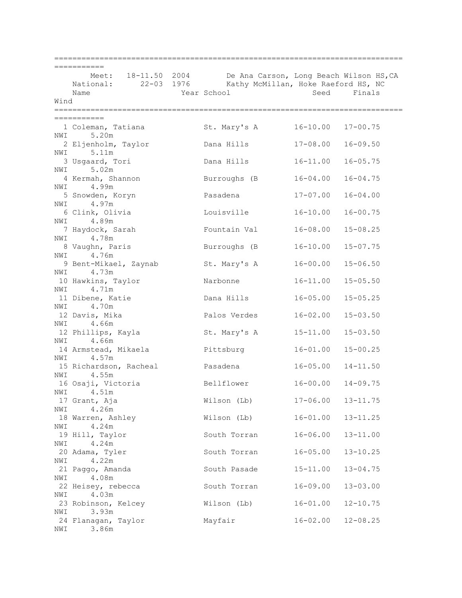| Wind | ___________<br>National: 22-03 1976 Kathy McMillan, Hoke Raeford HS, NC<br>Name | Meet: 18-11.50 2004 De Ana Carson, Long Beach Wilson HS, CA<br>Year School | Seed                      | Finals       |
|------|---------------------------------------------------------------------------------|----------------------------------------------------------------------------|---------------------------|--------------|
|      | ===========                                                                     |                                                                            |                           |              |
|      | 1 Coleman, Tatiana<br>NWI 5.20m                                                 | St. Mary's A                                                               | $16 - 10.00$              | $17 - 00.75$ |
|      | 2 Eljenholm, Taylor<br>5.11m<br>NWI                                             | Dana Hills                                                                 | $17 - 08.00$              | $16 - 09.50$ |
| NWI  | 3 Usgaard, Tori<br>5.02m                                                        | Dana Hills                                                                 | $16 - 11.00$              | $16 - 05.75$ |
| NWI  | 4 Kermah, Shannon<br>4.99m                                                      | Burroughs (B                                                               | $16 - 04.00$              | $16 - 04.75$ |
| NWI  | 5 Snowden, Koryn<br>4.97m                                                       | Pasadena                                                                   | $17 - 07.00$              | $16 - 04.00$ |
|      | 6 Clink, Olivia<br>NWI 4.89m                                                    | Louisville                                                                 | $16 - 10.00$              | $16 - 00.75$ |
|      | 7 Haydock, Sarah<br>NWI 4.78m                                                   | Fountain Val                                                               | $16 - 08.00$              | $15 - 08.25$ |
|      | 8 Vaughn, Paris<br>NWI 4.76m                                                    | Burroughs (B                                                               | $16 - 10.00$              | $15 - 07.75$ |
| NWI  | 9 Bent-Mikael, Zaynab<br>4.73m                                                  | St. Mary's A                                                               | $16 - 00.00$              | $15 - 06.50$ |
|      | 10 Hawkins, Taylor<br>NWI 4.71m                                                 | Narbonne                                                                   | $16 - 11.00$              | $15 - 05.50$ |
|      | 11 Dibene, Katie<br>NWI 4.70m                                                   | Dana Hills                                                                 | $16 - 05.00$              | $15 - 05.25$ |
|      | 12 Davis, Mika<br>NWI 4.66m                                                     | Palos Verdes                                                               | $16 - 02.00$              | $15 - 03.50$ |
| NWI  | 12 Phillips, Kayla<br>4.66m                                                     | St. Mary's A                                                               | $15 - 11.00$              | $15 - 03.50$ |
|      | 14 Armstead, Mikaela<br>NWI 4.57m                                               | Pittsburg                                                                  | $16 - 01.00$              | $15 - 00.25$ |
|      | 15 Richardson, Racheal<br>NWI 4.55m                                             | Pasadena                                                                   | $16 - 05.00$              | $14 - 11.50$ |
|      | 16 Osaji, Victoria<br>NWI 4.51m                                                 | Bellflower                                                                 | $16 - 00.00$ $14 - 09.75$ |              |
| NWI  | 17 Grant, Aja<br>4.26m                                                          | Wilson (Lb)                                                                | $17 - 06.00$ $13 - 11.75$ |              |
|      | 18 Warren, Ashley<br>NWI 4.24m                                                  | Wilson (Lb)                                                                | $16 - 01.00$              | $13 - 11.25$ |
|      | 19 Hill, Taylor<br>NWI 4.24m                                                    | South Torran                                                               | $16 - 06.00$              | $13 - 11.00$ |
|      | 20 Adama, Tyler<br>NWI 4.22m                                                    | South Torran                                                               | $16 - 05.00$              | $13 - 10.25$ |
|      | 21 Paggo, Amanda<br>NWI 4.08m                                                   | South Pasade                                                               | $15 - 11.00$              | $13 - 04.75$ |
|      | 22 Heisey, rebecca<br>NWI 4.03m                                                 | South Torran                                                               | $16 - 09.00$              | $13 - 03.00$ |
|      | 23 Robinson, Kelcey<br>NWI 3.93m                                                | Wilson (Lb)                                                                | $16 - 01.00$              | $12 - 10.75$ |
|      | 24 Flanagan, Taylor<br>3.86m<br>NWI                                             | Mayfair                                                                    | $16 - 02.00$              | $12 - 08.25$ |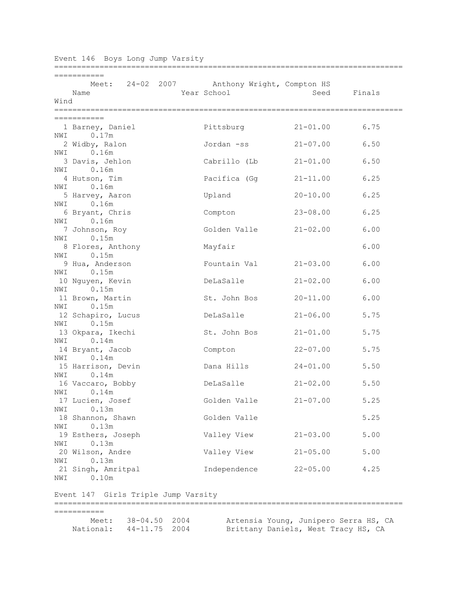|  |  | Event 146 Boys Long Jump Varsity |
|--|--|----------------------------------|
|  |  |                                  |

============================================================================= =========== Meet: 24-02 2007 Anthony Wright, Compton HS Name Tear School Seed Finals Wind ============================================================================= =========== 1 Barney, Daniel Pittsburg 21-01.00 6.75 NWI 0.17m 2 Widby, Ralon Jordan -ss 21-07.00 6.50 NWI 0.16m 3 Davis, Jehlon Cabrillo (Lb 21-01.00 6.50 NWI 0.16m 4 Hutson, Tim Pacifica (Gg 21-11.00 6.25 NWI 0.16m 5 Harvey, Aaron Upland 20-10.00 6.25 NWI 0.16m 6 Bryant, Chris Compton 23-08.00 6.25 NWI 0.16m 7 Johnson, Roy Golden Valle 21-02.00 6.00 NWI 0.15m 8 Flores, Anthony Mayfair Manus Mayfair 6.00 NWI 0.15m 9 Hua, Anderson Fountain Val 21-03.00 6.00 NWI 0.15m 10 Nguyen, Kevin DeLaSalle 21-02.00 6.00 NWI 0.15m 11 Brown, Martin St. John Bos 20-11.00 6.00 NWI 0.15m 12 Schapiro, Lucus DeLaSalle 21-06.00 5.75 NWI 0.15m 13 Okpara, Ikechi St. John Bos 21-01.00 5.75 NWI 0.14m 14 Bryant, Jacob Compton 22-07.00 5.75 NWI 0.14m 15 Harrison, Devin Dana Hills 24-01.00 5.50 NWI 0.14m 16 Vaccaro, Bobby DeLaSalle 21-02.00 5.50 NWI 0.14m 17 Lucien, Josef Golden Valle 21-07.00 5.25 NWI 0.13m 18 Shannon, Shawn Golden Valle 5.25 NWI 0.13m 19 Esthers, Joseph Valley View 21-03.00 5.00 NWI 0.13m 20 Wilson, Andre Valley View 21-05.00 5.00 NWI 0.13m 21 Singh, Amritpal Independence 22-05.00 4.25 NWI 0.10m

Event 147 Girls Triple Jump Varsity

============================================================================= =========== Meet: 38-04.50 2004 Artensia Young, Junipero Serra HS, CA National: 44-11.75 2004 Brittany Daniels, West Tracy HS, CA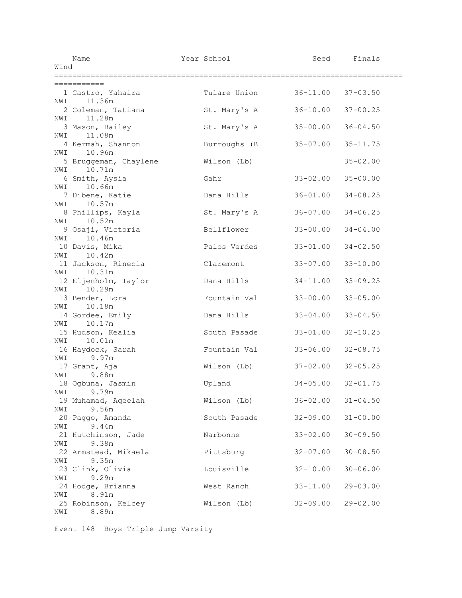|      | Name                            | Year School  | Seed         | Finals                    |  |
|------|---------------------------------|--------------|--------------|---------------------------|--|
| Wind |                                 |              |              |                           |  |
|      | ===========                     |              |              |                           |  |
|      | 1 Castro, Yahaira               | Tulare Union | $36 - 11.00$ | $37 - 03.50$              |  |
| NWI  | 11.36m                          |              |              |                           |  |
|      | 2 Coleman, Tatiana              | St. Mary's A | $36 - 10.00$ | $37 - 00.25$              |  |
| NWI  | 11.28m                          |              |              |                           |  |
| NWI  | 3 Mason, Bailey<br>11.08m       | St. Mary's A | $35 - 00.00$ | $36 - 04.50$              |  |
|      | 4 Kermah, Shannon               | Burroughs (B | $35 - 07.00$ | $35 - 11.75$              |  |
| NWI  | 10.96m                          |              |              |                           |  |
|      | 5 Bruggeman, Chaylene           | Wilson (Lb)  |              | $35 - 02.00$              |  |
|      | NWI 10.71m                      |              |              |                           |  |
| NWI  | 6 Smith, Aysia<br>10.66m        | Gahr         | $33 - 02.00$ | $35 - 00.00$              |  |
|      | 7 Dibene, Katie                 | Dana Hills   | $36 - 01.00$ | $34 - 08.25$              |  |
|      | NWI 10.57m                      |              |              |                           |  |
|      | 8 Phillips, Kayla               | St. Mary's A | $36 - 07.00$ | $34 - 06.25$              |  |
|      | NWI 10.52m                      |              |              |                           |  |
|      | 9 Osaji, Victoria<br>NWI 10.46m | Bellflower   | $33 - 00.00$ | $34 - 04.00$              |  |
|      | 10 Davis, Mika                  | Palos Verdes | $33 - 01.00$ | $34 - 02.50$              |  |
| NWI  | 10.42m                          |              |              |                           |  |
|      | 11 Jackson, Rinecia             | Claremont    | $33 - 07.00$ | $33 - 10.00$              |  |
|      | NWI 10.31m                      |              |              |                           |  |
|      | 12 Eljenholm, Taylor            | Dana Hills   | $34 - 11.00$ | $33 - 09.25$              |  |
|      | NWI 10.29m<br>13 Bender, Lora   | Fountain Val | $33 - 00.00$ | $33 - 05.00$              |  |
|      | NWI 10.18m                      |              |              |                           |  |
|      | 14 Gordee, Emily                | Dana Hills   | $33 - 04.00$ | $33 - 04.50$              |  |
|      | NWI 10.17m                      |              |              |                           |  |
|      | 15 Hudson, Kealia<br>NWI 10.01m | South Pasade | $33 - 01.00$ | $32 - 10.25$              |  |
|      | 16 Haydock, Sarah               | Fountain Val | $33 - 06.00$ | $32 - 08.75$              |  |
| NWI  | 9.97m                           |              |              |                           |  |
|      | 17 Grant, Aja                   | Wilson (Lb)  | $37 - 02.00$ | $32 - 05.25$              |  |
| NWI  | 9.88m                           |              |              |                           |  |
|      | 18 Ogbuna, Jasmin<br>NWI 9.79m  | Upland       |              | $34 - 05.00$ $32 - 01.75$ |  |
|      | 19 Muhamad, Aqeelah             | Wilson (Lb)  |              | $36 - 02.00$ $31 - 04.50$ |  |
| NWI  | 9.56m                           |              |              |                           |  |
|      | 20 Paggo, Amanda                | South Pasade | $32 - 09.00$ | $31 - 00.00$              |  |
| NWI  | 9.44m                           |              |              |                           |  |
| NWI  | 21 Hutchinson, Jade<br>9.38m    | Narbonne     | $33 - 02.00$ | $30 - 09.50$              |  |
|      | 22 Armstead, Mikaela            | Pittsburg    | $32 - 07.00$ | $30 - 08.50$              |  |
| NWI  | 9.35m                           |              |              |                           |  |
|      | 23 Clink, Olivia                | Louisville   | $32 - 10.00$ | $30 - 06.00$              |  |
| NWI  | 9.29m                           |              |              |                           |  |
|      | 24 Hodge, Brianna               | West Ranch   | $33 - 11.00$ | $29 - 03.00$              |  |
| NWI  | 8.91m<br>25 Robinson, Kelcey    | Wilson (Lb)  | $32 - 09.00$ | $29 - 02.00$              |  |
| NWI  | 8.89m                           |              |              |                           |  |

Event 148 Boys Triple Jump Varsity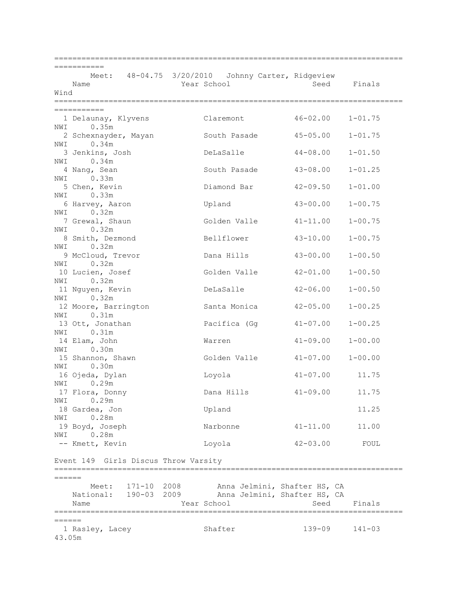| ===========                          |                                                    |  |                                                   |              |             |
|--------------------------------------|----------------------------------------------------|--|---------------------------------------------------|--------------|-------------|
|                                      |                                                    |  | Meet: 48-04.75 3/20/2010 Johnny Carter, Ridgeview |              |             |
|                                      | Name                                               |  | Year School                                       | Seed         | Finals      |
| Wind                                 |                                                    |  |                                                   |              |             |
|                                      | ===========                                        |  |                                                   |              |             |
|                                      | 1 Delaunay, Klyvens                                |  | Claremont                                         | $46 - 02.00$ | $1 - 01.75$ |
| NWI                                  | 0.35m                                              |  |                                                   |              |             |
|                                      | 2 Schexnayder, Mayan                               |  | South Pasade                                      | $45 - 05.00$ | $1 - 01.75$ |
| NWI                                  | 0.34m                                              |  |                                                   |              |             |
| NWI                                  | 3 Jenkins, Josh<br>0.34m                           |  | DeLaSalle                                         | $44 - 08.00$ | $1 - 01.50$ |
|                                      | 4 Nang, Sean                                       |  | South Pasade                                      | $43 - 08.00$ | $1 - 01.25$ |
| NWI                                  | 0.33m                                              |  |                                                   |              |             |
|                                      | 5 Chen, Kevin                                      |  | Diamond Bar                                       | $42 - 09.50$ | $1 - 01.00$ |
| NWI                                  | 0.33m                                              |  |                                                   |              |             |
|                                      | 6 Harvey, Aaron<br>0.32m<br>NWI                    |  | Upland                                            | $43 - 00.00$ | $1 - 00.75$ |
|                                      | 7 Grewal, Shaun                                    |  | Golden Valle                                      | $41 - 11.00$ | $1 - 00.75$ |
|                                      | 0.32m<br>NWI                                       |  |                                                   |              |             |
|                                      | 8 Smith, Dezmond                                   |  | Bellflower                                        | $43 - 10.00$ | $1 - 00.75$ |
| NWI                                  | 0.32m                                              |  |                                                   |              |             |
|                                      | 9 McCloud, Trevor<br>0.32m<br>NWI                  |  | Dana Hills                                        | $43 - 00.00$ | $1 - 00.50$ |
|                                      | 10 Lucien, Josef                                   |  | Golden Valle                                      | $42 - 01.00$ | $1 - 00.50$ |
| NWI                                  | 0.32m                                              |  |                                                   |              |             |
|                                      | 11 Nguyen, Kevin                                   |  | DeLaSalle                                         | $42 - 06.00$ | $1 - 00.50$ |
|                                      | 0.32m<br>NWI                                       |  |                                                   |              |             |
| NWI                                  | 12 Moore, Barrington<br>0.31m                      |  | Santa Monica                                      | $42 - 05.00$ | $1 - 00.25$ |
|                                      | 13 Ott, Jonathan                                   |  | Pacifica (Gg                                      | $41 - 07.00$ | $1 - 00.25$ |
| NWI                                  | 0.31m                                              |  |                                                   |              |             |
|                                      | 14 Elam, John                                      |  | Warren                                            | $41 - 09.00$ | $1 - 00.00$ |
| NWI                                  | 0.30m                                              |  |                                                   |              |             |
| NWI                                  | 15 Shannon, Shawn<br>0.30m                         |  | Golden Valle                                      | $41 - 07.00$ | $1 - 00.00$ |
|                                      | 16 Ojeda, Dylan                                    |  | Loyola                                            | $41 - 07.00$ | 11.75       |
| NWI                                  | 0.29m                                              |  |                                                   |              |             |
|                                      | 17 Flora, Donny                                    |  | Dana Hills <b>Dana</b>                            | $41 - 09.00$ | 11.75       |
| NWI                                  | 0.29m                                              |  |                                                   |              |             |
| NWI                                  | 18 Gardea, Jon<br>0.28m                            |  | Upland                                            |              | 11.25       |
|                                      | 19 Boyd, Joseph                                    |  | Narbonne                                          | $41 - 11.00$ | 11.00       |
| NWI                                  | 0.28m                                              |  |                                                   |              |             |
|                                      | -- Kmett, Kevin                                    |  | Loyola                                            | $42 - 03.00$ | FOUL        |
|                                      |                                                    |  |                                                   |              |             |
| Event 149 Girls Discus Throw Varsity |                                                    |  |                                                   |              |             |
| ======                               |                                                    |  |                                                   |              |             |
|                                      | Meet: 171-10 2008                                  |  | Anna Jelmini, Shafter HS, CA                      |              |             |
|                                      | National: 190-03 2009 Anna Jelmini, Shafter HS, CA |  |                                                   |              |             |
|                                      | Name                                               |  | Year School                                       | Seed         | Finals      |
| ======                               |                                                    |  |                                                   |              |             |
|                                      | 1 Rasley, Lacey                                    |  | Shafter                                           | 139-09       | $141 - 03$  |
| 43.05m                               |                                                    |  |                                                   |              |             |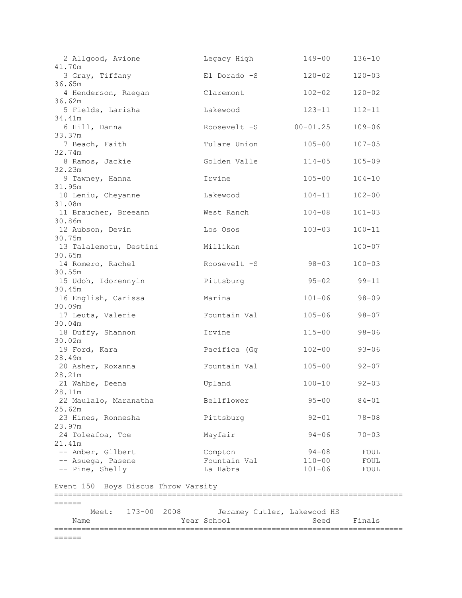| ======<br>Meet: 173-00 2008<br>Name | Jeramey Cutler, Lakewood HS<br>Year School | Seed             | Finals     |  |
|-------------------------------------|--------------------------------------------|------------------|------------|--|
| Event 150 Boys Discus Throw Varsity |                                            |                  |            |  |
| -- Pine, Shelly                     | La Habra                                   | $101 - 06$       | FOUL       |  |
| -- Asuega, Pasene                   | Fountain Val                               | $110 - 00$       | FOUL       |  |
| -- Amber, Gilbert                   | Compton                                    | $94 - 08$        | FOUL       |  |
| 21.41m                              |                                            |                  |            |  |
| 23.97m<br>24 Toleafoa, Toe          | Mayfair                                    | $94 - 06$        | $70 - 03$  |  |
| 23 Hines, Ronnesha                  | Pittsburg                                  | $92 - 01$        | $78 - 08$  |  |
| 22 Maulalo, Maranatha<br>25.62m     |                                            |                  |            |  |
| 28.11m                              | Bellflower                                 | $95 - 00$        | $84 - 01$  |  |
| 21 Wahbe, Deena                     | Upland                                     | $100 - 10$ 92-03 |            |  |
| 20 Asher, Roxanna<br>28.21m         | Fountain Val                               | $105 - 00$ 92-07 |            |  |
| 28.49m                              |                                            |                  |            |  |
| 19 Ford, Kara                       | Pacifica (Gg                               | 102-00 93-06     |            |  |
| 18 Duffy, Shannon<br>30.02m         | Irvine                                     | $115 - 00$       | $98 - 06$  |  |
| 30.04m                              |                                            |                  |            |  |
| 30.09m<br>17 Leuta, Valerie         | Fountain Val                               | $105 - 06$       | $98 - 07$  |  |
| 16 English, Carissa                 | Marina                                     | $101 - 06$       | $98 - 09$  |  |
| 30.45m                              |                                            |                  |            |  |
| 15 Udoh, Idorennyin                 | Pittsburg                                  | $95 - 02$ 99-11  |            |  |
| 14 Romero, Rachel<br>30.55m         | Roosevelt -S                               | $98 - 03$        | $100 - 03$ |  |
| 30.65m                              |                                            |                  |            |  |
| 30.75m<br>13 Talalemotu, Destini    | Millikan                                   |                  | $100 - 07$ |  |
| 12 Aubson, Devin                    | Los Osos                                   | $103 - 03$       | $100 - 11$ |  |
| 30.86m                              |                                            |                  |            |  |
| 11 Braucher, Breeann                | West Ranch                                 | $104 - 08$       | $101 - 03$ |  |
| 10 Leniu, Cheyanne<br>31.08m        | Lakewood                                   | $104 - 11$       | $102 - 00$ |  |
| 31.95m                              |                                            |                  |            |  |
| 32.23m<br>9 Tawney, Hanna           | Irvine                                     | $105 - 00$       | $104 - 10$ |  |
| 8 Ramos, Jackie                     | Golden Valle                               | $114 - 05$       | $105 - 09$ |  |
| 32.74m                              |                                            |                  |            |  |
| 33.37m<br>7 Beach, Faith            | Tulare Union                               | $105 - 00$       | $107 - 05$ |  |
| 6 Hill, Danna                       | Roosevelt -S                               | $00 - 01.25$     | $109 - 06$ |  |
| 34.41m                              |                                            |                  |            |  |
| 5 Fields, Larisha                   | Lakewood                                   | $123 - 11$       | $112 - 11$ |  |
| 4 Henderson, Raegan<br>36.62m       | Claremont                                  | $102 - 02$       | $120 - 02$ |  |
| 36.65m                              |                                            |                  |            |  |
| 41.70m<br>3 Gray, Tiffany           | El Dorado -S                               | $120 - 02$       | $120 - 03$ |  |
| 2 Allgood, Avione                   | Legacy High                                | 149-00           | $136 - 10$ |  |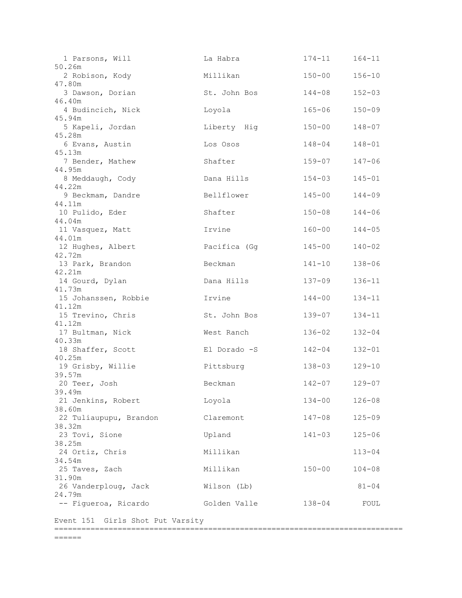| 1 Parsons, Will                  | La Habra     | $174 - 11$ | $164 - 11$ |  |  |
|----------------------------------|--------------|------------|------------|--|--|
| 50.26m                           |              |            |            |  |  |
| 2 Robison, Kody<br>47.80m        | Millikan     | $150 - 00$ | $156 - 10$ |  |  |
| 3 Dawson, Dorian                 | St. John Bos | $144 - 08$ | $152 - 03$ |  |  |
| 46.40m                           |              |            |            |  |  |
| 4 Budincich, Nick                | Loyola       | $165 - 06$ | $150 - 09$ |  |  |
| 45.94m                           |              |            |            |  |  |
| 5 Kapeli, Jordan                 | Liberty Hig  | $150 - 00$ | $148 - 07$ |  |  |
| 45.28m<br>6 Evans, Austin        | Los Osos     | $148 - 04$ | $148 - 01$ |  |  |
| 45.13m                           |              |            |            |  |  |
| 7 Bender, Mathew                 | Shafter      | $159 - 07$ | $147 - 06$ |  |  |
| 44.95m                           |              |            |            |  |  |
| 8 Meddaugh, Cody                 | Dana Hills   | $154 - 03$ | $145 - 01$ |  |  |
| 44.22m                           |              |            |            |  |  |
| 9 Beckmam, Dandre                | Bellflower   | $145 - 00$ | $144 - 09$ |  |  |
| 44.11m<br>10 Pulido, Eder        | Shafter      | $150 - 08$ | $144 - 06$ |  |  |
| 44.04m                           |              |            |            |  |  |
| 11 Vasquez, Matt                 | Irvine       | $160 - 00$ | $144 - 05$ |  |  |
| 44.01m                           |              |            |            |  |  |
| 12 Hughes, Albert                | Pacifica (Gq | $145 - 00$ | $140 - 02$ |  |  |
| 42.72m                           |              |            |            |  |  |
| 13 Park, Brandon                 | Beckman      | $141 - 10$ | $138 - 06$ |  |  |
| 42.21m<br>14 Gourd, Dylan        | Dana Hills   | $137 - 09$ | $136 - 11$ |  |  |
| 41.73m                           |              |            |            |  |  |
| 15 Johanssen, Robbie             | Irvine       | $144 - 00$ | $134 - 11$ |  |  |
| 41.12m                           |              |            |            |  |  |
| 15 Trevino, Chris                | St. John Bos | 139-07     | $134 - 11$ |  |  |
| 41.12m                           |              |            |            |  |  |
| 17 Bultman, Nick<br>40.33m       | West Ranch   | $136 - 02$ | $132 - 04$ |  |  |
| 18 Shaffer, Scott                | El Dorado -S | $142 - 04$ | $132 - 01$ |  |  |
| 40.25m                           |              |            |            |  |  |
| 19 Grisby, Willie                | Pittsburg    | $138 - 03$ | $129 - 10$ |  |  |
| 39.57m                           |              |            |            |  |  |
| 20 Teer, Josh                    | Beckman      | $142 - 07$ | 129-07     |  |  |
| 39.49m<br>21 Jenkins, Robert     |              | $134 - 00$ | $126 - 08$ |  |  |
| 38.60m                           | Loyola       |            |            |  |  |
| 22 Tuliaupupu, Brandon           | Claremont    | $147 - 08$ | $125 - 09$ |  |  |
| 38.32m                           |              |            |            |  |  |
| 23 Tovi, Sione                   | Upland       | $141 - 03$ | $125 - 06$ |  |  |
| 38.25m                           |              |            |            |  |  |
| 24 Ortiz, Chris                  | Millikan     |            | $113 - 04$ |  |  |
| 34.54m<br>25 Taves, Zach         | Millikan     | $150 - 00$ | $104 - 08$ |  |  |
| 31.90m                           |              |            |            |  |  |
| 26 Vanderploug, Jack             | Wilson (Lb)  |            | $81 - 04$  |  |  |
| 24.79m                           |              |            |            |  |  |
| -- Figueroa, Ricardo             | Golden Valle | 138-04     | FOUL       |  |  |
|                                  |              |            |            |  |  |
| Event 151 Girls Shot Put Varsity |              |            |            |  |  |

============================================================================= ======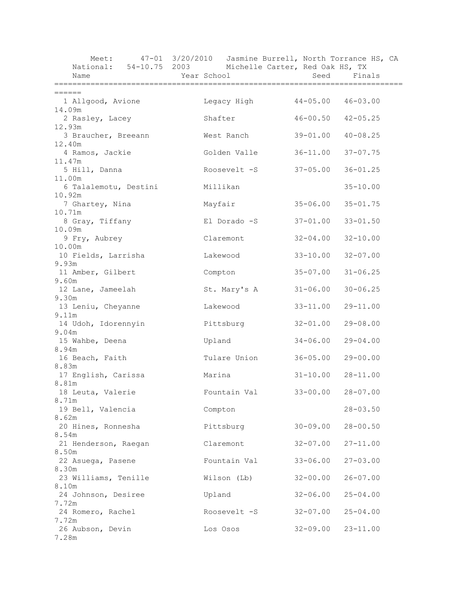| Name                          | National: 54-10.75 2003 Michelle Carter, Red Oak HS, TX<br>Year School | Meet: 47-01 3/20/2010 Jasmine Burrell, North Torrance HS, CA<br>Seed Finals |
|-------------------------------|------------------------------------------------------------------------|-----------------------------------------------------------------------------|
| $=$ $=$ $=$ $=$ $=$           |                                                                        |                                                                             |
| 1 Allgood, Avione             |                                                                        | Legacy High 44-05.00 46-03.00                                               |
| 14.09m                        |                                                                        |                                                                             |
| 2 Rasley, Lacey<br>12.93m     | Shafter                                                                | $46 - 00.50$ $42 - 05.25$                                                   |
| 3 Braucher, Breeann           | West Ranch                                                             | 39-01.00<br>$40 - 08.25$                                                    |
| 12.40m                        |                                                                        |                                                                             |
| 4 Ramos, Jackie               | Golden Valle                                                           | $36 - 11.00$<br>$37 - 07.75$                                                |
| 11.47m<br>5 Hill, Danna       | Roosevelt -S                                                           | $37 - 05.00$<br>$36 - 01.25$                                                |
| 11.00m                        |                                                                        |                                                                             |
| 6 Talalemotu, Destini         | Millikan                                                               | $35 - 10.00$                                                                |
| 10.92m                        |                                                                        |                                                                             |
| 7 Ghartey, Nina<br>10.71m     | Mayfair                                                                | $35 - 06.00$<br>$35 - 01.75$                                                |
| 8 Gray, Tiffany               | El Dorado -S                                                           | $37 - 01.00$<br>$33 - 01.50$                                                |
| 10.09m                        |                                                                        |                                                                             |
| 9 Fry, Aubrey                 | Claremont                                                              | $32 - 04.00$<br>$32 - 10.00$                                                |
| 10.00m<br>10 Fields, Larrisha | Lakewood                                                               | $33 - 10.00$<br>$32 - 07.00$                                                |
| 9.93m                         |                                                                        |                                                                             |
| 11 Amber, Gilbert             | Compton                                                                | $35 - 07.00$<br>$31 - 06.25$                                                |
| 9.60m                         |                                                                        |                                                                             |
| 12 Lane, Jameelah             | St. Mary's A                                                           | $31 - 06.00$<br>$30 - 06.25$                                                |
| 9.30m<br>13 Leniu, Cheyanne   | Lakewood                                                               | $33 - 11.00$<br>$29 - 11.00$                                                |
| 9.11m                         |                                                                        |                                                                             |
| 14 Udoh, Idorennyin           | Pittsburg                                                              | $32 - 01.00$<br>$29 - 08.00$                                                |
| 9.04m                         |                                                                        |                                                                             |
| 15 Wahbe, Deena<br>8.94m      | Upland                                                                 | $34 - 06.00$<br>$29 - 04.00$                                                |
| 16 Beach, Faith               | Tulare Union                                                           | $36 - 05.00$<br>$29 - 00.00$                                                |
| 8.83m                         |                                                                        |                                                                             |
| 17 English, Carissa           | Marina                                                                 | $31 - 10.00$<br>$28 - 11.00$                                                |
| 8.81m                         | 18 Leuta, Valerie and Tountain Val                                     | $33 - 00.00$ $28 - 07.00$                                                   |
| 8.71m                         |                                                                        |                                                                             |
| 19 Bell, Valencia             | Compton                                                                | $28 - 03.50$                                                                |
| 8.62m                         |                                                                        |                                                                             |
| 20 Hines, Ronnesha<br>8.54m   |                                                                        | Pittsburg 30-09.00 28-00.50                                                 |
| 21 Henderson, Raegan          | Claremont                                                              | $32 - 07.00$<br>$27 - 11.00$                                                |
| 8.50m                         |                                                                        |                                                                             |
| 22 Asuega, Pasene             | Fountain Val                                                           | $33 - 06.00$<br>$27 - 03.00$                                                |
| 8.30m<br>23 Williams, Tenille | Wilson (Lb)                                                            | $32 - 00.00$<br>$26 - 07.00$                                                |
| 8.10m                         |                                                                        |                                                                             |
| 24 Johnson, Desiree           | Upland                                                                 | $32 - 06.00$<br>$25 - 04.00$                                                |
| 7.72m                         |                                                                        |                                                                             |
| 24 Romero, Rachel             | Roosevelt -S                                                           | $32 - 07.00$<br>$25 - 04.00$                                                |
| 7.72m<br>26 Aubson, Devin     | Los Osos                                                               | $32 - 09.00$ $23 - 11.00$                                                   |
| 7.28m                         |                                                                        |                                                                             |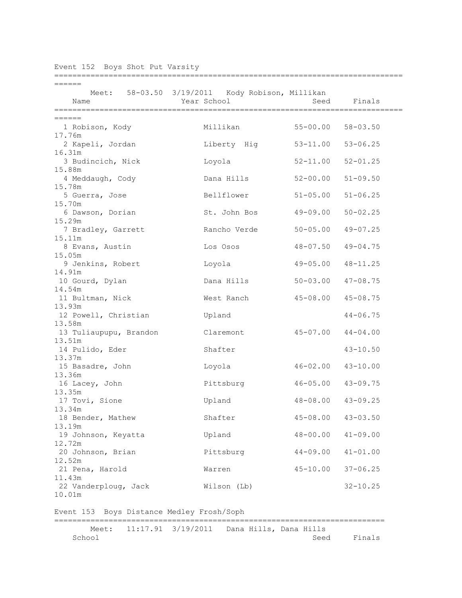| =====                                     |                                                 |              |                   |
|-------------------------------------------|-------------------------------------------------|--------------|-------------------|
|                                           | Meet: 58-03.50 3/19/2011 Kody Robison, Millikan |              |                   |
| Name                                      | Year School                                     | Seed         | Finals            |
| $======$                                  |                                                 |              |                   |
| 1 Robison, Kody                           | Millikan                                        | $55 - 00.00$ | $58 - 03.50$      |
| 17.76m                                    |                                                 |              |                   |
| 2 Kapeli, Jordan<br>16.31m                | Liberty Hig                                     | $53 - 11.00$ | $53 - 06.25$      |
| 3 Budincich, Nick                         | Loyola                                          | $52 - 11.00$ | $52 - 01.25$      |
| 15.88m                                    |                                                 |              |                   |
| 4 Meddaugh, Cody                          | Dana Hills                                      | $52 - 00.00$ | $51 - 09.50$      |
| 15.78m                                    |                                                 |              |                   |
| 5 Guerra, Jose                            | Bellflower                                      | $51 - 05.00$ | $51 - 06.25$      |
| 15.70m<br>6 Dawson, Dorian                | St. John Bos                                    | $49 - 09.00$ | $50 - 02.25$      |
| 15.29m                                    |                                                 |              |                   |
| 7 Bradley, Garrett                        | Rancho Verde                                    | $50 - 05.00$ | $49 - 07.25$      |
| 15.11m                                    |                                                 |              |                   |
| 8 Evans, Austin                           | Los Osos                                        | $48 - 07.50$ | $49 - 04.75$      |
| 15.05m                                    | Loyola                                          | $49 - 05.00$ | $48 - 11.25$      |
| 9 Jenkins, Robert<br>14.91m               |                                                 |              |                   |
| 10 Gourd, Dylan                           | Dana Hills                                      | $50 - 03.00$ | $47 - 08.75$      |
| 14.54m                                    |                                                 |              |                   |
| 11 Bultman, Nick                          | West Ranch                                      | $45 - 08.00$ | $45 - 08.75$      |
| 13.93m                                    |                                                 |              |                   |
| 12 Powell, Christian<br>13.58m            | Upland                                          |              | $44 - 06.75$      |
| 13 Tuliaupupu, Brandon                    | Claremont                                       | $45 - 07.00$ | $44 - 04.00$      |
| 13.51m                                    |                                                 |              |                   |
| 14 Pulido, Eder                           | Shafter                                         |              | $43 - 10.50$      |
| 13.37m                                    |                                                 |              |                   |
| 15 Basadre, John<br>13.36m                | Loyola                                          | $46 - 02.00$ | $43 - 10.00$      |
| 16 Lacey, John                            | Pittsburg                                       | $46 - 05.00$ | $43 - 09.75$      |
| 13.35m                                    |                                                 |              |                   |
| 17 Tovi, Sione                            | Upland                                          |              | 48-08.00 43-09.25 |
| 13.34m                                    |                                                 |              |                   |
| 18 Bender, Mathew                         | Shafter                                         | $45 - 08.00$ | $43 - 03.50$      |
| 13.19m<br>19 Johnson, Keyatta             | Upland                                          | $48 - 00.00$ | $41 - 09.00$      |
| 12.72m                                    |                                                 |              |                   |
| 20 Johnson, Brian                         | Pittsburg                                       | $44 - 09.00$ | $41 - 01.00$      |
| 12.52m                                    |                                                 |              |                   |
| 21 Pena, Harold                           | Warren                                          | $45 - 10.00$ | $37 - 06.25$      |
| 11.43m                                    |                                                 |              |                   |
| 22 Vanderploug, Jack<br>10.01m            | Wilson (Lb)                                     |              | $32 - 10.25$      |
|                                           |                                                 |              |                   |
| Event 153 Boys Distance Medley Frosh/Soph |                                                 |              |                   |
|                                           |                                                 |              |                   |
| Meet:<br>School                           | 11:17.91 3/19/2011 Dana Hills, Dana Hills       | Seed         | Finals            |
|                                           |                                                 |              |                   |

Event 152 Boys Shot Put Varsity